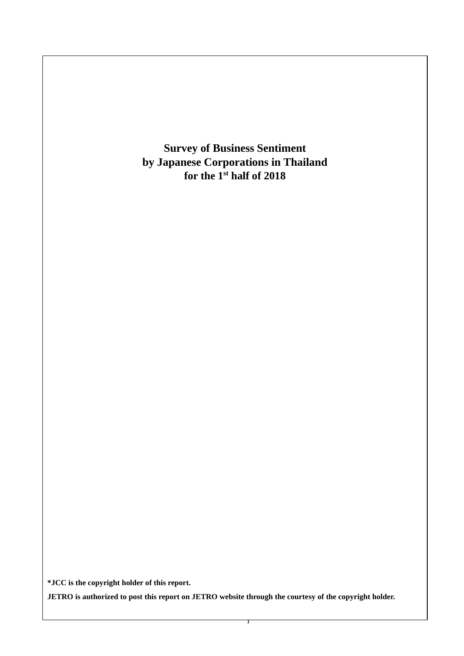**Survey of Business Sentiment by Japanese Corporations in Thailand for the 1 st half of 2018**

**\*JCC is the copyright holder of this report.**

**JETRO is authorized to post this report on JETRO website through the courtesy of the copyright holder.**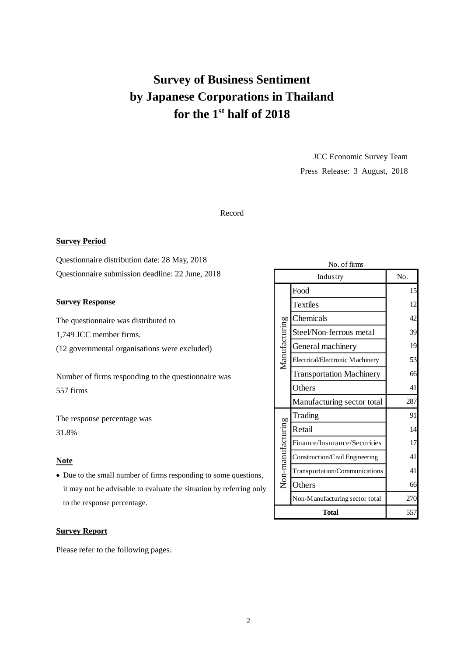# **Survey of Business Sentiment by Japanese Corporations in Thailand for the 1 st half of 2018**

JCC Economic Survey Team Press Release: 3 August, 2018

## Record

#### **Survey Period**

Questionnaire distribution date: 28 May, 2018 Questionnaire submission deadline: 22 June, 2018

## **Survey Response**

The questionnaire was distributed to

1,749 JCC member firms.

(12 governmental organisations were excluded)

Number of firms responding to the questionnaire was 557 firms

The response percentage was 31.8%

## **Note**

• Due to the small number of firms responding to some questions, it may not be advisable to evaluate the situation by referring only to the response percentage.

#### **Survey Report**

Please refer to the following pages.

|                   | Industry                        | No. |
|-------------------|---------------------------------|-----|
|                   | Food                            | 15  |
|                   | <b>Textiles</b>                 | 12  |
|                   | Chemicals                       | 42  |
| Manufacturing     | Steel/Non-ferrous metal         | 39  |
|                   | General machinery               | 19  |
|                   | Electrical/Electronic Machinery | 53  |
|                   | <b>Transportation Machinery</b> | 66  |
|                   | Others                          | 41  |
|                   | Manufacturing sector total      | 287 |
|                   | Trading                         | 91  |
|                   | Retail                          | 14  |
|                   | Finance/Insurance/Securities    | 17  |
| Non-manufacturing | Construction/Civil Engineering  | 41  |
|                   | Transportation/Communications   | 41  |
|                   | Others                          | 66  |
|                   | Non-Manufacturing sector total  | 270 |
|                   | Total                           | 557 |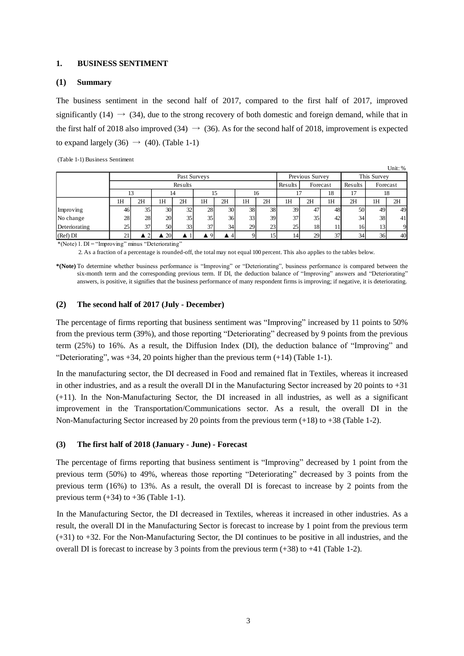#### **1. BUSINESS SENTIMENT**

#### **(1) Summary**

The business sentiment in the second half of 2017, compared to the first half of 2017, improved significantly (14)  $\rightarrow$  (34), due to the strong recovery of both domestic and foreign demand, while that in the first half of 2018 also improved (34)  $\rightarrow$  (36). As for the second half of 2018, improvement is expected to expand largely (36)  $\rightarrow$  (40). (Table 1-1)

(Table 1-1) Business Sentiment

|               |        |    |           |              |          |    |    |    |         |                 |    |         |                 | Unit: % |
|---------------|--------|----|-----------|--------------|----------|----|----|----|---------|-----------------|----|---------|-----------------|---------|
|               |        |    |           | Past Surveys |          |    |    |    |         | Previous Survey |    |         | This Survey     |         |
|               |        |    |           | Results      |          |    |    |    | Results | Forecast        |    | Results | Forecast        |         |
|               |        |    |           | 14           |          |    |    | 16 |         |                 | 18 | 17      | 18              |         |
|               | 1H     | 2H | 1H        | 2H           | 1H       | 2H | 1H | 2H | 1H      | 2H              | 1H | 2H      | 1H              | 2H      |
| Improving     | 46     | 35 | 30        | 32           | 28       | 30 | 38 | 38 | 39      | 47              | 48 | 50      | 49              | 49      |
| No change     | 28     | 28 | 20        | 35           | 35       | 36 | 33 | 39 | 37      | 35              | 42 | 34      | 38              | 41      |
| Deteriorating | 25     | 37 | 50        | 33           | 37       | 34 | 29 | 23 | 25      | 18              | 11 | 16      | 13 <sub>l</sub> | 9       |
| (Ref) DI      | $\sim$ |    | <b>20</b> |              | $\Omega$ |    |    | 15 |         | 29              | 37 | 34      | 36              | 40      |

\*(Note) 1. DI = "Improving" minus "Deteriorating"

2. As a fraction of a percentage is rounded-off, the total may not equal 100 percent. This also applies to the tables below.

**\*(Note)** To determine whether business performance is "Improving" or "Deteriorating", business performance is compared between the six-month term and the corresponding previous term. If DI, the deduction balance of "Improving" answers and "Deteriorating" answers, is positive, it signifies that the business performance of many respondent firms is improving; if negative, it is deteriorating.

#### **(2) The second half of 2017 (July - December)**

The percentage of firms reporting that business sentiment was "Improving" increased by 11 points to 50% from the previous term (39%), and those reporting "Deteriorating" decreased by 9 points from the previous term (25%) to 16%. As a result, the Diffusion Index (DI), the deduction balance of "Improving" and "Deteriorating", was +34, 20 points higher than the previous term (+14) (Table 1-1).

In the manufacturing sector, the DI decreased in Food and remained flat in Textiles, whereas it increased in other industries, and as a result the overall DI in the Manufacturing Sector increased by 20 points to  $+31$ (+11). In the Non-Manufacturing Sector, the DI increased in all industries, as well as a significant improvement in the Transportation/Communications sector. As a result, the overall DI in the Non-Manufacturing Sector increased by 20 points from the previous term  $(+18)$  to  $+38$  (Table 1-2).

#### **(3) The first half of 2018 (January - June) - Forecast**

The percentage of firms reporting that business sentiment is "Improving" decreased by 1 point from the previous term (50%) to 49%, whereas those reporting "Deteriorating" decreased by 3 points from the previous term (16%) to 13%. As a result, the overall DI is forecast to increase by 2 points from the previous term  $(+34)$  to  $+36$  (Table 1-1).

In the Manufacturing Sector, the DI decreased in Textiles, whereas it increased in other industries. As a result, the overall DI in the Manufacturing Sector is forecast to increase by 1 point from the previous term (+31) to +32. For the Non-Manufacturing Sector, the DI continues to be positive in all industries, and the overall DI is forecast to increase by 3 points from the previous term (+38) to +41 (Table 1-2).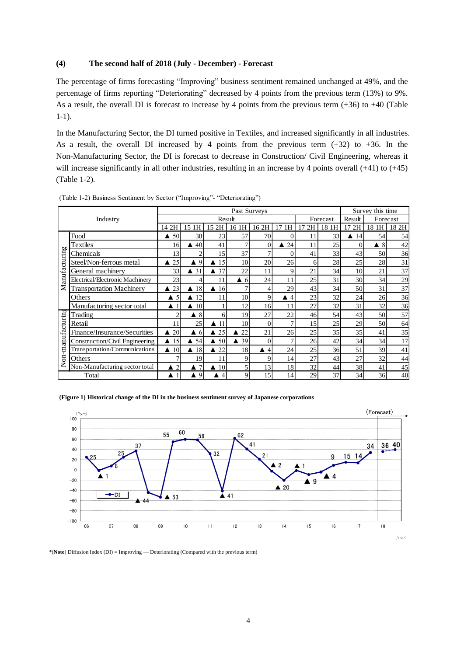## **(4) The second half of 2018 (July - December) - Forecast**

The percentage of firms forecasting "Improving" business sentiment remained unchanged at 49%, and the percentage of firms reporting "Deteriorating" decreased by 4 points from the previous term (13%) to 9%. As a result, the overall DI is forecast to increase by 4 points from the previous term  $(+36)$  to  $+40$  (Table 1-1).

In the Manufacturing Sector, the DI turned positive in Textiles, and increased significantly in all industries. As a result, the overall DI increased by 4 points from the previous term  $(+32)$  to  $+36$ . In the Non-Manufacturing Sector, the DI is forecast to decrease in Construction/ Civil Engineering, whereas it will increase significantly in all other industries, resulting in an increase by 4 points overall (+41) to (+45) (Table 1-2).

|               |                                 |                        |                     |                        | Past Surveys   |                       |                |    |          |          | Survey this time |       |
|---------------|---------------------------------|------------------------|---------------------|------------------------|----------------|-----------------------|----------------|----|----------|----------|------------------|-------|
|               | Industry                        |                        |                     | Result                 |                |                       |                |    | Forecast | Result   | Forecast         |       |
|               |                                 | 14 2H                  | 1H<br>15            | 2H<br>15               | 16 1H          | 16 2H                 | 1H<br>17       | 2H | 18<br>1H | 17<br>2H | 18 1H            | 18 2H |
|               | Food                            | 50                     | 38                  | 23                     | 57             | 70                    |                | 11 | 33       | 14       | 54               | 54    |
| <b>b</b>      | Textiles                        | 16                     | 40                  | 41                     | 7              | $\theta$              | 24             | 11 | 25       | $\Omega$ | 8<br>▲           | 42    |
|               | Chemicals                       | 13                     | 2                   | 15                     | 37             | 7                     | 0              | 41 | 33       | 43       | 50               | 36    |
|               | Steel/Non-ferrous metal         | 25                     | $\blacktriangle$ 9  | 15<br>$\blacktriangle$ | 10             | 20                    | 26             | 6  | 28       | 25       | 28               | 31    |
|               | General machinery               | 33                     | $\triangle$ 31      | 37<br>▲                | 22             | 11                    | 9              | 21 | 34       | 10       | 21               | 37    |
| Manufacturin  | Electrical/Electronic Machinery | 23                     | 4                   | 11                     | -6<br>▲        | 24                    | 11             | 25 | 31       | 30       | 34               | 29    |
|               | <b>Transportation Machinery</b> | 23<br>▲                | 18<br>▲             | $\blacktriangle$ 16    | 7              | 4                     | 29             | 43 | 34       | 50       | 31               | 37    |
|               | Others                          | 5                      | 12                  | 11                     | 10             | 9                     | $\overline{4}$ | 23 | 32       | 24       | 26               | 36    |
|               | Manufacturing sector total      | ▲                      | 10                  |                        | 12             | 16                    | 11             | 27 | 32       | 31       | 32               | 36    |
|               | Trading                         | ↑                      | 8                   | 6                      | 19             | 27                    | 22             | 46 | 54       | 43       | 50               | 57    |
|               | Retail                          | 11                     | 25                  | 11                     | 10             | $\theta$              |                | 15 | 25       | 29       | 50               | 64    |
| -manufacturin | Finance/Insurance/Securities    | 20<br>▲                | $\blacktriangle$ 6  | 25<br>▲                | 22             | 21                    | 26             | 25 | 35       | 35       | 41               | 35    |
|               | Construction/Civil Engineering  | 15<br>$\blacktriangle$ | 54                  | 50<br>▲                | $\triangle$ 39 | $\Omega$              | $\mathcal{I}$  | 26 | 42       | 34       | 34               | 17    |
|               | Transportation/Communications   | 10<br>▲                | $\blacktriangle$ 18 | 22<br>▲                | 18             | 4<br>$\blacktriangle$ | 24             | 25 | 36       | 51       | 39               | 41    |
| Ś             | Others                          | ר                      | 19                  | 11                     | 9              | 9                     | 14             | 27 | 43       | 27       | 32               | 44    |
| z             | Non-Manufacturing sector total  | $\overline{2}$<br>▲    | 7                   | 10<br>▲                | 5              | 13                    | 18             | 32 | 44       | 38       | 41               | 45    |
|               | Total                           |                        | 9                   | 4                      | 9              | 15                    | 14             | 29 | 37       | 34       | 36               | 40    |

(Table 1-2) Business Sentiment by Sector ("Improving"- "Deteriorating")

#### **(Figure 1) Historical change of the DI in the business sentiment survey of Japanese corporations**



\*(**Note**) Diffusion Index (DI) = Improving –– Deteriorating (Compared with the previous term)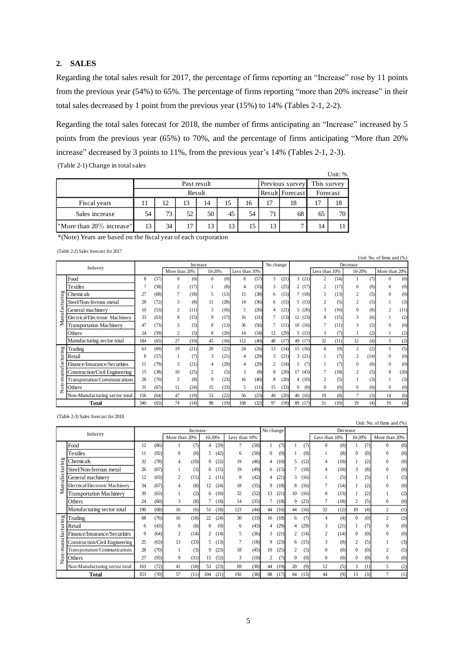## **2. SALES**

Regarding the total sales result for 2017, the percentage of firms reporting an "Increase" rose by 11 points from the previous year (54%) to 65%. The percentage of firms reporting "more than 20% increase" in their total sales decreased by 1 point from the previous year (15%) to 14% (Tables 2-1, 2-2).

Regarding the total sales forecast for 2018, the number of firms anticipating an "Increase" increased by 5 points from the previous year (65%) to 70%, and the percentage of firms anticipating "More than 20% increase" decreased by 3 points to 11%, from the previous year's 14% (Tables 2-1, 2-3).

(Table 2-1) Change in total sales

|                          |    |    |                 |             |    |    |    |                 |             | Unit: % |
|--------------------------|----|----|-----------------|-------------|----|----|----|-----------------|-------------|---------|
|                          |    |    |                 | Past result |    |    |    | Previous survey | This survey |         |
|                          |    |    | Result Forecast | Forecast    |    |    |    |                 |             |         |
| Fiscal years             | 11 | 12 | 13              | 14          | 15 | 16 | 17 | 18              |             | 18      |
| Sales increase           | 54 | 73 | 52              | 50          | 45 | 54 | 71 | 68              | 65          | 70      |
| "More than 20% increase" | 13 | 34 | 17              | 13          | 13 | 15 | 13 |                 | 14          | 11      |

\*(Note) Years are based on the fiscal year of each corporation

(Table 2-2) Sales forecast for 2017

|              | $\frac{1}{2}$ and $\frac{1}{2}$ $\frac{1}{2}$ $\frac{1}{2}$ barrow respective role $\frac{1}{2}$ |                                                                                                               |      |                |      |                |      |               |      |           |      |              |      |                |      |                |      | Unit: No. of firms and (%) |      |
|--------------|--------------------------------------------------------------------------------------------------|---------------------------------------------------------------------------------------------------------------|------|----------------|------|----------------|------|---------------|------|-----------|------|--------------|------|----------------|------|----------------|------|----------------------------|------|
|              | Industry                                                                                         |                                                                                                               |      |                |      | Increase       |      |               |      | No change |      |              |      |                |      | Decrease       |      |                            |      |
|              |                                                                                                  |                                                                                                               |      | More than 20%  |      | 10-20%         |      | Less than 10% |      |           |      |              |      | Less than 10%  |      | 10-20%         |      | More than 20%              |      |
|              | Food                                                                                             | 8                                                                                                             | (57) | $\Omega$       | (0)  | $\Omega$       | (0)  | 8             | (57) | 3         | (21) | 3            | (21) | $\overline{c}$ | (14) |                | (7)  | $\Omega$                   | (0)  |
|              | Textiles                                                                                         |                                                                                                               | (58) | $\overline{c}$ | (17) |                | (8)  | 4             | (33) | 3         | (25) | 2            | (17) | $\overline{c}$ | (17) | $\mathbf{0}$   | (0)  | $\Omega$                   | (0)  |
| 60<br>ΕË     | Chemicals                                                                                        | 27                                                                                                            | (68) |                | (18) | 5              | (13) | 15            | (38) | 6         | (15) | 7            | (18) | 5              | (13) | $\overline{c}$ | (5)  | $\Omega$                   | (0)  |
| ξ            | Steel/Non-ferrous metal                                                                          | 28                                                                                                            | (72) | 3              | (8)  | 11             | (28) | 14            | (36) | 6         | (15) | 5.           | (13) | 2              | (5)  | 2              | (5)  |                            | (3)  |
|              | General machinery                                                                                | 10                                                                                                            | (53) | $\overline{c}$ | (11) | 3              | (16) | 5             | (26) | 4         | (21) | 5.           | (26) | 3              | (16) | $\overline{0}$ | (0)  | 2                          | (11) |
| Manufa       | Electrical/Electronic Machinery                                                                  | 33                                                                                                            | (63) | 8              | (15) | 9              | (17) | 16            | (31) |           | (13) | 12           | (23) | 8              | (15) | 3              | (6)  |                            | (2)  |
|              | <b>Transportation Machinery</b>                                                                  | 47                                                                                                            | (73) | 3              | (5)  | 8              | (13) | 36            | (56) |           | (11) | 10           | (16) |                | (11) | 3              | (5)  |                            | (0)  |
|              | Others                                                                                           | 24                                                                                                            | (59) | 2              | (5)  | 8              | (20) | 14            | (34) | 12        | (29) | 5            | (12) | 3              | (7)  |                | (2)  |                            | (2)  |
|              | Manufacturing sector total                                                                       | 184                                                                                                           | (65) | 27             | (10) | 45             | (16) | 112           | (40) | 48        | (17) | 49           | (17) | 32             | (11) | 12             | (4)  | 5                          | (2)  |
|              | Trading                                                                                          | 63                                                                                                            | (69) | 19             | (21) | 20             | (22) | 24            | (26) | 13        | (14) | 15           | (16) | 8              | (9)  | $\overline{c}$ | (2)  | 5                          | (5)  |
| anufacturing | Retail                                                                                           | 8                                                                                                             | (57) |                | (7)  | 3              | (21) | 4             | (29) | 3         | (21) | 3            | (21) |                | (7)  | $\overline{c}$ | (14) |                            | (0)  |
|              | Finance/Insurance/Securities                                                                     | 11                                                                                                            | (79) | 3              | (21) |                | (29) | 4             | (29) | 2         | (14) |              | (7)  |                | (7)  | $\theta$       | (0)  |                            | (0)  |
|              | Construction/Civil Engineering                                                                   | 15                                                                                                            | (38) | 10             | (25) | $\overline{c}$ | (5)  | 3             | (8)  | 8         | (20) | 17           | (43) |                | (18) | $\overline{2}$ | (5)  | 8                          | (20) |
|              | Transportation/Communications                                                                    | 28                                                                                                            | (70) | 3              | (8)  | 9              | (23) | 16            | (40) | 8         | (20) | 4            | (10) | $\overline{c}$ | (5)  |                | (3)  |                            | (3)  |
| S            | Others                                                                                           | 31                                                                                                            | (67) | 11             | (24) | 15             | (33) | 5             | (11) | 15        | (33) | $\mathbf{0}$ | (0)  | $\Omega$       | (0)  | 0              | (0)  | $\mathbf{0}$               | (0)  |
| ż            | Non-Manufacturing sector total                                                                   | 156                                                                                                           | (64) | 47             | (19) | 53             | (22) | 56            | (23) | 49        | (20) | 40           | (16) | 19             | (8)  | 7              | (3)  | 14                         | (6)  |
|              | Total                                                                                            | 74<br>98<br>(19)<br>168<br>(32)<br>97<br>(10)<br>19<br>340<br>(65)<br>(14)<br>(18)<br>89<br>(17)<br>51<br>(4) |      |                |      |                |      |               |      |           |      | 19           | (4)  |                |      |                |      |                            |      |

(Table 2-3) Sales forecast for 2018

|               | $\frac{1}{2}$ and $\frac{1}{2}$ build for $\frac{1}{2}$ |     |      |                |          |          |      |               |      |              |      |    |      |                |          |          |     | Unit: No. of firms and $(\%)$ |     |
|---------------|---------------------------------------------------------|-----|------|----------------|----------|----------|------|---------------|------|--------------|------|----|------|----------------|----------|----------|-----|-------------------------------|-----|
|               | Industry                                                |     |      |                | Increase |          |      |               |      | No change    |      |    |      |                | Decrease |          |     |                               |     |
|               |                                                         |     |      | More than 20%  |          | 10-20%   |      | Less than 10% |      |              |      |    |      | Less than 10%  |          | 10-20%   |     | More than 20%                 |     |
|               | Food                                                    | 12  | (86) |                | (7)      | 4        | (29) | 7             | (50) |              | (7)  |    | (7)  | $\theta$       | (0)      |          | (7) | $\theta$                      | (0) |
|               | <b>Textiles</b>                                         | 11  | (92) | $\mathbf{0}$   | (0)      | 5        | (42) | 6             | (50) | $\mathbf{0}$ | (0)  |    | (8)  |                | (8)      |          | (0) | $\mathbf{0}$                  | (0) |
|               | Chemicals                                               | 32  | (78) | 4              | (10)     | 9        | (22) | 19            | (46) | 4            | (10) | 5. | (12) | 4              | (10)     |          | (2) | $\Omega$                      | (0) |
| Manufacturing | Steel/Non-ferrous metal                                 | 26  | (67) |                | (3)      | 6        | (15) | 19            | (49) | 6            | (15) |    | (18) |                | (10)     | 3        | (8) | $\Omega$                      | (0) |
|               | General machinery                                       | 12  | (63) | 2              | (11)     | 2        | (11) | 8             | (42) | 4            | (21) | 3  | (16) |                | (5)      |          | (5) |                               | (5) |
|               | Electrical/Electronic Machinery                         | 34  | (67) | 4              | (8)      | 12       | (24) | 18            | (35) | 9            | (18) | 8  | (16) |                | (14)     |          | (2) | $\Omega$                      | (0) |
|               | <b>Transportation Machinery</b>                         | 39  | (63) |                | (2)      | 6        | (10) | 32            | (52) | 13           | (21) | 10 | (16) | 8              | (13)     |          | (2) |                               | (2) |
|               | Others                                                  | 24  | (60) | 3              | (8)      |          | (18) | 14            | (35) |              | (18) | 9  | (23) |                | (18)     | 2        | (5) | $\mathbf{0}$                  | (0) |
|               | Manufacturing sector total                              | 190 | (68) | 16             | (6)      | 51       | (18) | 123           | (44) | 44           | (16) | 44 | (16) | 32             | (12)     | 10       | (4) | 2                             | (1) |
|               | Trading                                                 | 68  | (76) | 16             | (18)     | 22       | (24) | 30            | (33) | 16           | (18) | 6  | (7)  | $\overline{4}$ | (4)      | $\Omega$ | (0) | 2                             | (2) |
| facturing     | Retail                                                  | 6   | (43) | $\mathbf{0}$   | (0)      | $\theta$ | (0)  | 6             | (43) | 4            | (29) | 4  | (29) | 3              | (21)     |          | (7) | $\theta$                      | (0) |
|               | Finance/Insurance/Securities                            | 9   | (64) | $\overline{c}$ | (14)     | 2        | (14) | 5             | (36) | 3            | (21) | 2  | (14) | $\overline{c}$ | (14)     |          | (0) | $\Omega$                      | (0) |
| manu          | Construction/Civil Engineering                          | 25  | (63) | 13             | (33)     | 5        | (13) |               | (18) | $\mathbf Q$  | (23) | б. | (15) |                | (8)      |          | (5) |                               | (3) |
|               | Transportation/Communications                           | 28  | (70) |                | (3)      | 9        | (23) | 18            | (45) | 10           | (25) | 2  | (5)  | $\Omega$       | (0)      |          | (0) | $\overline{c}$                | (5) |
| Non           | Others                                                  | 27  | (93) | 9              | (31)     | 15       | (52) | 3             | (10) | 2            | (7)  | 0  | (0)  | $\theta$       | (0)      | $\Omega$ | (0) | $\mathbf{0}$                  | (0) |
|               | Non-Manufacturing sector total                          | 163 | (72) | 41             | (18)     | 53       | (23) | 69            | (30) | 44           | (19) | 20 | (9)  | 12             | (5)      | 3        | (1) | 5                             | (2) |
|               | <b>Total</b>                                            | 353 | (70) | 57             | (11)     | 104      | (21) | 192           | (38) | 88           | (17) | 64 | (13) | 44             | (9)      | 13       | (3) | 7                             | (1) |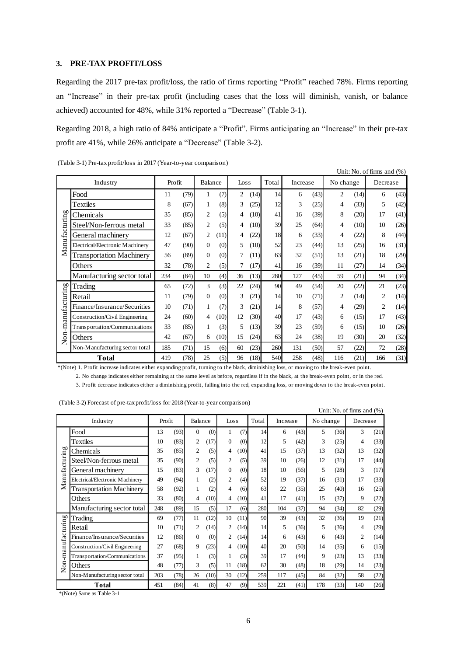#### **3. PRE-TAX PROFIT/LOSS**

Regarding the 2017 pre-tax profit/loss, the ratio of firms reporting "Profit" reached 78%. Firms reporting an "Increase" in their pre-tax profit (including cases that the loss will diminish, vanish, or balance achieved) accounted for 48%, while 31% reported a "Decrease" (Table 3-1).

Regarding 2018, a high ratio of 84% anticipate a "Profit". Firms anticipating an "Increase" in their pre-tax profit are 41%, while 26% anticipate a "Decrease" (Table 3-2).

|                |                                                                                                                                          |        |      |                |      |      |      |       |          |      |           |      | Unit: No. of firms and $(\%)$ |      |
|----------------|------------------------------------------------------------------------------------------------------------------------------------------|--------|------|----------------|------|------|------|-------|----------|------|-----------|------|-------------------------------|------|
|                | Industry                                                                                                                                 | Profit |      | Balance        |      | Loss |      | Total | Increase |      | No change |      | Decrease                      |      |
|                | Food                                                                                                                                     | 11     | (79) | 1              | (7)  | 2    | (14) | 14    | 6        | (43) | 2         | (14) | 6                             | (43) |
|                | Textiles                                                                                                                                 | 8      | (67) | 1              | (8)  | 3    | (25) | 12    | 3        | (25) | 4         | (33) | 5                             | (42) |
|                | Chemicals                                                                                                                                | 35     | (85) | 2              | (5)  | 4    | (10) | 41    | 16       | (39) | 8         | (20) | 17                            | (41) |
|                | Steel/Non-ferrous metal                                                                                                                  | 33     | (85) | 2              | (5)  | 4    | (10) | 39    | 25       | (64) | 4         | (10) | 10                            | (26) |
| Manufacturing  | General machinery                                                                                                                        | 12     | (67) | 2              | (11) | 4    | (22) | 18    | 6        | (33) | 4         | (22) | 8                             | (44) |
|                | Electrical/Electronic Machinery                                                                                                          | 47     | (90) | $\overline{0}$ | (0)  | 5    | (10) | 52    | 23       | (44) | 13        | (25) | 16                            | (31) |
|                | <b>Transportation Machinery</b>                                                                                                          | 56     | (89) | $\overline{0}$ | (0)  |      | (11) | 63    | 32       | (51) | 13        | (21) | 18                            | (29) |
|                | Others                                                                                                                                   | 32     | (78) | $\overline{c}$ | (5)  |      | (17) | 41    | 16       | (39) | 11        | (27) | 14                            | (34) |
|                | Manufacturing sector total                                                                                                               | 234    | (84) | 10             | (4)  | 36   | (13) | 280   | 127      | (45) | 59        | (21) | 94                            | (34) |
|                | Trading                                                                                                                                  | 65     | (72) | 3              | (3)  | 22   | (24) | 90    | 49       | (54) | 20        | (22) | 21                            | (23) |
|                | Retail                                                                                                                                   | 11     | (79) | 0              | (0)  | 3    | (21) | 14    | 10       | (71) | 2         | (14) | 2                             | (14) |
| -manufacturing | Finance/Insurance/Securities                                                                                                             | 10     | (71) | 1              | (7)  | 3    | (21) | 14    | 8        | (57) | 4         | (29) | 2                             | (14) |
|                | Construction/Civil Engineering                                                                                                           | 24     | (60) | 4              | (10) | 12   | (30) | 40    | 17       | (43) | 6         | (15) | 17                            | (43) |
|                | Transportation/Communications                                                                                                            | 33     | (85) | 1              | (3)  | 5    | (13) | 39    | 23       | (59) | 6         | (15) | 10                            | (26) |
| Non-           | Others                                                                                                                                   | 42     | (67) | 6              | (10) | 15   | (24) | 63    | 24       | (38) | 19        | (30) | 20                            | (32) |
|                | Non-Manufacturing sector total                                                                                                           | 185    | (71) | 15             | (6)  | 60   | (23) | 260   | 131      | (50) | 57        | (22) | 72                            | (28) |
|                | <b>Total</b>                                                                                                                             | 419    | (78) | 25             | (5)  | 96   | (18) | 540   | 258      | (48) | 116       | (21) | 166                           | (31) |
|                | *(Note) 1. Profit increase indicates either expanding profit, turning to the black, diminishing loss, or moving to the break-even point. |        |      |                |      |      |      |       |          |      |           |      |                               |      |
|                | 2. No change indicates either remaining at the same level as before, regardless if in the black, at the break-even point, or in the red. |        |      |                |      |      |      |       |          |      |           |      |                               |      |
|                | 3. Profit decrease indicates either a diminishing profit, falling into the red, expanding loss, or moving down to the break-even point.  |        |      |                |      |      |      |       |          |      |           |      |                               |      |

(Table 3-1) Pre-tax profit/loss in 2017 (Year-to-year comparison)

| (Table 3-2) Forecast of pre-tax profit/loss for 2018 (Year-to-year comparison) |  |
|--------------------------------------------------------------------------------|--|
|--------------------------------------------------------------------------------|--|

|                |                                 |        |      |              |      |                |      |       |          |      |           |      | Unit: No. of firms and $(\%)$ |      |
|----------------|---------------------------------|--------|------|--------------|------|----------------|------|-------|----------|------|-----------|------|-------------------------------|------|
|                | Industry                        | Profit |      | Balance      |      | Loss           |      | Total | Increase |      | No change |      | Decrease                      |      |
|                | Food                            | 13     | (93) | $\mathbf{0}$ | (0)  | 1              | (7)  | 14    | 6        | (43) | 5         | (36) | 3                             | (21) |
|                | Textiles                        | 10     | (83) | 2            | (17) | $\Omega$       | (0)  | 12    | 5        | (42) | 3         | (25) | 4                             | (33) |
| 60             | Chemicals                       | 35     | (85) | 2            | (5)  | 4              | (10) | 41    | 15       | (37) | 13        | (32) | 13                            | (32) |
| Manufacturin   | Steel/Non-ferrous metal         | 35     | (90) | 2            | (5)  | $\overline{c}$ | (5)  | 39    | 10       | (26) | 12        | (31) | 17                            | (44) |
|                | General machinery               | 15     | (83) | 3            | (17) | $\Omega$       | (0)  | 18    | 10       | (56) | 5         | (28) | 3                             | (17) |
|                | Electrical/Electronic Machinery | 49     | (94) | 1            | (2)  | $\overline{c}$ | (4)  | 52    | 19       | (37) | 16        | (31) | 17                            | (33) |
|                | <b>Transportation Machinery</b> | 58     | (92) | 1            | (2)  | 4              | (6)  | 63    | 22       | (35) | 25        | (40) | 16                            | (25) |
|                | Others                          | 33     | (80) | 4            | (10) | 4              | (10) | 41    | 17       | (41) | 15        | (37) | 9                             | (22) |
|                | Manufacturing sector total      | 248    | (89) | 15           | (5)  | 17             | (6)  | 280   | 104      | (37) | 94        | (34) | 82                            | (29) |
|                | Trading                         | 69     | (77) | 11           | (12) | 10             | (11) | 90    | 39       | (43) | 32        | (36) | 19                            | (21) |
| -manufacturing | Retail                          | 10     | (71) | 2            | (14) | 2              | (14) | 14    | 5        | (36) | 5         | (36) | 4                             | (29) |
|                | Finance/Insurance/Securities    | 12     | (86) | $\Omega$     | (0)  | 2              | (14) | 14    | 6        | (43) | 6         | (43) | $\mathfrak{D}$                | (14) |
|                | Construction/Civil Engineering  | 27     | (68) | 9            | (23) | 4              | (10) | 40    | 20       | (50) | 14        | (35) | 6                             | (15) |
|                | Transportation/Communications   | 37     | (95) | 1            | (3)  |                | (3)  | 39    | 17       | (44) | 9         | (23) | 13                            | (33) |
| Non-           | Others                          | 48     | (77) | 3            | (5)  | 11             | (18) | 62    | 30       | (48) | 18        | (29) | 14                            | (23) |
|                | Non-Manufacturing sector total  | 203    | (78) | 26           | (10) | 30             | (12) | 259   | 117      | (45) | 84        | (32) | 58                            | (22) |
|                | <b>Total</b>                    | 451    | (84) | 41           | (8)  | 47             | (9)  | 539   | 221      | (41) | 178       | (33) | 140                           | (26) |
|                | *(Note) Same as Table 3-1       |        |      |              |      |                |      |       |          |      |           |      |                               |      |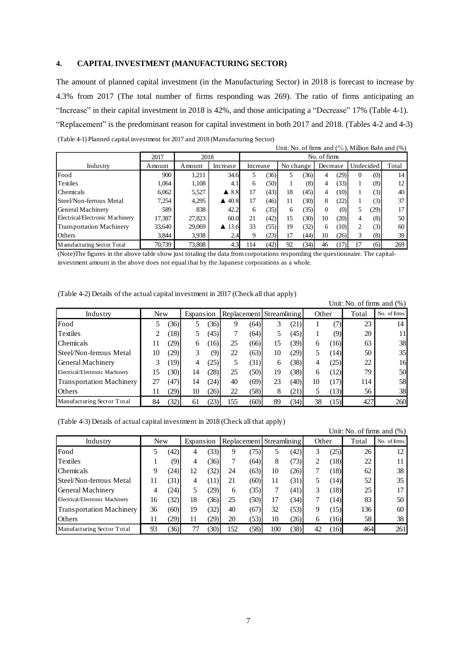#### **4. CAPITAL INVESTMENT (MANUFACTURING SECTOR)**

The amount of planned capital investment (in the Manufacturing Sector) in 2018 is forecast to increase by 4.3% from 2017 (The total number of firms responding was 269). The ratio of firms anticipating an "Increase" in their capital investment in 2018 is 42%, and those anticipating a "Decrease" 17% (Table 4-1). "Replacement" is the predominant reason for capital investment in both 2017 and 2018. (Tables 4-2 and 4-3) (Table 4-1) Planned capital investment for 2017 and 2018 (Manufacturing Sector) Unit: No. of firms and  $\binom{0}{0}$ . Million Baht and  $\binom{0}{0}$ .

|                                 |        |        |                      |     |           |    |          |              |           |        |       | $\mathcal{L}$ . Thus and (70), infinite Dani and (70) |
|---------------------------------|--------|--------|----------------------|-----|-----------|----|----------|--------------|-----------|--------|-------|-------------------------------------------------------|
|                                 | 2017   | 2018   |                      |     |           |    |          | No. of firms |           |        |       |                                                       |
| Industry                        | Amount | Amount | Increase             |     | No change |    | Decrease |              | Undecided |        | Total |                                                       |
| Food                            | 900    | 1,211  | 34.6                 | 5   | (36)      |    | 36)      | 4            | (29       | $_{0}$ | (0)   | 14                                                    |
| Textiles                        | 1.064  | 1,108  | 4.1                  | 6   | (50)      |    | (8)      | 4            | (33)      |        | (8)   | 12                                                    |
| Chemicals                       | 6.062  | 5,527  | $\blacktriangle$ 8.8 | 17  | (43)      | 18 | (45)     | 4            | (10)      |        | (3)   | 40                                                    |
| Steel/Non-ferrous Metal         | 7,254  | 4,295  | 40.8<br>▲            | 17  | (46)      | 11 | 30)      | 8            | (22)      |        | (3)   | 37                                                    |
| General Machinery               | 589    | 838    | 42.2                 | 6   | (35)      | 6  | 35.      |              | (0)       | 5      | (29)  | 17                                                    |
| Electrical/Electronic Machinery | 17,387 | 27,823 | 60.0                 | 21  | (42)      | 15 | 30)      | 10           | (20)      | 4      | (8)   | 50                                                    |
| <b>Transportation Machinery</b> | 33,640 | 29,069 | 13.6<br>▲            | 33  | (55)      | 19 | (32)     | 6            | (10)      | 2      | (3)   | 60                                                    |
| Others                          | 3,844  | 3,938  | 2.4                  | 9   | (23)      | 17 | (44)     | 10           | (26)      | 3      | (8)   | 39                                                    |
| Manufacturing Sector Total      | 70,739 | 73,808 | 4.3                  | 114 | (42)      | 92 | 34)      | 46           | 17        |        | (6)   | 269                                                   |

(Note)The figures in the above table show just totaling the data from corporations responding the questionnaire. The capitalinvestment amount in the above does not equal that by the Japanese corporations as a whole.

(Table 4-2) Details of the actual capital investment in 2017 (Check all that apply)

|                                 |            |      |           |      |     |      |                          |      |       |      | Unit: No. of firms and $(\%)$ |              |
|---------------------------------|------------|------|-----------|------|-----|------|--------------------------|------|-------|------|-------------------------------|--------------|
| Industry                        | <b>New</b> |      | Expansion |      |     |      | Replacement Streamlining |      | Other |      | Total                         | No. of firms |
| Food                            |            | 36)  |           | 36)  | 9   | (64) |                          | (21) |       | 7)   | 23                            | 14           |
| Textiles                        |            | (18) |           | (45) |     | (64) |                          | (45) |       | (9)  | 20                            |              |
| <b>Chemicals</b>                | 11         | (29) | 6         | 16)  | 25  | (66) | 15                       | (39) | 6     | 16   | 63                            | 38           |
| Steel/Non-ferrous Metal         | 10         | (29) | 3         | (9)  | 22  | (63) | 10                       | (29) | 5     | [14) | 50                            | 35           |
| General Machinery               |            | (19) | 4         | 25)  |     | (31) | 6                        | (38) | 4     | (25) | 22                            | 16           |
| Electrical/Electronic Machinery | 15         | (30) | 14        | 28)  | 25  | (50) | 19                       | (38) | 6     | (12) | 79                            | 50           |
| <b>Transportation Machinery</b> | 27         | (47) | 14        | 24)  | 40  | (69) | 23                       | (40) | 10    | (17) | 114                           | 58           |
| <b>Others</b>                   | 11         | (29) | 10        | 26)  | 22  | (58) | 8                        | (21) |       | (13) | 56                            | 38           |
| Manufacturing Sector Total      | 84         | (32) | 61        | 23)  | 155 | (60) | 89                       | (34) | 38    | (15) | 427                           | 260          |

(Table 4-3) Details of actual capital investment in 2018 (Check all that apply)

|                                 |            |      |           |      |     |      | .                        |      |       |      | Unit: No. of firms and $(\%)$ |              |
|---------------------------------|------------|------|-----------|------|-----|------|--------------------------|------|-------|------|-------------------------------|--------------|
| Industry                        | <b>New</b> |      | Expansion |      |     |      | Replacement Streamlining |      | Other |      | Total                         | No. of firms |
| Food                            |            | (42) | 4         | (33) | 9   | (75) |                          | (42) | 3     | 25)  | 26                            | 12           |
| <b>Textiles</b>                 |            | (9)  | 4         | 36)  |     | (64) | 8                        | (73) | 2     | (18) | 22                            |              |
| lChemicals                      | q          | (24) | 12        | (32) | 24  | (63) | 10                       | (26) |       | (18) | 62                            | 38           |
| Steel/Non-ferrous Metal         |            | (31) | 4         | (11) | 21  | (60) | 11                       | (31) |       | (14) | 52                            | 35           |
| General Machinery               |            | 24)  |           | 29)  | 6   | (35) |                          | (41) | 3     | (18) | 25                            |              |
| Electrical/Electronic Machinery | 16         | (32) | 18        | 36)  | 25  | (50) | 17                       | (34) |       | (14) | 83                            | 50           |
| <b>Transportation Machinery</b> | 36         | (60) | 19        | (32) | 40  | (67) | 32                       | (53) | 9     | (15) | 136                           | 60           |
| Others                          |            | 29)  | 11        | (29) | 20  | (53) | 10                       | (26) | 6     | (16) | 58                            | 38           |
| Manufacturing Sector Total      | 93         | 36)  |           | 30)  | 152 | (58) | 100                      | (38) | 42    | (16) | 464                           | 261          |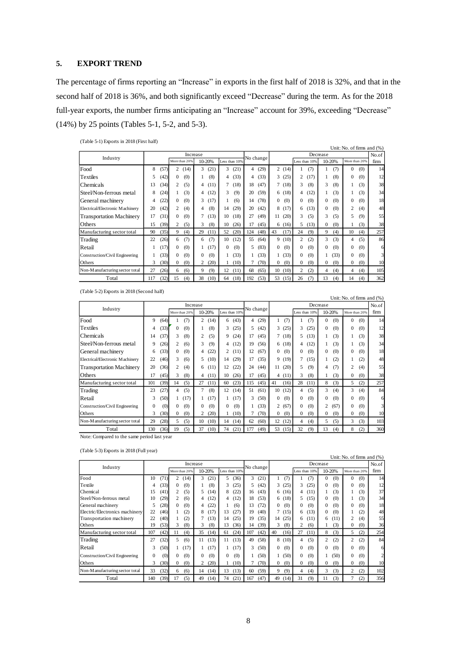#### **5. EXPORT TREND**

The percentage of firms reporting an "Increase" in exports in the first half of 2018 is 32%, and that in the second half of 2018 is 36%, and both significantly exceed "Decrease" during the term. As for the 2018 full-year exports, the number firms anticipating an "Increase" account for 39%, exceeding "Decrease" (14%) by 25 points (Tables 5-1, 5-2, and 5-3).

|  | (Table 5-1) Exports in 2018 (First half) |  |  |
|--|------------------------------------------|--|--|
|  |                                          |  |  |

| $(1.0000)$ $\mu$ $\mu$ $\mu$ $\mu$ $\mu$ $\sigma$ $\sigma$ $(1.0000)$ |     |      |               |          |          |        |          |               |     |           |          |       |                |               |              |        |               |     | Unit: No. of firms and (%) |
|-----------------------------------------------------------------------|-----|------|---------------|----------|----------|--------|----------|---------------|-----|-----------|----------|-------|----------------|---------------|--------------|--------|---------------|-----|----------------------------|
|                                                                       |     |      |               | Increase |          |        |          |               |     |           |          |       |                |               | Decrease     |        |               |     | No.of                      |
| Industry                                                              |     |      | More than 20% |          |          | 10-20% |          | Less than 10% |     | No change |          |       |                | Less than 10% |              | 10-20% | More than 20% |     | firm                       |
| Food                                                                  | 8   | (57) | 2             | (14)     | 3        | (21)   | 3        | (21)          | 4   | (29)      |          | 2(14) |                | (7)           |              | (7)    | $\Omega$      | (0) | 14                         |
| Textiles                                                              | 5   | (42) | $\Omega$      | (0)      |          | (8)    | 4        | (33)          | 4   | (33)      |          | 3(25) | 2              | (17)          |              | (8)    | $\Omega$      | (0) | 12                         |
| <b>Chemicals</b>                                                      | 13  | (34) | 2             | (5)      | 4        | (11)   | $\tau$   | (18)          | 18  | (47)      |          | 7(18) | 3              | (8)           | 3            | (8)    |               | (3) | 38                         |
| Steel/Non-ferrous metal                                               | 8   | (24) |               | (3)      | 4        | (12)   | 3        | (9)           | 20  | (59)      | 6        | (18)  | 4              | (12)          |              | (3)    |               | (3) | 34                         |
| General machinery                                                     | 4   | (22) | 0             | (0)      | 3        | (17)   |          | (6)           | 14  | (78)      | 0        | (0)   | $\Omega$       | (0)           | $\Omega$     | (0)    | $\Omega$      | (0) | 18                         |
| Electrical/Electronic Machinery                                       | 20  | (42) | 2             | (4)      | 4        | (8)    | 14       | (29)          | 20  | (42)      | 8        | (17)  | 6              | (13)          | $\Omega$     | (0)    | 2             | (4) | 48                         |
| <b>Transportation Machinery</b>                                       | 17  | (31) | 0             | (0)      | 7        | (13)   | 10       | (18)          | 27  | (49)      | 11       | (20)  | 3              | (5)           | 3            | (5)    | 5             | (9) | 55                         |
| Others                                                                | 15  | (39) | 2             | (5)      | 3        | (8)    | 10       | (26)          | 17  | (45)      |          | 6(16) | 5              | (13)          | $\mathbf{0}$ | (0)    |               | (3) | 38                         |
| Manufacturing sector total                                            | 90  | (35) | 9             | (4)      | 29       | (11)   | 52       | (20)          | 124 | (48)      | 43       | (17)  | 24             | (9)           | 9            | (4)    | 10            | (4) | 257                        |
| Trading                                                               | 22  | (26) | 6             | (7)      | 6        | (7)    | 10       | (12)          | 55  | (64)      |          | 9(10) | $\overline{c}$ | (2)           | 3            | (3)    | 4             | (5) | 86                         |
| Retail                                                                |     | (17) | $\Omega$      | (0)      |          | (17)   | $\Omega$ | (0)           | 5.  | (83)      | $\Omega$ | (0)   | $\Omega$       | (0)           | $\Omega$     | (0)    | $\Omega$      | (0) | 6                          |
| Construction/Civil Engineering                                        |     | (33) | $\Omega$      | (0)      | $\Omega$ | (0)    |          | (33)          |     | (33)      |          | (33)  | $\Omega$       | (0)           |              | (33)   | $\mathbf{0}$  | (0) | 3                          |
| Others                                                                | 3   | (30) | 0             | (0)      | 2        | (20)   |          | (10)          |     | (70)      | $\Omega$ | (0)   | $\Omega$       | (0)           | $\Omega$     | (0)    | $\Omega$      | (0) | 10                         |
| Non-Manufacturing sector total                                        | 27  | (26) | 6             | (6)      | 9        | (9)    | 12       | (11)          | 68  | (65)      | 10       | (10)  | 2              | (2)           | 4            | (4)    | 4             | (4) | 105                        |
| Total                                                                 | 117 | (32) | 15            | (4)      | 38       | (10)   | 64       | (18)          | 192 | (53)      | 53       | (15)  | 26             | (7)           | 13           | (4)    | 14            | (4) | 362                        |

(Table 5-2) Exports in 2018 (Second half)

|                                 |          |      |              | Increase      |                |        |                |               |                |           |                |         |                |               | Decrease     |        |               |     | No.of |
|---------------------------------|----------|------|--------------|---------------|----------------|--------|----------------|---------------|----------------|-----------|----------------|---------|----------------|---------------|--------------|--------|---------------|-----|-------|
| Industry                        |          |      |              | More than 20% |                | 10-20% |                | Less than 10% |                | No change |                |         |                | Less than 10% |              | 10-20% | More than 20% |     | firm  |
| Food                            | 9        | (64) |              | (7)           | $\overline{2}$ | (14)   | 6              | (43)          | $\overline{4}$ | (29)      |                | (7)     |                | (7)           | $\Omega$     | (0)    | $\Omega$      | (0) | 14    |
| Textiles                        | 4        | (33) | $\mathbf{0}$ | (0)           |                | (8)    | 3              | (25)          | 5              | (42)      |                | 3(25)   | 3              | (25)          | $\mathbf{0}$ | (0)    | $\Omega$      | (0) | 12    |
| Chemicals                       | 14       | (37) | 3            | (8)           | 2              | (5)    | 9              | (24)          | 17             | (45)      |                | 7(18)   | 5              | (13)          |              | (3)    | 1             | (3) | 38    |
| Steel/Non-ferrous metal         | 9        | (26) | 2            | (6)           | 3              | (9)    | $\overline{4}$ | (12)          | 19             | (56)      |                | 6(18)   | $\overline{4}$ | (12)          |              | (3)    |               | (3) | 34    |
| General machinery               | 6        | (33) | $\Omega$     | (0)           | 4              | (22)   | $\overline{2}$ | (11)          | 12             | (67)      | $\Omega$       | (0)     | 0              | (0)           | $\mathbf{0}$ | (0)    | $\Omega$      | (0) | 18    |
| Electrical/Electronic Machinery | 22       | (46) | 3            | (6)           | 5.             | (10)   | 14             | (29)          | 17             | (35)      |                | 9(19)   | 7              | (15)          |              | (2)    |               | (2) | 48    |
| <b>Transportation Machinery</b> | 20       | (36) | 2            | (4)           | 6              | (11)   | 12             | (22)          | 24             | (44)      | 11.            | (20)    | 5              | (9)           | 4            | (7)    | 2             | (4) | 55    |
| Others                          | 17       | (45) | 3            | (8)           | 4              | (11)   | 10             | (26)          | 17             | (45)      |                | 4(11)   | 3              | (8)           |              | (3)    | $\Omega$      | (0) | 38    |
| Manufacturing sector total      | 101      | (39) | 14           | (5)           | 27             | (11)   | 60             | (23)          | 115            | (45)      | 41             | (16)    | 28             | (11)          | 8            | (3)    | 5             | (2) | 257   |
| Trading                         | 23       | (27) | 4            | (5)           | 7              | (8)    | 12             | (14)          | 51             | (61)      | 10             | (12)    | 4              | (5)           | 3            | (4)    | 3             | (4) | 84    |
| Retail                          | 3        | (50) |              | (17)          |                | (17)   | 1.             | (17)          | 3.             | (50)      | $\Omega$       | (0)     | $\Omega$       | (0)           | $\Omega$     | (0)    | $\Omega$      | (0) | 6     |
| Construction/Civil Engineering  | $\Omega$ | (0)  | $\Omega$     | (0)           | $\Omega$       | (0)    | $\Omega$       | (0)           |                | (33)      |                | 2(67)   | 0              | (0)           | 2            | (67)   | 0             | (0) | 3     |
| Others                          | 3        | (30) | $\mathbf{0}$ | (0)           | 2              | (20)   |                | (10)          | 7              | (70)      | $\overline{0}$ | (0)     | 0              | (0)           | $\mathbf{0}$ | (0)    | $\mathbf{0}$  | (0) | 10    |
| Non-Manufacturing sector total  | 29       | (28) | 5            | (5)           | 10             | (10)   | 14             | (14)          | 62             | (60)      |                | 12(12)  | 4              | (4)           | 5            | (5)    | 3             | (3) | 103   |
| Total                           | 130      | (36) | 19           | (5)           | 37             | (10)   | 74             | (21)          | 177            | (49)      |                | 53 (15) | 32             | (9)           | 13           | (4)    | 8             | (2) | 360   |

(Table 5-3) Exports in 2018 (Full year)

|                                |          |      |               |            |                 |           |      |                       |                 |                     | UNII: NO. OI IIMS and (%) |                |
|--------------------------------|----------|------|---------------|------------|-----------------|-----------|------|-----------------------|-----------------|---------------------|---------------------------|----------------|
| Industry                       |          |      |               | Increase   |                 | No change |      |                       |                 | Decrease            |                           | No.of          |
|                                |          |      | More than 20% | 10-20%     | Less than 10%   |           |      |                       | Less than 10%   | 10-20%              | More than 20%             | firm           |
| Food                           | 10       | (71) | 2<br>(14)     | 3<br>(21)  | (36)<br>5.      | 3         | (21) | (7)                   | (7)             | $\Omega$<br>(0)     | $\Omega$<br>(0)           | 14             |
| Textile                        | 4        | (33) | (0)<br>0      | (8)        | (25)<br>3       | 5         | (42) | 3(25)                 | (25)<br>3       | (0)<br>$\Omega$     | (0)<br>$\Omega$           | 12             |
| Chemical                       | 15       | (41) | 2<br>(5)      | (14)<br>5  | (22)<br>8       | 16        | (43) | 6(16)                 | (11)<br>4       | (3)                 | (3)                       | 37             |
| Steel/Non-ferrous metal        | 10       | (29) | (6)<br>2      | (12)<br>4  | (12)<br>4       | 18        | (53) | 6(18)                 | (15)<br>5       | $\Omega$<br>(0)     | (3)                       | 34             |
| General machinery              | 5        | (28) | (0)<br>0      | (22)<br>4  | (6)             | 13        | (72) | (0)<br>$\Omega$       | (0)<br>0        | $\Omega$<br>(0)     | (0)<br>$\Omega$           | 18             |
| Electric/Electronics machinery | 22       | (46) | (2)           | (17)<br>8  | 13<br>(27)      | 19        | (40) | 7(15)                 | (13)<br>6       | $\Omega$<br>(0)     | (2)                       | 48             |
| Transportation machinery       | 22       | (40) | (2)           | (13)       | (25)<br>14      | 19        | (35) | (25)<br>14            | (11)<br>6       | (11)<br>6           | 2<br>(4)                  | 55             |
| Others                         | 19       | (53) | (8)<br>3      | (8)<br>3   | 13<br>(36)      | 14        | (39) | 3<br>(8)              | 2<br>(6)        | (3)                 | (0)<br>0                  | 36             |
| Manufacturing sector total     | 107      | (42) | (4)<br>11     | 35<br>(14) | (24)<br>61      | 107       | (42) | 40<br>(16)            | 27<br>(11)      | 8<br>(3)            | (2)<br>5                  | 254            |
| Trading                        | 27       | (32) | (6)<br>5.     | (13)<br>11 | (13)<br>11      | 49        | (58) | 8(10)                 | (5)<br>4        | 2<br>(2)            | 2<br>(2)                  | 84             |
| Retail                         | 3        | (50) | (17)          | (17)       | (17)            | 3         | (50) | (0)<br>$\Omega$       | $\Omega$<br>(0) | $\Omega$<br>(0)     | (0)<br>$\Omega$           | 6              |
| Construction/Civil Engineering | $\Omega$ | (0)  | (0)<br>0      | (0)<br>0   | (0)<br>$\Omega$ |           | (50) | 1(50)                 | $\Omega$<br>(0) | (50)                | $\Omega$<br>(0)           | $\overline{c}$ |
| Others                         | 3        | (30) | (0)<br>0      | (20)       | (10)            |           | (70) | (0)<br>$\overline{0}$ | (0)<br>0        | (0)<br>$\mathbf{0}$ | (0)<br>$\mathbf{0}$       | 10             |
| Non-Manufacturing sector total | 33       | (32) | (6)<br>6      | 14<br>(14) | (13)<br>13      | 60        | (59) | 9<br>(9)              | (4)<br>4        | 3<br>(3)            | (2)<br>2                  | 102            |
| Total                          | 140      | (39) | (5)<br>17     | 49<br>(14) | (21)<br>74      | 167       | (47) | 49<br>(14)            | 31<br>(9)       | (3)<br>11           | (2)                       | 356            |

Unit: No. of firms and (%)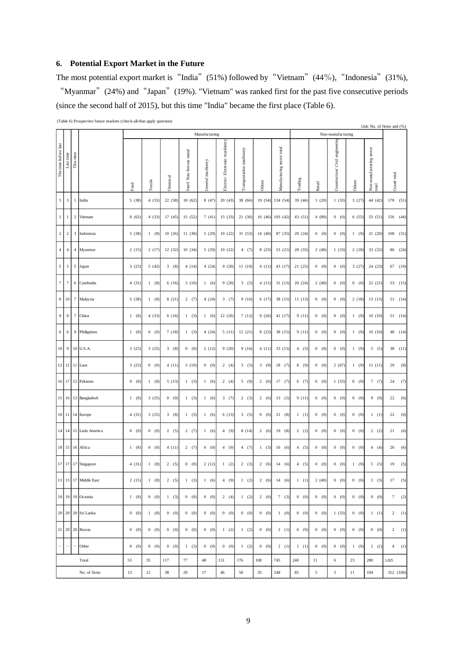## **6. Potential Export Market in the Future**

The most potential export market is "India" (51%) followed by "Vietnam" (44%), "Indonesia" (31%), "Myanmar" (24%) and "Japan" (19%). "Vietnam" was ranked first for the past five consecutive periods (since the second half of 2015), but this time "India" became the first place (Table 6).

(Table 6) Prospective future markets (check-all-that-apply question)

|                      |                          |                | (Table 6) Prospective future markets (cneck-all-that-apply question) |       |         |          |                         |                   |                               |                          |         |                            |         |            |                                 |        |                                   | Unit: No. of firms and (%) |
|----------------------|--------------------------|----------------|----------------------------------------------------------------------|-------|---------|----------|-------------------------|-------------------|-------------------------------|--------------------------|---------|----------------------------|---------|------------|---------------------------------|--------|-----------------------------------|----------------------------|
|                      |                          |                |                                                                      |       |         |          |                         | Manufacturing     |                               |                          |         |                            |         |            | Non-manufacturing               |        |                                   |                            |
| The time before last | Last time                | This time      |                                                                      | Food  | Textile | Chemical | Steel/Non-ferrous metal | General machinery | Electric/Electronic machinery | Transportation machinery | Others  | Manufacturing sector total | Trading | Retail     | Construction/ Civil engineering | Others | Non-manufacturing sector<br>total | Grand total                |
| $\mathbf{3}$         | $\sqrt{3}$               | $\mathbf{1}$   | India                                                                | 5(38) | 4(33)   | 22(58)   | 18 (62)                 | 8(47)             | 20(43)                        | 38 (66)                  | 19 (54) | 134 (54)                   | 39 (46) | 1(20)      | 1(33)                           | 3(27)  | 44 (42)                           | 178 (51)                   |
| $1\,$                | $\mathbf{1}$             | $\,2$          | Vietnam                                                              | 8(62) | 4(33)   | 17(45)   | 15 (52)                 | 7(41)             | 15 (33)                       | 21(36)                   | 16 (46) | 103(42)                    | 43 (51) | 4(80)      | 0(0)                            | 6(55)  | 53 (51                            | (44)<br>156                |
| $\sqrt{2}$           | $\sqrt{2}$               | 3              | Indonesia                                                            | 5(38) | 1(8)    | 10(26)   | 11 (38)                 | 5(29)             | 10(22)                        | 31 (53)                  | 14 (40) | 87 (35)                    | 20(24)  | 0 (0)      | 0 (0)                           | 1(9)   | 21 (20)                           | $108$ (31)                 |
| 4 <sup>1</sup>       | $\sqrt{4}$               | 4              | Myanmar                                                              | 2(15) | 2(17)   | 12(32)   | 10(34)                  | 5(29)             | 10(22)                        | 4(7)                     | 8(23)   | 53 (21)                    | 28 (33) | 2(40)      | 1(33)                           | 2(18)  | 33 (32)                           | 86 (24)                    |
| 5 <sup>1</sup>       | $\sqrt{5}$               | 5              | Japan                                                                | 3(23) | 5(42)   | 3(8)     | 4(14)                   | 4(24)             | 9(20)                         | 11 (19)                  | 4(11)   | 43 (17)                    | 21(25)  | 0 (0)      | 0 (0)                           | 3(27)  | 24 (23)                           | 67 (19)                    |
| $\boldsymbol{7}$     | $\tau$                   | 6              | Cambodia                                                             | 4(31) | 1(8)    | 6(16)    | 3(10)                   | 1(6)              | 9(20)                         | 3(5)                     | 4(11)   | 31(13)                     | 20 (24) | 2(40)      | 0(0)                            | 0 (0)  | 22 (21)                           | 53 (15)                    |
| 8 <sup>1</sup>       | 10                       | $\tau$         | Malaysia                                                             | 5(38) | 1(8)    | 8(21)    | 2(7)                    | 4(24)             | 3(7)                          | 9(16)                    | 6(17)   | 38 (15)                    | 11(13)  | 0 (0)      | 0 (0)                           | 2(18)  | 13(13)                            | 51(14)                     |
| 9 <sup>1</sup>       | $\,$ 8 $\,$              | $\overline{7}$ | China                                                                | 1(8)  | 4(33)   | 6(16)    | 1(3)                    | 1(6)              | 12(26)                        | 7(12)                    | 9(26)   | 41 (17)                    | 9(11)   | 0 (0)      | 0 (0)                           | 1(9)   | 10(10)                            | 51 (14)                    |
| 6 <sup>1</sup>       | $\sqrt{6}$               | 9              | Philippines                                                          | 1(8)  | 0 (0)   | 7(18)    | 1(3)                    | 4(24)             | 5(11)                         | 12(21)                   | 8(23)   | 38 (15)                    | 9(11)   | 0 (0)      | 0 (0)                           | 1(9)   | 10(10)                            | (14)<br>48                 |
| 10 <sup>1</sup>      | $\boldsymbol{9}$         |                | 10 U.S.A.                                                            | 3(23) | 3(25)   | 3(8)     | 0 (0)                   | 2(12)             | 9(20)                         | 9(16)                    | 4(11)   | 33 (13)                    | 4(5)    | 0 (0)      | 0 (0)                           | 1(9)   | 5(5)                              | 38<br>(11)                 |
|                      |                          |                | 12 12 11 Laos                                                        | 3(23) | 0 (0)   | 4(11)    | 3(10)                   | 0 (0)             | 2(4)                          | 3(5)                     | 3(9)    | 18(7)                      | 8(9)    | 0 (0)      | 2(67)                           | 1(9)   | 11(11)                            | (8)<br>29                  |
|                      | 16 17                    |                | 12 Pakistan                                                          | 0 (0) | 1(8)    | 5(13)    | 1(3)                    | 1(6)              | 2(4)                          | 5(9)                     | 2(6)    | 17(7)                      | 6(7)    | 0 (0)      | 1(33)                           | 0 (0)  | 7(7)                              | (7)<br>24                  |
|                      | 15 16                    |                | 13 Bangladesh                                                        | 1(8)  | 3(25)   | 0 (0)    | 1(3)                    | 1(6)              | 3(7)                          | 2(3)                     | 2(6)    | 13(5)                      | 9(11)   | 0 (0)      | 0 (0)                           | 0 (0)  | 9(9)                              | $22\,$<br>(6)              |
| $10\,$ $11$          |                          |                | 14 Europe                                                            | 4(31) | 3(25)   | 3(8)     | 1(3)                    | 1(6)              | 6(13)                         | 3(5)                     | 0 (0)   | 21(8)                      | 1(1)    | 0 (0)      | 0 (0)                           | 0 (0)  | 1(1)                              | 22<br>(6)                  |
|                      | 14 14                    | 15             | Latin Ametica                                                        | 0 (0) | 0 (0)   | 2(5)     | 2(7)                    | 1(6)              | 4(9)                          | 8(14)                    | 2(6)    | 19(8)                      | 2(2)    | 0 (0)      | 0 (0)                           | 0 (0)  | 2(2)                              | (6)<br>21                  |
|                      | 18 15                    | 16             | Africa                                                               | 1(8)  | 0 (0)   | 4(11)    | 2(7)                    | 0 (0)             | 4(9)                          | 4(7)                     | 1(3)    | 16(6)                      | 4(5)    | 0 (0)      | 0 (0)                           | 0 (0)  | 4(4)                              | (6)<br>20                  |
|                      |                          |                | 17 17 17 Singapore                                                   | 4(31) | 1(8)    | 2(5)     | 0 (0)                   | 2(12)             | 1(2)                          | 2(3)                     | 2(6)    | 14(6)                      | 4(5)    | 0 (0)      | 0(0)                            | 1(9)   | 5(5)                              | (5)<br>19                  |
|                      |                          |                | 13 13 17 Middle East                                                 | 2(15) | 1(8)    | 2(5)     | 1(3)                    | 1(6)              | 4(9)                          | 1(2)                     | 2(6)    | 14(6)                      | 1(1)    | 2(40)      | 0 (0)                           | 0 (0)  | 3(3)                              | (5)<br>17                  |
|                      | 18 19 19                 |                | Oceania                                                              | 1(8)  | 0 (0)   | 1(3)     | 0 (0)                   | 0 (0)             | 2(4)                          | 1(2)                     | 2(6)    | 7(3)                       | 0 (0)   | 0 (0)      | 0(0)                            | 0 (0)  | 0 (0)                             | 7(2)                       |
|                      | 20 20 20                 |                | Sri Lanka                                                            | 0 (0) | 1(8)    | 0 (0)    | 0 (0)                   | 0 (0)             | 0 (0)                         | 0 (0)                    | 0 (0)   | 1 (0)                      | 0 (0)   | 0 (0)      | 1(33)                           | 0 (0)  | 1(1)                              | 2(1)                       |
|                      | 21 20                    | 20             | Russia                                                               | 0 (0) | 0 (0)   | 0 (0)    | 0 (0)                   | 0 (0)             | 1(2)                          | 1(2)                     | 0 (0)   | 2(1)                       | 0 (0)   | 0 (0)      | 0 (0)                           | 0 (0)  | 0 (0)                             | 2(1)                       |
|                      | $\overline{\phantom{0}}$ |                | Other                                                                | 0 (0) | 0 (0)   | 0 (0)    | 1(3)                    | 0 (0)             | 0 (0)                         | 1(2)                     | 0 (0)   | 2(1)                       | 1(1)    | 0 (0)      | 0 (0)                           | 1(9)   | 2(2)                              | 4(1)                       |
|                      |                          |                | Total                                                                | 53    | 35      | 117      | 77                      | 48                | 131                           | 176                      | 108     | 745                        | 240     | 11         | 6                               | 23     | 280                               | 1,025                      |
|                      |                          |                | No. of firms                                                         | 13    | 12      | 38       | 29                      | 17                | 46                            | 58                       | 35      | 248                        | 85      | $\sqrt{5}$ | $\sqrt{3}$                      | 11     | 104                               | 352 (100)                  |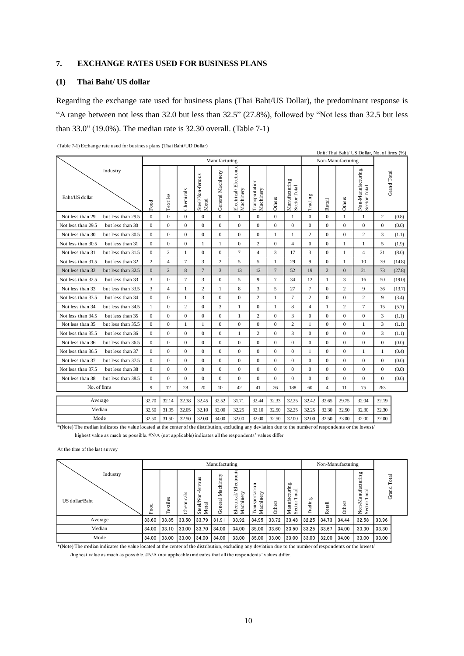#### **7. EXCHANGE RATES USED FOR BUSINESS PLANS**

## **(1) Thai Baht/ US dollar**

Regarding the exchange rate used for business plans (Thai Baht/US Dollar), the predominant response is "A range between not less than 32.0 but less than 32.5" (27.8%), followed by "Not less than 32.5 but less than 33.0" (19.0%). The median rate is 32.30 overall. (Table 7-1)

|                                                                                                                                                           |                  | Unit: Thai Baht/ US Dollar, No. of firms (%)<br>Manufacturing<br>Non-Manufacturing |                  |                            |                   |                                    |                             |                  |                               |                          |                  |                   |                                   |                  |        |
|-----------------------------------------------------------------------------------------------------------------------------------------------------------|------------------|------------------------------------------------------------------------------------|------------------|----------------------------|-------------------|------------------------------------|-----------------------------|------------------|-------------------------------|--------------------------|------------------|-------------------|-----------------------------------|------------------|--------|
|                                                                                                                                                           |                  |                                                                                    |                  |                            |                   |                                    |                             |                  |                               |                          |                  |                   |                                   |                  |        |
| Industry<br>Baht/US dollar                                                                                                                                | Food             | <b>Textiles</b>                                                                    | Chemicals        | Steel/Non-ferrous<br>Metal | General Machinery | Electrical/Electronic<br>Machinery | Transportation<br>Machinery | Others           | Manufacturing<br>Sector Total | Trading                  | Retail           | Others            | Non-Manufacturing<br>Sector Total | Grand Total      |        |
| Not less than 29<br>but less than 29.5                                                                                                                    | $\mathbf{0}$     | $\mathbf{0}$                                                                       | $\overline{0}$   | $\boldsymbol{0}$           | $\boldsymbol{0}$  | $\mathbf{1}$                       | $\boldsymbol{0}$            | $\mathbf 0$      | $\mathbf{1}$                  | $\mathbf{0}$             | $\boldsymbol{0}$ | $\mathbf{1}$      | $\mathbf{1}$                      | $\overline{c}$   | (0.8)  |
| Not less than 29.5<br>but less than 30                                                                                                                    | $\bf{0}$         | $\boldsymbol{0}$                                                                   | $\mathbf{0}$     | $\boldsymbol{0}$           | $\mathbf{0}$      | 0                                  | 0                           | 0                | $\boldsymbol{0}$              | $\boldsymbol{0}$         | $\boldsymbol{0}$ | $\boldsymbol{0}$  | $\boldsymbol{0}$                  | $\boldsymbol{0}$ | (0.0)  |
| Not less than 30<br>but less than 30.5                                                                                                                    | $\mathbf{0}$     | $\boldsymbol{0}$                                                                   | $\overline{0}$   | $\mathbf{0}$               | $\boldsymbol{0}$  | $\boldsymbol{0}$                   | $\boldsymbol{0}$            | 1                | 1                             | 2                        | $\mathbf{0}$     | $\mathbf{0}$      | $\overline{c}$                    | 3                | (1.1)  |
| Not less than 30.5<br>but less than 31                                                                                                                    | $\mathbf{0}$     | $\mathbf{0}$                                                                       | $\overline{0}$   | 1                          | 1                 | $\mathbf{0}$                       | $\overline{c}$              | $\mathbf{0}$     | $\overline{4}$                | $\overline{0}$           | $\mathbf{0}$     | 1                 | 1                                 | 5                | (1.9)  |
| Not less than 31<br>but less than 31.5                                                                                                                    | $\mathbf{0}$     | 2                                                                                  | 1                | $\mathbf{0}$               | $\boldsymbol{0}$  | 7                                  | $\overline{4}$              | 3                | 17                            | 3                        | $\overline{0}$   | 1                 | $\overline{4}$                    | 21               | (8.0)  |
| Not less than 31.5<br>but less than 32                                                                                                                    | $\overline{c}$   | $\overline{4}$                                                                     | $\overline{7}$   | 3                          | $\overline{c}$    | 5                                  | 5                           | 1                | 29                            | 9                        | $\mathbf{0}$     | 1                 | 10                                | 39               | (14.8) |
| Not less than 32<br>but less than 32.5                                                                                                                    | $\mathbf{0}$     | $\overline{c}$                                                                     | 8                | $\overline{7}$             | 3                 | 13                                 | 12                          | $\overline{7}$   | 52                            | 19                       | $\overline{2}$   | $\mathbf{0}$      | 21                                | 73               | (27.8) |
| Not less than 32.5<br>but less than 33                                                                                                                    | 3                | $\overline{0}$                                                                     | $\overline{7}$   | 3                          | $\mathbf{0}$      | 5                                  | 9                           | $\overline{7}$   | 34                            | 12                       | $\mathbf{1}$     | 3                 | 16                                | 50               | (19.0) |
| but less than 33.5<br>Not less than 33                                                                                                                    | 3                | $\overline{4}$                                                                     | $\mathbf{1}$     | $\overline{c}$             | $\mathbf{1}$      | 8                                  | 3                           | 5                | 27                            | $\overline{7}$           | $\overline{0}$   | $\overline{c}$    | 9                                 | 36               | (13.7) |
| Not less than 33.5<br>but less than 34                                                                                                                    | $\mathbf{0}$     | $\mathbf{0}$                                                                       | $\,1$            | 3                          | $\boldsymbol{0}$  | $\boldsymbol{0}$                   | $\overline{c}$              | $\,1\,$          | $\tau$                        | $\overline{c}$           | $\overline{0}$   | $\mathbf{0}$      | $\overline{c}$                    | 9                | (3.4)  |
| Not less than 34<br>but less than 34.5                                                                                                                    | 1                | $\boldsymbol{0}$                                                                   | $\overline{c}$   | $\boldsymbol{0}$           | 3                 | $\mathbf{1}$                       | $\boldsymbol{0}$            | $\mathbf{1}$     | $\,$ 8 $\,$                   | $\overline{\mathcal{L}}$ | $\mathbf{1}$     | 2                 | $\tau$                            | 15               | (5.7)  |
| Not less than 34.5<br>but less than 35                                                                                                                    | $\boldsymbol{0}$ | $\boldsymbol{0}$                                                                   | $\mathbf{0}$     | $\boldsymbol{0}$           | $\boldsymbol{0}$  | $\,1$                              | $\mathbf{2}$                | $\boldsymbol{0}$ | 3                             | $\boldsymbol{0}$         | $\mathbf{0}$     | $\boldsymbol{0}$  | $\boldsymbol{0}$                  | 3                | (1.1)  |
| Not less than 35<br>but less than 35.5                                                                                                                    | $\boldsymbol{0}$ | $\boldsymbol{0}$                                                                   | $\mathbf{1}$     | $\mathbf{1}$               | $\boldsymbol{0}$  | $\boldsymbol{0}$                   | $\boldsymbol{0}$            | $\boldsymbol{0}$ | $\overline{c}$                | 1                        | $\mathbf{0}$     | $\boldsymbol{0}$  | $\mathbf{1}$                      | 3                | (1.1)  |
| Not less than 35.5<br>but less than 36                                                                                                                    | $\boldsymbol{0}$ | $\boldsymbol{0}$                                                                   | $\boldsymbol{0}$ | $\mathbf{0}$               | $\boldsymbol{0}$  | $\mathbf{1}$                       | $\overline{c}$              | $\boldsymbol{0}$ | 3                             | $\boldsymbol{0}$         | $\mathbf{0}$     | $\boldsymbol{0}$  | $\boldsymbol{0}$                  | 3                | (1.1)  |
| Not less than 36<br>but less than 36.5                                                                                                                    | $\boldsymbol{0}$ | $\boldsymbol{0}$                                                                   | $\boldsymbol{0}$ | $\mathbf{0}$               | $\boldsymbol{0}$  | $\boldsymbol{0}$                   | $\boldsymbol{0}$            | $\boldsymbol{0}$ | $\boldsymbol{0}$              | 0                        | $\boldsymbol{0}$ | $\mathbf{0}$      | $\mathbf{0}$                      | $\boldsymbol{0}$ | (0.0)  |
| Not less than 36.5<br>but less than 37                                                                                                                    | $\bf{0}$         | $\boldsymbol{0}$                                                                   | $\mathbf{0}$     | $\boldsymbol{0}$           | $\boldsymbol{0}$  | $\boldsymbol{0}$                   | $\boldsymbol{0}$            | $\boldsymbol{0}$ | $\boldsymbol{0}$              | 1                        | $\mathbf{0}$     | $\boldsymbol{0}$  | 1                                 | 1                | (0.4)  |
| Not less than 37<br>but less than 37.5                                                                                                                    | $\mathbf{0}$     | $\mathbf{0}$                                                                       | $\overline{0}$   | $\mathbf{0}$               | $\boldsymbol{0}$  | $\boldsymbol{0}$                   | $\boldsymbol{0}$            | $\mathbf{0}$     | $\mathbf{0}$                  | $\overline{0}$           | $\mathbf{0}$     | $\mathbf{0}$      | $\mathbf{0}$                      | $\overline{0}$   | (0.0)  |
| Not less than 37.5<br>but less than 38                                                                                                                    | $\mathbf{0}$     | $\overline{0}$                                                                     | $\overline{0}$   | $\mathbf{0}$               | $\boldsymbol{0}$  | $\overline{0}$                     | $\mathbf{0}$                | $\mathbf{0}$     | $\mathbf{0}$                  | $\mathbf{0}$             | $\mathbf{0}$     | $\mathbf{0}$      | $\mathbf{0}$                      | $\mathbf{0}$     | (0.0)  |
| Not less than 38<br>but less than 38.5                                                                                                                    | $\mathbf{0}$     | $\overline{0}$                                                                     | $\overline{0}$   | $\overline{0}$             | $\boldsymbol{0}$  | $\overline{0}$                     | $\mathbf{0}$                | $\mathbf{0}$     | $\mathbf{0}$                  | 0                        | $\mathbf{0}$     | $\mathbf{0}$      | $\boldsymbol{0}$                  | $\mathbf{0}$     | (0.0)  |
| No. of firms                                                                                                                                              | 9                | 12                                                                                 | 28               | 20                         | 10                | 42                                 | 41                          | 26               | 188                           | 60                       | $\overline{4}$   | 11                | 75                                | 263              |        |
| Average                                                                                                                                                   | 32.70            | 32.14                                                                              | 32.38            | 32.45                      | 32.52             | 31.71                              | 32.44                       | 32.33            | 32.25                         | 32.42                    | 32.65            | 29.75             | 32.04                             | 32.19            |        |
| Median                                                                                                                                                    | 32.50            | 31.95                                                                              | 32.05            | 32.10                      | 32.00             | 32.25                              | 32.10                       | 32.50            | 32.25                         | 32.25                    | 32.30            | 32.50             | 32.30                             | 32.30            |        |
| Mode                                                                                                                                                      | 32.50            | 31.50                                                                              | 32.50            | 32.00                      | 34.00             | 32.00                              | 32.00                       | 32.50            | 32.00                         | 32.00                    | 32.50            | 33.00             | 32.00                             | 32.00            |        |
| *(Note) The median indicates the value located at the center of the distribution, excluding any deviation due to the number of respondents or the lowest/ |                  |                                                                                    |                  |                            |                   |                                    |                             |                  |                               |                          |                  |                   |                                   |                  |        |
| highest value as much as possible. #N/A (not applicable) indicates all the respondents' values differ.                                                    |                  |                                                                                    |                  |                            |                   |                                    |                             |                  |                               |                          |                  |                   |                                   |                  |        |
| At the time of the last survey                                                                                                                            |                  |                                                                                    |                  |                            |                   |                                    |                             |                  |                               |                          |                  |                   |                                   |                  |        |
|                                                                                                                                                           |                  |                                                                                    |                  |                            | Manufacturing     |                                    |                             |                  |                               |                          |                  | Non-Manufacturing |                                   |                  |        |
| Industry                                                                                                                                                  |                  |                                                                                    |                  |                            |                   |                                    |                             |                  |                               |                          |                  |                   |                                   |                  |        |
| US dollar/Baht                                                                                                                                            |                  | <b>Cextiles</b>                                                                    | Chemicals        | Steel/Non-ferrous<br>Metal | General Machinery | Electrical/Electronic<br>Machinery | Transportation<br>Machinery | Others           | Manufacturing<br>Sector Total | Trading                  | Retail           | Others            | Non-Manufacturing<br>Sector Total | Grand Total      |        |
|                                                                                                                                                           | Food             |                                                                                    |                  |                            |                   |                                    |                             |                  |                               |                          |                  |                   |                                   |                  |        |
| Average                                                                                                                                                   | 33.60            | 33.35                                                                              | 33.50            | 33.79                      | 31.91             | 33.92                              | 34.95                       | 33.72            | 33.48                         | 32.25                    | 34.73            | 34.44             | 32.58                             | 33.96            |        |
| Median                                                                                                                                                    | 34.00            | 33.10                                                                              | 33.00            | 33.70                      | 34.00             | 34.00                              | 35.00                       | 33.60            | 33.50                         | 33.25                    | 33.67            | 34.00             | 33.30                             | 33.30            |        |
| Mode                                                                                                                                                      | 34 00            | 33.00                                                                              | 33.00            | 34.00                      | 34 00             | 33.00                              | 35.00                       | 33.00            | 33.00                         | 33.00                    | 32.00            | 34.00             | 33.00                             | 33.00            |        |

(Table 7-1) Exchange rate used for business plans (Thai Baht/UD Dollar)

|                                                                                                                                                          |        |          |         |                                        | Manufacturing               |                                                              |                               |               |                                                      |         |            | Non-Manufacturing |                                                                      |                             |  |
|----------------------------------------------------------------------------------------------------------------------------------------------------------|--------|----------|---------|----------------------------------------|-----------------------------|--------------------------------------------------------------|-------------------------------|---------------|------------------------------------------------------|---------|------------|-------------------|----------------------------------------------------------------------|-----------------------------|--|
| Industry<br>US dollar/Baht                                                                                                                               | ह<br>ې | Textiles | hemical | ferrous<br><b>Steel/N</b><br>etal<br>⋝ | nery<br>achii<br>≍<br>neral | Electro<br>$\overline{\mathrm{cal}}$<br>ery<br>Ē<br>Еle<br>⋝ | sportati<br>둥<br>∊<br>Fa<br>z | <b>Others</b> | Ξ<br>anufacturi<br>otal<br>⊢<br>ctor<br>Φ<br>Σ<br>U. | Trading | etail<br>≃ | ω                 | ufacturing<br>$\mathbf{I}$<br>-Man<br>c<br>Sector <sup>'</sup><br>ga | Total<br>Grand <sup>"</sup> |  |
| Average                                                                                                                                                  | 33.60  | 33.35    | 33.50   | 33.79                                  | 131.91                      | 33.92                                                        | 34.95                         | 33.72         | 33.48                                                | 32.25   | 34.73      | 34.44             | 32.58                                                                | 33.96                       |  |
| Median                                                                                                                                                   | 34.00  | 33.10    | 33.00   | 33.70                                  | 34.00                       | 34.00                                                        | 35.00                         | 33.60         | 33.50                                                | 33.25   | 33.67      | 34.00             | 33.30                                                                | 33.30                       |  |
| Mode                                                                                                                                                     | 34.00  | 33.00    | 33.00   | 34.00                                  | 34.00                       | 33.00                                                        | 35.00                         | 33.00         | 33.00                                                | 33.00   | 32.00      | 34.00             | 33.00                                                                | 33.00                       |  |
| *(Note) The median indicates the value located at the center of the distribution, excluding any deviation due to the number of respondents or the lowest |        |          |         |                                        |                             |                                                              |                               |               |                                                      |         |            |                   |                                                                      |                             |  |

/highest value as much as possible. #N/A (not applicable) indicates that all the respondents' values differ.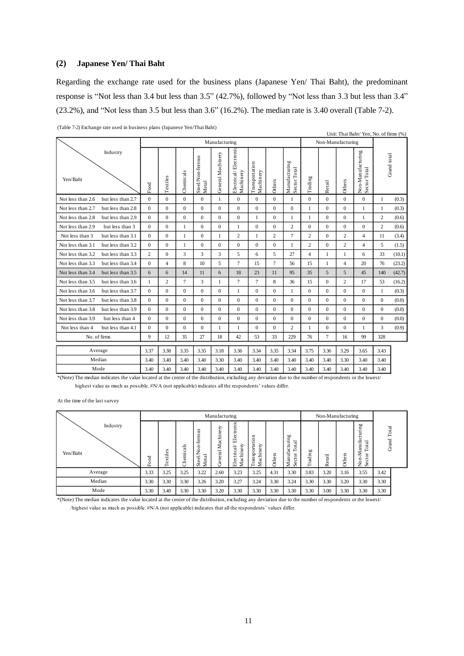#### **(2) Japanese Yen/ Thai Baht**

Regarding the exchange rate used for the business plans (Japanese Yen/ Thai Baht), the predominant response is "Not less than 3.4 but less than 3.5" (42.7%), followed by "Not less than 3.3 but less than 3.4" (23.2%), and "Not less than 3.5 but less than 3.6" (16.2%). The median rate is 3.40 overall (Table 7-2).

|                                                                                                                                                                                                                                                                                                                                                                                                                                                                                                                                                                                                                                                                                                                                                                                                                                                                                                                                                                                                                                                                                                                                                                                                                                                                                                                                                                                                                                                                                                                                                                                                                                                                                                                                                                                                                                                                                                                                                                                                                                                                                                                                                                                                                                                                                                                                                                                                                                                                                                                                                                                                                                                                                                                                                                                                                                                                                                                                                                                                                                                                                                                                                                                                                                                                                                                                                                                                  | $(1$ ave $(-2)$ exertaing tale used in business plans $(3)$ apartes tem Than Band                                                                         |                |              |              |              |              |                |              |              |                  |                |              |              |              |              |        |
|--------------------------------------------------------------------------------------------------------------------------------------------------------------------------------------------------------------------------------------------------------------------------------------------------------------------------------------------------------------------------------------------------------------------------------------------------------------------------------------------------------------------------------------------------------------------------------------------------------------------------------------------------------------------------------------------------------------------------------------------------------------------------------------------------------------------------------------------------------------------------------------------------------------------------------------------------------------------------------------------------------------------------------------------------------------------------------------------------------------------------------------------------------------------------------------------------------------------------------------------------------------------------------------------------------------------------------------------------------------------------------------------------------------------------------------------------------------------------------------------------------------------------------------------------------------------------------------------------------------------------------------------------------------------------------------------------------------------------------------------------------------------------------------------------------------------------------------------------------------------------------------------------------------------------------------------------------------------------------------------------------------------------------------------------------------------------------------------------------------------------------------------------------------------------------------------------------------------------------------------------------------------------------------------------------------------------------------------------------------------------------------------------------------------------------------------------------------------------------------------------------------------------------------------------------------------------------------------------------------------------------------------------------------------------------------------------------------------------------------------------------------------------------------------------------------------------------------------------------------------------------------------------------------------------------------------------------------------------------------------------------------------------------------------------------------------------------------------------------------------------------------------------------------------------------------------------------------------------------------------------------------------------------------------------------------------------------------------------------------------------------------------------|-----------------------------------------------------------------------------------------------------------------------------------------------------------|----------------|--------------|--------------|--------------|--------------|----------------|--------------|--------------|------------------|----------------|--------------|--------------|--------------|--------------|--------|
| Unit: Thai Baht/ Yen, No. of firms (%)<br>Manufacturing<br>Non-Manufacturing<br>Electrical/Electronic<br>Non-Manufacturing<br>Sector Total<br>Industry<br>General Machinery<br>Grand total<br>Steel/Non-ferrous<br>Metal<br>Manufacturing<br>Transportation<br>Sector Total<br>Machinery<br>Machinery<br>Chemicals<br>Textiles<br>Trading<br>Yen/Baht<br>Others<br>Others<br>Retail<br>Food<br>$\mathbf{0}$<br>Not less than 2.6<br>$\mathbf{0}$<br>$\overline{0}$<br>$\overline{0}$<br>$\mathbf{0}$<br>$\Omega$<br>$\theta$<br>$\Omega$<br>$\mathbf{0}$<br>$\mathbf{0}$<br>$\Omega$<br>but less than 2.7<br>$\mathbf{1}$<br>$\mathbf{1}$<br>1<br>$\theta$<br>$\Omega$<br>$\Omega$<br>$\overline{0}$<br>$\mathbf{0}$<br>$\Omega$<br>$\theta$<br>$\Omega$<br>$\Omega$<br>$\mathbf{0}$<br>$\Omega$<br>$\mathbf{1}$<br>Not less than 2.7<br>but less than 2.8<br>$\mathbf{1}$<br>$\mathbf{1}$<br>$\mathbf{0}$<br>$\mathbf{0}$<br>$\mathbf{0}$<br>$\overline{c}$<br>Not less than 2.8<br>but less than 2.9<br>$\Omega$<br>$\mathbf{0}$<br>$\mathbf{0}$<br>$\mathbf{0}$<br>$\mathbf{1}$<br>$\mathbf{1}$<br>$\mathbf{0}$<br>$\mathbf{0}$<br>$\mathbf{1}$<br>1<br>$\overline{c}$<br>$\overline{c}$<br>Not less than 2.9<br>but less than 3<br>$\Omega$<br>$\mathbf{0}$<br>1<br>$\mathbf{0}$<br>$\overline{0}$<br>$\mathbf{0}$<br>$\mathbf{0}$<br>$\mathbf{0}$<br>$\mathbf{0}$<br>$\mathbf{0}$<br>$\mathbf{0}$<br>$\mathbf{1}$<br>$\overline{7}$<br>$\Omega$<br>$\mathbf{0}$<br>$\mathbf{0}$<br>$\overline{c}$<br>$\overline{2}$<br>$\overline{c}$<br>$\mathbf{0}$<br>$\overline{4}$<br>Not less than 3<br>but less than 3.1<br>$\mathbf{1}$<br>$\mathbf{1}$<br>$\mathbf{1}$<br>2<br>11<br>$\Omega$<br>$\mathbf{0}$<br>$\mathbf{0}$<br>$\overline{0}$<br>$\Omega$<br>$\mathbf{0}$<br>$\mathbf{1}$<br>$\overline{c}$<br>$\Omega$<br>$\overline{2}$<br>5<br>Not less than 3.1<br>but less than 3.2<br>$\Omega$<br>$\mathbf{1}$<br>$\overline{4}$<br>3<br>3<br>5<br>5<br>$\overline{4}$<br>Not less than 3.2<br>but less than 3.3<br>2<br>$\mathbf{0}$<br>3<br>6<br>27<br>6<br>33<br>$\mathbf{1}$<br>$\mathbf{1}$<br>8<br>10<br>5<br>$\tau$<br>$\overline{7}$<br>56<br>76<br>Not less than 3.3<br>but less than 3.4<br>$\mathbf{0}$<br>$\overline{4}$<br>15<br>15<br>$\overline{4}$<br>20<br>$\mathbf{1}$<br>6<br>18<br>23<br>11<br>95<br>35<br>5<br>5<br>Not less than 3.4<br>but less than 3.5<br>6<br>6<br>14<br>11<br>45<br>140<br>$\overline{7}$<br>8<br>$\overline{c}$<br>3<br>$\tau$<br>$\tau$<br>36<br>15<br>$\overline{c}$<br>17<br>Not less than 3.5<br>but less than 3.6<br>$\mathbf{1}$<br>$\Omega$<br>53<br>$\mathbf{1}$<br>Not less than 3.6<br>but less than 3.7<br>$\overline{0}$<br>$\mathbf{0}$<br>$\mathbf{0}$<br>$\overline{0}$<br>$\mathbf{0}$<br>$\mathbf{0}$<br>$\mathbf{0}$<br>$\mathbf{0}$<br>$\mathbf{0}$<br>$\mathbf{0}$<br>$\Omega$<br>$\mathbf{1}$<br>$\mathbf{1}$<br>$\mathbf{1}$<br>$\Omega$<br>$\mathbf{0}$<br>$\mathbf{0}$<br>$\mathbf{0}$<br>Not less than 3.7<br>$\Omega$<br>$\Omega$<br>$\mathbf{0}$<br>$\mathbf{0}$<br>$\Omega$<br>$\Omega$<br>$\mathbf{0}$<br>$\mathbf{0}$<br>$\mathbf{0}$<br>$\mathbf{0}$<br>but less than 3.8<br>Not less than 3.8<br>but less than 3.9<br>$\Omega$<br>$\Omega$<br>$\mathbf{0}$<br>$\Omega$<br>$\Omega$<br>$\Omega$<br>$\Omega$<br>$\mathbf{0}$<br>$\mathbf{0}$<br>$\mathbf{0}$<br>$\Omega$<br>$\Omega$<br>$\Omega$<br>$\mathbf{0}$ |                                                                                                                                                           |                |              |              |              |              |                |              |              |                  |                |              |              |              |              |        |
|                                                                                                                                                                                                                                                                                                                                                                                                                                                                                                                                                                                                                                                                                                                                                                                                                                                                                                                                                                                                                                                                                                                                                                                                                                                                                                                                                                                                                                                                                                                                                                                                                                                                                                                                                                                                                                                                                                                                                                                                                                                                                                                                                                                                                                                                                                                                                                                                                                                                                                                                                                                                                                                                                                                                                                                                                                                                                                                                                                                                                                                                                                                                                                                                                                                                                                                                                                                                  |                                                                                                                                                           |                |              |              |              |              |                |              |              |                  |                |              |              |              |              |        |
|                                                                                                                                                                                                                                                                                                                                                                                                                                                                                                                                                                                                                                                                                                                                                                                                                                                                                                                                                                                                                                                                                                                                                                                                                                                                                                                                                                                                                                                                                                                                                                                                                                                                                                                                                                                                                                                                                                                                                                                                                                                                                                                                                                                                                                                                                                                                                                                                                                                                                                                                                                                                                                                                                                                                                                                                                                                                                                                                                                                                                                                                                                                                                                                                                                                                                                                                                                                                  |                                                                                                                                                           |                |              |              |              |              |                |              |              |                  |                |              |              |              |              | (0.3)  |
|                                                                                                                                                                                                                                                                                                                                                                                                                                                                                                                                                                                                                                                                                                                                                                                                                                                                                                                                                                                                                                                                                                                                                                                                                                                                                                                                                                                                                                                                                                                                                                                                                                                                                                                                                                                                                                                                                                                                                                                                                                                                                                                                                                                                                                                                                                                                                                                                                                                                                                                                                                                                                                                                                                                                                                                                                                                                                                                                                                                                                                                                                                                                                                                                                                                                                                                                                                                                  |                                                                                                                                                           |                |              |              |              |              |                |              |              |                  |                |              |              |              |              | (0.3)  |
|                                                                                                                                                                                                                                                                                                                                                                                                                                                                                                                                                                                                                                                                                                                                                                                                                                                                                                                                                                                                                                                                                                                                                                                                                                                                                                                                                                                                                                                                                                                                                                                                                                                                                                                                                                                                                                                                                                                                                                                                                                                                                                                                                                                                                                                                                                                                                                                                                                                                                                                                                                                                                                                                                                                                                                                                                                                                                                                                                                                                                                                                                                                                                                                                                                                                                                                                                                                                  |                                                                                                                                                           |                |              |              |              |              |                |              |              |                  |                |              |              |              |              | (0.6)  |
|                                                                                                                                                                                                                                                                                                                                                                                                                                                                                                                                                                                                                                                                                                                                                                                                                                                                                                                                                                                                                                                                                                                                                                                                                                                                                                                                                                                                                                                                                                                                                                                                                                                                                                                                                                                                                                                                                                                                                                                                                                                                                                                                                                                                                                                                                                                                                                                                                                                                                                                                                                                                                                                                                                                                                                                                                                                                                                                                                                                                                                                                                                                                                                                                                                                                                                                                                                                                  |                                                                                                                                                           |                |              |              |              |              |                |              |              |                  |                |              |              |              |              | (0.6)  |
|                                                                                                                                                                                                                                                                                                                                                                                                                                                                                                                                                                                                                                                                                                                                                                                                                                                                                                                                                                                                                                                                                                                                                                                                                                                                                                                                                                                                                                                                                                                                                                                                                                                                                                                                                                                                                                                                                                                                                                                                                                                                                                                                                                                                                                                                                                                                                                                                                                                                                                                                                                                                                                                                                                                                                                                                                                                                                                                                                                                                                                                                                                                                                                                                                                                                                                                                                                                                  |                                                                                                                                                           |                |              |              |              |              |                |              |              |                  |                |              |              |              |              | (3.4)  |
|                                                                                                                                                                                                                                                                                                                                                                                                                                                                                                                                                                                                                                                                                                                                                                                                                                                                                                                                                                                                                                                                                                                                                                                                                                                                                                                                                                                                                                                                                                                                                                                                                                                                                                                                                                                                                                                                                                                                                                                                                                                                                                                                                                                                                                                                                                                                                                                                                                                                                                                                                                                                                                                                                                                                                                                                                                                                                                                                                                                                                                                                                                                                                                                                                                                                                                                                                                                                  |                                                                                                                                                           |                |              |              |              |              |                |              |              |                  |                |              |              |              |              | (1.5)  |
|                                                                                                                                                                                                                                                                                                                                                                                                                                                                                                                                                                                                                                                                                                                                                                                                                                                                                                                                                                                                                                                                                                                                                                                                                                                                                                                                                                                                                                                                                                                                                                                                                                                                                                                                                                                                                                                                                                                                                                                                                                                                                                                                                                                                                                                                                                                                                                                                                                                                                                                                                                                                                                                                                                                                                                                                                                                                                                                                                                                                                                                                                                                                                                                                                                                                                                                                                                                                  |                                                                                                                                                           |                |              |              |              |              |                |              |              |                  |                |              |              |              |              | (10.1) |
|                                                                                                                                                                                                                                                                                                                                                                                                                                                                                                                                                                                                                                                                                                                                                                                                                                                                                                                                                                                                                                                                                                                                                                                                                                                                                                                                                                                                                                                                                                                                                                                                                                                                                                                                                                                                                                                                                                                                                                                                                                                                                                                                                                                                                                                                                                                                                                                                                                                                                                                                                                                                                                                                                                                                                                                                                                                                                                                                                                                                                                                                                                                                                                                                                                                                                                                                                                                                  |                                                                                                                                                           |                |              |              |              |              |                |              |              |                  |                |              |              |              |              | (23.2) |
|                                                                                                                                                                                                                                                                                                                                                                                                                                                                                                                                                                                                                                                                                                                                                                                                                                                                                                                                                                                                                                                                                                                                                                                                                                                                                                                                                                                                                                                                                                                                                                                                                                                                                                                                                                                                                                                                                                                                                                                                                                                                                                                                                                                                                                                                                                                                                                                                                                                                                                                                                                                                                                                                                                                                                                                                                                                                                                                                                                                                                                                                                                                                                                                                                                                                                                                                                                                                  |                                                                                                                                                           |                |              |              |              |              |                |              |              |                  |                |              |              |              |              | (42.7) |
|                                                                                                                                                                                                                                                                                                                                                                                                                                                                                                                                                                                                                                                                                                                                                                                                                                                                                                                                                                                                                                                                                                                                                                                                                                                                                                                                                                                                                                                                                                                                                                                                                                                                                                                                                                                                                                                                                                                                                                                                                                                                                                                                                                                                                                                                                                                                                                                                                                                                                                                                                                                                                                                                                                                                                                                                                                                                                                                                                                                                                                                                                                                                                                                                                                                                                                                                                                                                  |                                                                                                                                                           |                |              |              |              |              |                |              |              |                  |                |              |              |              |              | (16.2) |
|                                                                                                                                                                                                                                                                                                                                                                                                                                                                                                                                                                                                                                                                                                                                                                                                                                                                                                                                                                                                                                                                                                                                                                                                                                                                                                                                                                                                                                                                                                                                                                                                                                                                                                                                                                                                                                                                                                                                                                                                                                                                                                                                                                                                                                                                                                                                                                                                                                                                                                                                                                                                                                                                                                                                                                                                                                                                                                                                                                                                                                                                                                                                                                                                                                                                                                                                                                                                  |                                                                                                                                                           |                |              |              |              |              |                |              |              |                  |                |              |              |              |              | (0.3)  |
|                                                                                                                                                                                                                                                                                                                                                                                                                                                                                                                                                                                                                                                                                                                                                                                                                                                                                                                                                                                                                                                                                                                                                                                                                                                                                                                                                                                                                                                                                                                                                                                                                                                                                                                                                                                                                                                                                                                                                                                                                                                                                                                                                                                                                                                                                                                                                                                                                                                                                                                                                                                                                                                                                                                                                                                                                                                                                                                                                                                                                                                                                                                                                                                                                                                                                                                                                                                                  |                                                                                                                                                           |                |              |              |              |              |                |              |              |                  |                |              |              |              |              | (0.0)  |
|                                                                                                                                                                                                                                                                                                                                                                                                                                                                                                                                                                                                                                                                                                                                                                                                                                                                                                                                                                                                                                                                                                                                                                                                                                                                                                                                                                                                                                                                                                                                                                                                                                                                                                                                                                                                                                                                                                                                                                                                                                                                                                                                                                                                                                                                                                                                                                                                                                                                                                                                                                                                                                                                                                                                                                                                                                                                                                                                                                                                                                                                                                                                                                                                                                                                                                                                                                                                  |                                                                                                                                                           |                |              |              |              |              |                |              |              |                  |                |              |              |              |              | (0.0)  |
| Not less than 3.9                                                                                                                                                                                                                                                                                                                                                                                                                                                                                                                                                                                                                                                                                                                                                                                                                                                                                                                                                                                                                                                                                                                                                                                                                                                                                                                                                                                                                                                                                                                                                                                                                                                                                                                                                                                                                                                                                                                                                                                                                                                                                                                                                                                                                                                                                                                                                                                                                                                                                                                                                                                                                                                                                                                                                                                                                                                                                                                                                                                                                                                                                                                                                                                                                                                                                                                                                                                | but less than 4                                                                                                                                           | $\overline{0}$ | $\mathbf{0}$ | $\mathbf{0}$ | $\mathbf{0}$ | $\mathbf{0}$ | $\overline{0}$ | $\mathbf{0}$ | $\mathbf{0}$ | $\boldsymbol{0}$ | $\overline{0}$ | $\mathbf{0}$ | $\mathbf{0}$ | $\mathbf{0}$ | $\mathbf{0}$ | (0.0)  |
| Not less than 4                                                                                                                                                                                                                                                                                                                                                                                                                                                                                                                                                                                                                                                                                                                                                                                                                                                                                                                                                                                                                                                                                                                                                                                                                                                                                                                                                                                                                                                                                                                                                                                                                                                                                                                                                                                                                                                                                                                                                                                                                                                                                                                                                                                                                                                                                                                                                                                                                                                                                                                                                                                                                                                                                                                                                                                                                                                                                                                                                                                                                                                                                                                                                                                                                                                                                                                                                                                  | but less than 4.1                                                                                                                                         | $\Omega$       | $\Omega$     | $\mathbf{0}$ | $\theta$     | 1            | 1              | $\Omega$     | $\mathbf{0}$ | $\overline{2}$   | 1              | $\Omega$     | $\Omega$     | $\mathbf{1}$ | 3            | (0.9)  |
|                                                                                                                                                                                                                                                                                                                                                                                                                                                                                                                                                                                                                                                                                                                                                                                                                                                                                                                                                                                                                                                                                                                                                                                                                                                                                                                                                                                                                                                                                                                                                                                                                                                                                                                                                                                                                                                                                                                                                                                                                                                                                                                                                                                                                                                                                                                                                                                                                                                                                                                                                                                                                                                                                                                                                                                                                                                                                                                                                                                                                                                                                                                                                                                                                                                                                                                                                                                                  | No. of firms                                                                                                                                              | 9              | 12           | 35           | 27           | 18           | 42             | 53           | 33           | 229              | 76             | 7            | 16           | 99           | 328          |        |
|                                                                                                                                                                                                                                                                                                                                                                                                                                                                                                                                                                                                                                                                                                                                                                                                                                                                                                                                                                                                                                                                                                                                                                                                                                                                                                                                                                                                                                                                                                                                                                                                                                                                                                                                                                                                                                                                                                                                                                                                                                                                                                                                                                                                                                                                                                                                                                                                                                                                                                                                                                                                                                                                                                                                                                                                                                                                                                                                                                                                                                                                                                                                                                                                                                                                                                                                                                                                  | Average                                                                                                                                                   | 3.37           | 3.38         | 3.35         | 3.35         | 3.18         | 3.36           | 3.34         | 3.35         | 3.34             | 3.75           | 3.36         | 3.29         | 3.65         | 3.43         |        |
|                                                                                                                                                                                                                                                                                                                                                                                                                                                                                                                                                                                                                                                                                                                                                                                                                                                                                                                                                                                                                                                                                                                                                                                                                                                                                                                                                                                                                                                                                                                                                                                                                                                                                                                                                                                                                                                                                                                                                                                                                                                                                                                                                                                                                                                                                                                                                                                                                                                                                                                                                                                                                                                                                                                                                                                                                                                                                                                                                                                                                                                                                                                                                                                                                                                                                                                                                                                                  | Median                                                                                                                                                    | 3.40           | 3.40         | 3.40         | 3.40         | 3.30         | 3.40           | 3.40         | 3.40         | 3.40             | 3.40           | 3.40         | 3.30         | 3.40         | 3.40         |        |
|                                                                                                                                                                                                                                                                                                                                                                                                                                                                                                                                                                                                                                                                                                                                                                                                                                                                                                                                                                                                                                                                                                                                                                                                                                                                                                                                                                                                                                                                                                                                                                                                                                                                                                                                                                                                                                                                                                                                                                                                                                                                                                                                                                                                                                                                                                                                                                                                                                                                                                                                                                                                                                                                                                                                                                                                                                                                                                                                                                                                                                                                                                                                                                                                                                                                                                                                                                                                  | Mode                                                                                                                                                      | 3.40           | 3.40         | 3.40         | 3.40         | 3.40         | 3.40           | 3.40         |              |                  |                |              |              |              |              |        |
|                                                                                                                                                                                                                                                                                                                                                                                                                                                                                                                                                                                                                                                                                                                                                                                                                                                                                                                                                                                                                                                                                                                                                                                                                                                                                                                                                                                                                                                                                                                                                                                                                                                                                                                                                                                                                                                                                                                                                                                                                                                                                                                                                                                                                                                                                                                                                                                                                                                                                                                                                                                                                                                                                                                                                                                                                                                                                                                                                                                                                                                                                                                                                                                                                                                                                                                                                                                                  | *(Note) The median indicates the value located at the center of the distribution, excluding any deviation due to the number of respondents or the lowest/ |                |              |              |              |              |                |              |              |                  |                |              |              |              |              |        |

(Table 7-2) Exchange rate used in business plans (Japanese Yen/Thai Baht)

highest value as much as possible. #N/A (not applicable) indicates all the respondents' values differ.

At the time of the last survey

|                      |        |                            |                                  |                                                                    | Manufacturing                             |                                                                    |                                                       |        |                                                                    |                  |                   | Non-Manufacturing |                                                                                                     |        |  |
|----------------------|--------|----------------------------|----------------------------------|--------------------------------------------------------------------|-------------------------------------------|--------------------------------------------------------------------|-------------------------------------------------------|--------|--------------------------------------------------------------------|------------------|-------------------|-------------------|-----------------------------------------------------------------------------------------------------|--------|--|
| Industry<br>Yen/Baht | ड<br>L | s<br>ω<br>Ξ<br>×<br>ω<br>⊢ | $\sim$<br>ಸ<br>ن<br>Έ<br>قم<br>ح | S<br>Ξ<br>ferro<br>≘<br>$\circ$<br>与<br>←<br>ಸ<br>Steel/<br>٥<br>Σ | ⊵<br>ne<br>Ë<br>ಡ<br>z<br>era.<br>Ξ<br>ජී | Electronic<br>ε<br>ಸ<br>ن<br>Ξ<br>Ξ<br>۔۔<br>둥<br>ు<br>ಡ<br>å<br>Σ | g<br>sportatio<br>⋋<br>5<br>Ξ<br>≃<br>Tran:<br>æ<br>z | Others | <b>b</b><br>acturin<br>Ξ<br>٥<br>⊸<br>Ħ<br>ā<br>Man<br>ပ<br>٥<br>Ω | 50<br>radin<br>⊢ | 日<br>ند<br>ō<br>≃ | s<br>5<br>Ē       | <b>b</b><br>Ξ<br>:⊏<br>÷<br>ಡ<br>ಸ<br>惶<br>$\Xi$<br>$\circ$<br>⊢<br>≂<br>∼<br>$\circ$<br>Non<br>Sec | ನ<br>↽ |  |
| Average              | 3.33   | 3.25                       | 3.25                             | 3.22                                                               | 2.60                                      | 3.23                                                               | 3.25                                                  | 4.31   | 3.30                                                               | 3.83             | 3.20              | 3.16              | 3.55                                                                                                | 3.42   |  |
| Median               | 3.30   | 3.30                       | 3.30                             | 3.26                                                               | 3.20                                      | 3.27                                                               | 3.24                                                  | 3.30   | 3.24                                                               | 3.30             | 3.30              | 3.20              | 3.30                                                                                                | 3.30   |  |
| Mode                 | 3.30   | 3.40                       | 3.30                             | 3.30                                                               | 3.20                                      | 3.30                                                               | 3.30                                                  | 3.30   | 3.30                                                               | 3.30             | 3.00              | 3.30              | 3.30                                                                                                | 3.30   |  |

\*(Note) The median indicates the value located at the center of the distribution, excluding any deviation due to the number of respondents or the lowest/ /highest value as much as possible. #N/A (not applicable) indicates that all the respondents' values differ.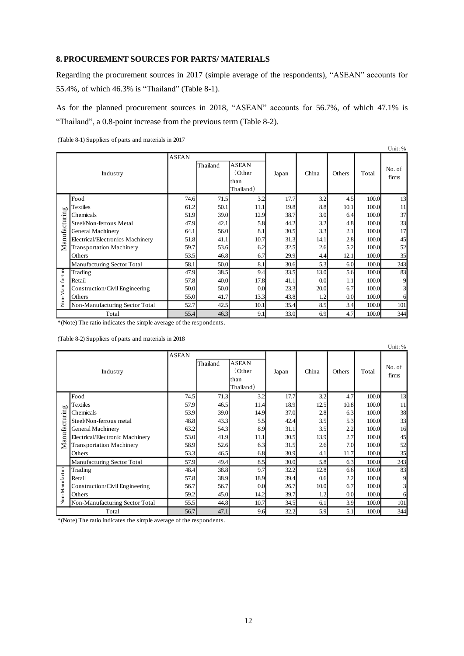## **8. PROCUREMENT SOURCES FOR PARTS/ MATERIALS**

Regarding the procurement sources in 2017 (simple average of the respondents), "ASEAN" accounts for 55.4%, of which 46.3% is "Thailand" (Table 8-1).

As for the planned procurement sources in 2018, "ASEAN" accounts for 56.7%, of which 47.1% is "Thailand", a 0.8-point increase from the previous term (Table 8-2).

(Table 8-1) Suppliers of parts and materials in 2017

|                 |                                  |              |          |                                             |       |       |        |       | Unit: %         |
|-----------------|----------------------------------|--------------|----------|---------------------------------------------|-------|-------|--------|-------|-----------------|
|                 | Industry                         | <b>ASEAN</b> | Thailand | <b>ASEAN</b><br>(Other<br>than<br>Thailand) | Japan | China | Others | Total | No. of<br>firms |
|                 | Food                             | 74.6         | 71.5     | 3.2                                         | 17.7  | 3.2   | 4.5    | 100.0 | 13              |
| <b>b</b>        | Textiles                         | 61.2         | 50.1     | 11.1                                        | 19.8  | 8.8   | 10.1   | 100.0 | 11              |
| Manufacturin    | Chemicals                        | 51.9         | 39.0     | 12.9                                        | 38.7  | 3.0   | 6.4    | 100.0 | 37              |
|                 | Steel/Non-ferrous Metal          | 47.9         | 42.1     | 5.8                                         | 44.2  | 3.2   | 4.8    | 100.0 | 33              |
|                 | General Machinery                | 64.1         | 56.0     | 8.1                                         | 30.5  | 3.3   | 2.1    | 100.0 | 17              |
|                 | Electrical/Electronics Machinery | 51.8         | 41.1     | 10.7                                        | 31.3  | 14.1  | 2.8    | 100.0 | 45              |
|                 | <b>Transportation Machinery</b>  | 59.7         | 53.6     | 6.2                                         | 32.5  | 2.6   | 5.2    | 100.0 | 52              |
|                 | Others                           | 53.5         | 46.8     | 6.7                                         | 29.9  | 4.4   | 12.1   | 100.0 | 35              |
|                 | Manufacturing Sector Total       | 58.1         | 50.0     | 8.1                                         | 30.6  | 5.3   | 6.0    | 100.0 | 243             |
| Non-Manufacturi | Trading                          | 47.9         | 38.5     | 9.4                                         | 33.5  | 13.0  | 5.6    | 100.0 | 83              |
|                 | Retail                           | 57.8         | 40.0     | 17.8                                        | 41.1  | 0.0   | 1.1    | 100.0 | 9               |
|                 | Construction/Civil Engineering   | 50.0         | 50.0     | 0.0                                         | 23.3  | 20.0  | 6.7    | 100.0 | $\mathbf{3}$    |
|                 | Others                           | 55.0         | 41.7     | 13.3                                        | 43.8  | 1.2   | 0.0    | 100.0 | 6               |
|                 | Non-Manufacturing Sector Total   | 52.7         | 42.5     | 10.1                                        | 35.4  | 8.5   | 3.4    | 100.0 | 101             |
|                 | Total                            | 55.4         | 46.3     | 9.1                                         | 33.0  | 6.9   | 4.7    | 100.0 | 344             |

\*(Note) The ratio indicates the simple average of the respondents.

(Table 8-2) Suppliers of parts and materials in 2018

|                 | . .                             |              |          |              |       |       |        |       | Unit: % |
|-----------------|---------------------------------|--------------|----------|--------------|-------|-------|--------|-------|---------|
|                 |                                 | <b>ASEAN</b> |          |              |       |       |        |       |         |
|                 |                                 |              | Thailand | <b>ASEAN</b> |       |       |        |       |         |
|                 | Industry                        |              |          | (Other       | Japan | China | Others | Total | No. of  |
|                 |                                 |              |          | than         |       |       |        |       | firms   |
|                 |                                 |              |          | Thailand)    |       |       |        |       |         |
|                 | Food                            | 74.5         | 71.3     | 3.2          | 17.7  | 3.2   | 4.7    | 100.0 | 13      |
| pľ              | Textiles                        | 57.9         | 46.5     | 11.4         | 18.9  | 12.5  | 10.8   | 100.0 | 11      |
|                 | Chemicals                       | 53.9         | 39.0     | 14.9         | 37.0  | 2.8   | 6.3    | 100.0 | 38      |
|                 | Steel/Non-ferrous metal         | 48.8         | 43.3     | 5.5          | 42.4  | 3.5   | 5.3    | 100.0 | 33      |
|                 | General Machinery               | 63.2         | 54.3     | 8.9          | 31.1  | 3.5   | 2.2    | 100.0 | 16      |
| Manufacturin    | Electrical/Electronic Machinery | 53.0         | 41.9     | 11.1         | 30.5  | 13.9  | 2.7    | 100.0 | 45      |
|                 | <b>Transportation Machinery</b> | 58.9         | 52.6     | 6.3          | 31.5  | 2.6   | 7.0    | 100.0 | 52      |
|                 | Others                          | 53.3         | 46.5     | 6.8          | 30.9  | 4.1   | 11.7   | 100.0 | 35      |
|                 | Manufacturing Sector Total      | 57.9         | 49.4     | 8.5          | 30.0  | 5.8   | 6.3    | 100.0 | 243     |
|                 | Trading                         | 48.4         | 38.8     | 9.7          | 32.2  | 12.8  | 6.6    | 100.0 | 83      |
|                 | Retail                          | 57.8         | 38.9     | 18.9         | 39.4  | 0.6   | 2.2    | 100.0 | 9       |
|                 | Construction/Civil Engineering  | 56.7         | 56.7     | 0.0          | 26.7  | 10.0  | 6.7    | 100.0 | 3       |
| Non-Manufacturi | Others                          | 59.2         | 45.0     | 14.2         | 39.7  | 1.2   | 0.0    | 100.0 | 6       |
|                 | Non-Manufacturing Sector Total  | 55.5         | 44.8     | 10.7         | 34.5  | 6.1   | 3.9    | 100.0 | 101     |
|                 | Total                           | 56.7         | 47.1     | 9.6          | 32.2  | 5.9   | 5.1    | 100.0 | 344     |

\*(Note) The ratio indicates the simple average of the respondents.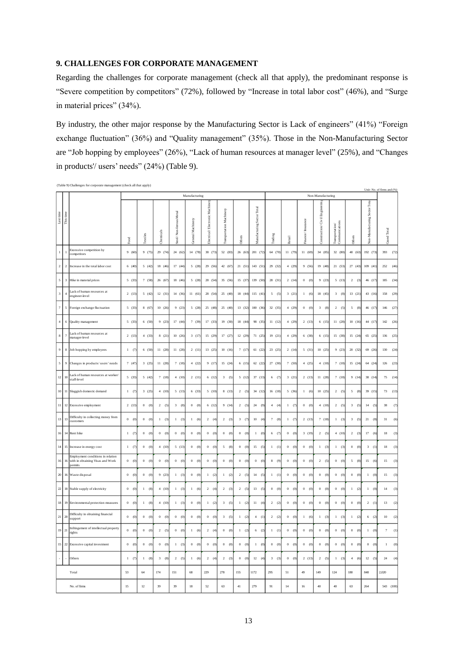## **9. CHALLENGES FOR CORPORATE MANAGEMENT**

Regarding the challenges for corporate management (check all that apply), the predominant response is "Severe competition by competitors" (72%), followed by "Increase in total labor cost" (46%), and "Surge in material prices" (34%).

By industry, the other major response by the Manufacturing Sector is Lack of engineers" (41%) "Foreign exchange fluctuation" (36%) and "Quality management" (35%). Those in the Non-Manufacturing Sector are "Job hopping by employees" (26%), "Lack of human resources at manager level" (25%), and "Changes in products'/ users' needs" (24%) (Table 9).

|                    |                                  |                                                                                  |                     |                         |                       |                            |                   |                               |                          |                    |                            |           |           |                   |                              |                                   | Unit: No. of firms and (%)       |                               |                                    |
|--------------------|----------------------------------|----------------------------------------------------------------------------------|---------------------|-------------------------|-----------------------|----------------------------|-------------------|-------------------------------|--------------------------|--------------------|----------------------------|-----------|-----------|-------------------|------------------------------|-----------------------------------|----------------------------------|-------------------------------|------------------------------------|
|                    |                                  |                                                                                  |                     |                         |                       |                            | Manufacturing     |                               |                          |                    |                            |           |           |                   | Non-Manufacturing            |                                   |                                  |                               |                                    |
| ${\sf Last\,time}$ | This time                        |                                                                                  | Food                | Textiles                | Chemicals             | Non-ferrous Metal<br>Steel | General Machinery | Electrical/Electronic Machine | Transportation Machinery | Others             | Manufacturing Sector Total | Trading   | Retail    | Finance/Insurance | Construction/Civil Engineeri | Communications<br>Transportation/ | Others                           | Non-Manufacturing Sector Tota | Grand Total                        |
| $\,1\,$            | $\begin{array}{c} 1 \end{array}$ | Excessive competition by<br>competitors                                          | 9(60)               | 9(75)                   | 29 (74)               | 24 (62)                    | 14 (78)           | 38 (73)                       | 52 (83)                  | 26(63)             | 201 (72)                   | 64 (70)   | 11 (79)   | 11(69)            | 34 (85)                      | 32 (80)                           | 40 (63)                          | 192 (73)                      | 393<br>(72)                        |
| $\,2\,$            | $\sqrt{2}$                       | Increase in the total labor cost                                                 | 6(40)               | 5(42)                   | 18 (46                | 17(44)                     | 5(28)             | 29 (56)                       | 42 (67)                  | 21(51)             | 143 (51)                   | 29(32)    | 4(29)     | 9(56)             | 19(48)                       | 21(53)                            | 27(43)                           | 109 (41                       | 252<br>(46)                        |
| $\sqrt{5}$         | $\sqrt{3}$                       | Hike in material prices                                                          | 5(33)               | 7(58)                   | 26 (67                | 18 (46)                    | 5(28)             | 28 (54)                       | 35 (56)                  | 15(37)             | 139 (50)                   | 28 (31)   | 2(14)     | 0 (0)             | 9(23)                        | 5(13)                             | 2(3)                             | 46 (17                        | 185<br>(34)                        |
| $\sqrt{3}$         | $\overline{4}$                   | Lack of human resources at<br>engineer-level                                     | 2(13)               | 5(42)                   | 12(31)                | 14 (36)                    | 11(61)            | 28 (54)                       | 25 (40)                  | 18 (44)            | 115 (41)                   | 5(5)      | 3(21)     | 1(6)              | 18 (45)                      | 3(8)                              | 13(21)                           | 43 (16)                       | 158<br>(29)                        |
| $\tau$             | $\sqrt{5}$                       | Foreign exchange fluctuation                                                     | 5(33)               | 8 (67)                  | 10(26)                | 9(23)                      | 5(28)             | 25 (48)                       | 25 (40)                  | 13(32)             | 100(36)                    | 32 (35)   | 4(29)     | 0 (0)             | 3(8)                         | $\,2$<br>(5)                      | $\sqrt{5}$<br>(8)                | 46 (17                        | $146\,$<br>(27)                    |
| $\,4$              | 6                                | Quality management                                                               | 5(33)               | 6(50)                   | 9(23)                 | 17(44)                     | 7(39)             | 17(33)                        | 19(30)                   | 18(44)             | 98 (35)                    | 11(12)    | 4(29)     | 2(13)             | 6(15)                        | 11(28)                            | 10(16)                           | 44 (17)                       | 142<br>(26)                        |
| $\bf 8$            | 7                                | Lack of human resources at<br>nanager-level                                      | 2(13)               | 4(33)                   | 8(21)                 | 10(26)                     | 3(17)             | 15(29)                        | 17(27)                   | 12(29)             | 71(25)                     | 19(21)    | 4(29)     | 6(38)             | 6(15)                        | 15(38)                            | 15(24)                           | 65 (25                        | 136<br>(25)                        |
| $\boldsymbol{9}$   | $\bf8$                           | Job hopping by employees                                                         | 1 (7)               | 6(50)                   | 11(28)                | 11 (28)                    | 2(11)             | 13(25)                        | 10(16)                   | 7(17)              | 61(22)                     | 23(25)    | 2(14)     | 5(31)             | 10(25)                       | 9(23)                             | 20 (32)                          | 69 (26)                       | 130<br>(24)                        |
| $\sqrt{5}$         | $\overline{9}$                   | Changes in products/users' needs                                                 | 7(47)               | 3(25)                   | 11(28)                | 7(18)                      | 4(22)             | 9(17)                         | 15(24)                   | 6(15)              | 62(22)                     | 27 (30)   | 7(50)     | 4(25)             | 4(10)                        | 7(18)                             | 15 (24)                          | 64 (24                        | $126\,$<br>(23)                    |
| $12\,$             | 10                               | Lack of human resources at worker/<br>staff-level                                | 5(33)               | 5(42)                   | 7(18)                 | 4(10)                      | 2(11)             | 6(12)                         | 3(5)                     | 5(12)              | 37(13)                     | 6(7)      | 3(21)     | 2(13)             | 11(28)                       | 7(18)                             | 9(14)                            | 38 (14)                       | 75<br>(14)                         |
| $10\,$             | 11                               | Sluggish domestic demand                                                         | $1 \t(7)$           | 3(25)                   | 4(10)                 | 5(13)                      | 6(33)             | 5(10)                         | 8(13)                    | 2(5)               | 34 (12)                    | 16 (18)   | 5(36)     | 1(6)              | 10(25)                       | 2(5)                              | 5<br>(8)                         | 39 (15                        | 73<br>(13)                         |
| $11\,$             |                                  | 12 Excessive employment                                                          | 2(13)               | 0 (0)                   | 2(5)                  | $3^{\circ}$<br>(8)         | 0 (0)             | 6(12)                         | 9(14)                    | 2(5)               | 24(9)                      | 4(4)      | $1 \t(7)$ | 0 (0)             | 4(10)                        | 2(5)                              | 3<br>(5                          | $14\,$<br>(5                  | 38<br>$\left( 7\right)$            |
| $13\,$             | 13                               | Difficulty in collecting money from<br>customers                                 | 0 (0)               | 0 (0)                   | 1 (3)                 | 1 (3)                      | 1 (6)             | 2(4)                          | 2(3)                     | 3(7)               | 10(4)                      | 7(8)      | 1 (7)     | 2(13)             | 7(18)                        | 1 (3)                             | $\ensuremath{\mathbf{3}}$<br>(5) | $21\,$<br>(8)                 | $31\,$<br>(6)                      |
| 16                 |                                  | 14 Rent hike                                                                     | 1 (7)               | 0(0)                    | $0 \t 0$              | $0 \t 0$                   | 0 (0)             | 0(0)                          | 0 (0)                    | 0(0)               | 1 (0)                      | 6(7)      | 0(0)      | 3(19)             | 2(5)                         | 4(10)                             | 2 (3)                            | 17(6)                         | 18<br>(3)                          |
| 14                 | $15\,$                           | Increase in energy cost                                                          | $\mathbf{1}$<br>(7) | 0 (0)                   | 4(10)                 | 5(13)                      | 0 (0)             | 0 (0)                         | 5(8)                     | 0 (0)              | 15(5)                      | 1 (1)     | 0 (0)     | 0 (0)             | 1 (3)                        | 1 (3)                             | 0 (0)                            | $_{\rm 3}$<br>(1)             | $18\,$<br>(3)                      |
| $16\,$             | 16                               | Employment conditions in relation<br>with in obtaining Visas and Work<br>permits | 0 (0)               | $\boldsymbol{0}$<br>(0) | $0 \quad (0)$         | $\mathbf{0}^-$<br>(0)      | 0 (0)             | 0 (0)                         | 0 (0)                    | 0 (0)              | 0 (0)                      | 8(9)      | 0 (0)     | 0 (0)             | 2(5)                         | 0 (0)                             | $\sqrt{5}$<br>(8)                | $15\,$<br>(6)                 | $15\,$<br>(3)                      |
| $20\,$             |                                  | 16 Waste disposal                                                                | $\mathbf{0}$<br>(0) | $0 \quad (0)$           | 9(23)                 | 1(3)                       | 0 (0)             | 1(2)                          | 1(2)                     | 2 (5)              | 14(5)                      | $1 - (1)$ | 0 (0)     | 0 (0)             | 0 (0)                        | 0 (0)                             | $0 \t (0)$                       | $\mathbf{1}$<br>$\omega$      | 15<br>$\left(3\right)$             |
| $22\,$             |                                  | 18 Stable supply of electricity                                                  | 0 (0)               | 1(8)                    | 4(10)                 | 1(3)                       | 1 (6)             | 2(4)                          | 2(3)                     | 2(5)               | 13(5)                      | 0(0)      | 0(0)      | 0(0)              | 0 (0)                        | 0(0)                              | 1(2)                             | $\mathbf{1}$<br>$\omega$      | 14<br>(3)                          |
| $18\,$             |                                  | 19 Environmental protection measures                                             | 0 (0)               | $\mathbf{1}$<br>(8)     | 4(10)                 | 1 (3)                      | 0 (0)             | 1 (2)                         | 3(5)                     | 1(2)               | 11(4)                      | 2(2)      | 0 (0)     | 0 (0)             | 0 (0)                        | 0 (0)                             | $\bf{0}$<br>$\left( 0 \right)$   | $2 - (1)$                     | 13<br>(2)                          |
| $21\,$             | 20                               | Difficulty in obtaining financial<br>support                                     | 0 (0)               | 0 (0)                   | 0 (0)                 | 0 (0)                      | 0 (0)             | 0 (0)                         | 3(5)                     | 1 (2)              | 4(1)                       | 2(2)      | 0 (0)     | 1 (6)             | 1 (3)                        | 1 (3)                             | 1(2)                             | 6(2)                          | $10\,$<br>(2)                      |
| 19                 | 21                               | Infringement of intellectual property<br>rights                                  | 0 (0)               | 0 (0)                   | 2(5)                  | 0(0)                       | 1 (6)             | 2(4)                          | 0 (0)                    | 1(2)               | 6(2)                       | 1 (1)     | 0 (0)     | 0 (0)             | 0 (0)                        | 0 (0)                             | 0 (0)                            | $1 - (0)$                     | $\overline{7}$<br>(1)              |
| $15\,$             |                                  | 22 Excessive capital investment                                                  | 0 (0)               | $0 \t (0)$              | 0 (0)                 | $\mathbf{1}$<br>(3)        | 0 (0)             | $0 \t (0)$                    | 0 (0)                    | 0(0)               | 1 (0)                      | 0(0)      | 0(0)      | 0 (0)             | 0 (0)                        | 0 (0)                             | 0 (0)                            | 0 (0)                         | $\mathbf{1}$<br>$\left( 0 \right)$ |
|                    |                                  | Others                                                                           | (7)<br>$\mathbf{1}$ | (8)<br>$\mathbf{1}$     | (8)<br>$\overline{3}$ | $\overline{2}$<br>(5)      | 1 (6)             | 2(4)                          | 2(3)                     | $\,$ 0 $\,$<br>(0) | 12(4)                      | 3(3)      | 0 (0)     | 2(13)             | 2(5)                         | (3)<br>$\mathbf{1}$               | $4\,$<br>(6)                     | 12<br>$\overline{5}$          | 24<br>(4)                          |
|                    |                                  | Total                                                                            | 53                  | 64                      | 174                   | 151                        | 68                | 229                           | 278                      | 155                | 1172                       | 295       | 51        | 49                | 149                          | 124                               | $180\,$                          | 848                           | 2.020                              |
|                    |                                  | No. of firms                                                                     | 15                  | 12.                     | 39                    | 39                         | 18                | 52                            | 63                       | 41                 | 279                        | 91        | 14        | 16                | 40                           | 40                                | 63                               | 264                           | 543 (100)                          |

(Table 9) Challenges for corporate management (check all that apply)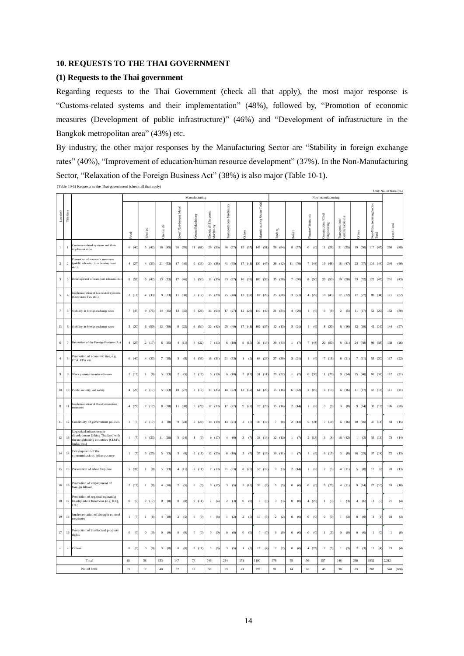## **10. REQUESTS TO THE THAI GOVERNMENT**

### **(1) Requests to the Thai government**

Regarding requests to the Thai Government (check all that apply), the most major response is "Customs-related systems and their implementation" (48%), followed by, "Promotion of economic measures (Development of public infrastructure)" (46%) and "Development of infrastructure in the Bangkok metropolitan area" (43%) etc.

By industry, the other major responses by the Manufacturing Sector are "Stability in foreign exchange rates" (40%), "Improvement of education/human resource development" (37%). In the Non-Manufacturing Sector, "Relaxation of the Foreign Business Act" (38%) is also major (Table 10-1).

|                             |                         |                                                                                                                    |                       |            |                  |                                       | Manufacturing     |                                    |                         |                     |                                   |            |               |                          | Non-manufacturing           |                                  |               |                                          | Unit: No. of firms (%) |
|-----------------------------|-------------------------|--------------------------------------------------------------------------------------------------------------------|-----------------------|------------|------------------|---------------------------------------|-------------------|------------------------------------|-------------------------|---------------------|-----------------------------------|------------|---------------|--------------------------|-----------------------------|----------------------------------|---------------|------------------------------------------|------------------------|
| Last time                   | This time               |                                                                                                                    |                       |            |                  | Non-ferrous Metal                     |                   |                                    |                         |                     | <b>Aanufacturing Sector Total</b> |            |               |                          | Civil                       |                                  |               |                                          |                        |
|                             |                         |                                                                                                                    | Food                  | extiles    | <b>Chemicals</b> | $ e$ e $ $                            | Jeneral Machinery | Electrical/Electronic<br>Aachinery | ransportation Machinery | <b>Others</b>       |                                   | rading     | <b>Retail</b> | Finance/Insurance        | construction<br>Engineering | communications<br>ransportation/ | <b>Others</b> | <b>Von-Manufacturing Sector</b><br>`otal | irand Total            |
| $\mathbf{1}$                | $\mathbf{1}$            | Customs-related systems and their<br>implementation                                                                | 6(40)                 | 5(42)      | 18(45)           | 26 (70)                               | 11 (61)           | 26(50)                             | 36(57)                  | 15(37)              | 143 (51)                          | 58 (64)    | 8 (57)        | $\overline{0}$<br>(0)    | 11(28)                      | 21(55)                           | 19(30)        | 117 (45)                                 | 260<br>(48)            |
| $\,2\,$                     | $\overline{\mathbf{2}}$ | Promotion of economic measures<br>(public infrastructure development<br>etc.)                                      | 4(27)                 | 4(33)      | 21(53)           | 17 (46)                               | 6(33)             | 20 (38)                            | 41 (65)                 | 17(41)              | 130 (47                           | 38 (42)    | 11 (79)       | 7(44)                    | 19 (48)                     | 18 (47)                          | 23(37)        | 116 (44)                                 | 246<br>(46)            |
| $\ensuremath{\mathfrak{Z}}$ | $\sqrt{3}$              | Development of transport infrastructure                                                                            | 8 (53)                | 5(42)      | 13(33)           | 17 (46)                               | 9(50)             | 18 (35)                            | 23 (37)                 | 16(39)              | 109 (39)                          | 35 (38)    | 7(50)         | 8(50)                    | 20(50)                      | 19(50)                           | 33 (52)       | 122 (47)                                 | 231<br>(43)            |
| $\sqrt{5}$                  | $\overline{4}$          | Implementation of tax-related systems<br>(Corporate Tax, etc.)                                                     | 2(13)                 | 4(33)      | 9(23)            | 11(30)                                | 3(17)             | 15(29)                             | 25(40)                  | 13(32)              | 82 (29)                           | 35 (38)    | 3(21)         | 4(25)                    | 18 (45)                     | 12(32)                           | 17(27)        | 89 (34)                                  | 171<br>(32)            |
| $\tau$                      | $\sqrt{5}$              | Stability in foreign exchange rates                                                                                | 7(47)                 | 9(75)      | 14(35)           | 13(35)                                | 5(28)             | 33 (63)                            | 17 (27)                 | 12 (29)             | 110 (40)                          | 31 (34)    | 4(29)         | $\,1$<br>(6)             | $_{\rm 3}$<br>(8)           | 2(5)                             | 11(17)        | 52 (20)                                  | 162<br>(30)            |
| $13\,$                      | $\,$ 6                  | Stability in foreign exchange rates                                                                                | 3(20)                 | 6(50)      | 12(30)           | 8 (22)                                | 9(50)             | 22 (42)                            | 25(40)                  | 17(41)              | 102 (37)                          | 12(13)     | 3(21)         | $\mathbf{1}$<br>(6)      | 8 (20)                      | 6(16)                            | 12(19)        | 42 (16)                                  | 144<br>(27)            |
| 6                           | $\overline{7}$          | Relaxation of the Foreign Business Act                                                                             | 4(27)                 | 2(17)      | 6(15)            | 4(11)                                 | 4(22)             | 7(13)                              | 6(10)                   | 6(15)               | 39 (14)                           | 39 (43)    | 1(7)          | 7(44)                    | 20 (50)                     | 8(21)                            | 24 (38)       | 99 (38)                                  | 138<br>(26)            |
| $\overline{4}$              | $\bf 8$                 | Promotion of economic ties, e.g.<br>FTA, EPA etc.                                                                  | 6(40)                 | 4(33)      | 7(18)            | 3(8)                                  | 6(33)             | 16(31)                             | 21(33)                  | 1 (2)               | 64 (23)                           | 27(30)     | 3(21)         | 1 (6)                    | 7(18)                       | 8(21)                            | 7(11)         | 53 (20)                                  | 117<br>(22)            |
| $\,9$                       | $\overline{9}$          | Work permit/visa-related issues                                                                                    | 2(13)                 | 1 (8)      | 5(13)            | 2(5)                                  | 3(17)             | 5(10)                              | 6(10)                   | 7(17)               | 31(11)                            | 29 (32     | $1 \t(7)$     | 6 (38)                   | 11(28)                      | 9(24)                            | 25 (40)       | 81 (31)                                  | (21)<br>112            |
| $10$                        | $10\,$                  | Public security and safety                                                                                         | 4(27)                 | 2(17)      | 5(13)            | 10(27)                                | 3(17)             | 13(25)                             | 14 (22)                 | 13(32)              | 64 (23)                           | 15(16)     | 6(43)         | 3(19)                    | 6(15)                       | 6(16)                            | 11(17)        | 47 (18)                                  | 111<br>(21)            |
| $\bf 8$                     | 11                      | Implementation of flood prevention                                                                                 | 4(27)                 | 2(17)      | 8(20)            | 11(30)                                | 5(28)             | 17 (33)                            | 17 (27)                 | 9(22)               | 73 (26)                           | 15 (16)    | 2(14)         | $\mathbf{1}$<br>(6)      | $3 -$<br>(8)                | $\overline{3}$<br>(8)            | 9(14)         | 33 (13)                                  | 106<br>(20)            |
| $11\,$                      | $12\,$                  | Continuity of government policies                                                                                  | 1<br>(7)              | 2(17)      | 3(8)             | 9(24)                                 | 5(28)             | 10(19)                             | 13(21)                  | $_{\rm 3}$<br>(7)   | 46 (17                            | 7<br>$(8)$ | 2(14)         | 5(31)                    | 7(18)                       | 6(16)                            | 10(16)        | 37 (14)                                  | 83<br>(15)             |
| $12\,$                      | 13                      | Logistical infrastructure<br>development linking Thailand with<br>the neighboring countries (CLMV,<br>India, etc.) | 1 (7)                 | 4(33)      | 11(28)           | 5(14)                                 | 1(6)              | 9(17)                              | 4(6)                    | 3(7)                | 38 (14)                           | 12(13)     | 1 (7)         | 2(13)                    | 3(8)                        | 16(42)                           | 1(2)          | 35(13)                                   | 73<br>(14)             |
| 14                          | 14                      | Development of the<br>communications infrastructure                                                                | (7)<br>$\mathbf{1}$   | 3(25)      | 5(13)            | $\ensuremath{\mathbf{3}}$<br>$^{(8)}$ | 2(11)             | 12(23)                             | 6(10)                   | $_{\rm 3}$<br>(7)   | 35 (13)                           | 10(11)     | (7)<br>$\,1$  | $\,$ $\,$<br>(6)         | 6(15)                       | 3(8)                             | 16 (25)       | 37 (14)                                  | 72<br>(13)             |
| $15\,$                      | 15                      | Prevention of labor disputes                                                                                       | 5(33)                 | 1(8)       | 5(13)            | 4(11)                                 | 2(11)             | 7(13)                              | 21(33)                  | 8(20)               | 53 (19)                           | 3(3)       | 2(14)         | $\mathbf{1}$<br>(6)      | 2(5)                        | 4(11)                            | 5(8)          | 17(6)                                    | 70<br>(13)             |
| $16\,$                      | 16                      | Promotion of employment of<br>foreign labour                                                                       | 2(13)                 | 1(8)       | 4(10)            | $\overline{c}$<br>(5)                 | $0 \quad (0)$     | 9(17)                              | $\mathbf{3}$<br>(5)     | 5(12)               | 26<br>(9)                         | 5<br>(5)   | $0 \quad (0)$ | $\mathbf{0}$<br>$\omega$ | 9(23)                       | 4(11)                            | 9(14)         | 27 (10)                                  | (10)<br>53             |
| 18                          | 17                      | Promotion of regional operating<br>headquarters functions (e.g. IHQ,<br><b>ITC</b>                                 | 0 (0)                 | 2(17)      | $0 \quad (0)$    | 0 (0)                                 | 2(11)             | 2(4)                               | 2(3)                    | 0 (0)               | 8(3)                              | 3(3)       | 0 (0)         | 4(25)                    | 1 (3)                       | 1 (3)                            | 4(6)          | 13(5)                                    | 21<br>(4)              |
| 19                          | 18                      | Implementation of drought control<br>measures                                                                      | 1 (7)                 | 1 (8)      | 4(10)            | 2(5)                                  | 0 (0)             | 4(8)                               | 1 (2)                   | 2(5)                | 15(5)                             | 2(2)       | $0 \quad (0$  | $0 \quad (0)$            | $0 \t (0)$                  | $1 \quad (3)$                    | $0 \t (0)$    | 3(1)                                     | 18<br>(3)              |
| 17                          | 19                      | Protection of intellectual property<br>rights                                                                      | (0)<br>$\overline{0}$ | $0 \t (0)$ | $0 \t 0$         | $0 \t 0$                              | $0 \t 0$          | 0 (0)                              | 0 (0)                   | 0 (0)               | $0 \quad (0)$                     | 0 (0)      | 0 (0)         | $\overline{0}$<br>(0)    | 1 (3)                       | 0 (0)                            | 0 (0)         | $\mathbf{1}$<br>(0)                      | (0)<br>$\,1$           |
|                             | ×                       | Others                                                                                                             | $\mathbf{0}$<br>(0)   | 0 (0)      | 3(8)             | 0 (0)                                 | 2(11)             | 3(6)                               | 3(5)                    | $\mathbf{1}$<br>(2) | 12(4)                             | 2(2)       | 0 (0)         | 4(25)                    | 2(5)                        | 1(3)                             | 2(3)          | 11<br>(4)                                | 23<br>(4)              |
|                             |                         | Total                                                                                                              | 61                    | 58         | 153              | 147                                   | 78                | 248                                | 284                     | 151                 | 1180                              | 378        | 55            | 56                       | 157                         | 148                              | 238           | 1032                                     | 2.212                  |
|                             |                         | No of firms                                                                                                        | 15                    | 12         | 40               | 37                                    | 18                | 52                                 | 63                      | 41                  | 278                               | 91         | 14            | 16                       | 40                          | 38                               | 63            | 262                                      | 540 (100)              |

(Table 10-1) Requests to the Thai government (check all that apply)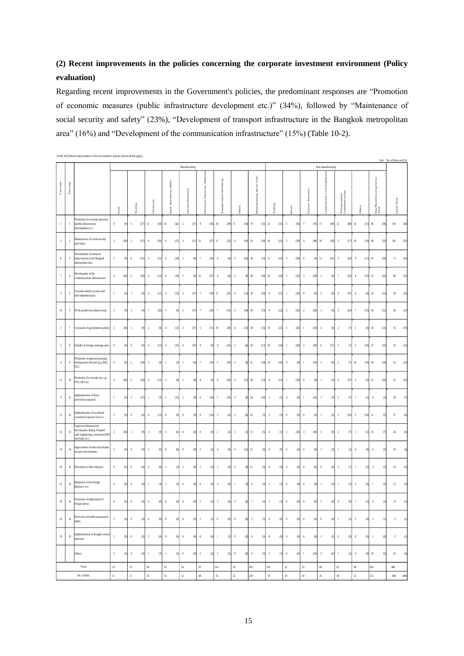## **(2) Recent improvements in the policies concerning the corporate investment environment (Policy evaluation)**

Regarding recent improvements in the Government's policies, the predominant responses are "Promotion of economic measures (public infrastructure development etc.)" (34%), followed by "Maintenance of social security and safety" (23%), "Development of transport infrastructure in the Bangkok metropolitan area" (16%) and "Development of the communication infrastructure" (15%) (Table 10-2).

|                |                                                       |                                                                                                                  |                         |                                       |                       |                                                                                                       |                        |                              |                                  |                                |                            |                       |                                 |                           |                                   |                                   |                       |                                      | Unit: No. of firms and (%)     |
|----------------|-------------------------------------------------------|------------------------------------------------------------------------------------------------------------------|-------------------------|---------------------------------------|-----------------------|-------------------------------------------------------------------------------------------------------|------------------------|------------------------------|----------------------------------|--------------------------------|----------------------------|-----------------------|---------------------------------|---------------------------|-----------------------------------|-----------------------------------|-----------------------|--------------------------------------|--------------------------------|
|                |                                                       |                                                                                                                  |                         |                                       |                       |                                                                                                       | Manufacturing          |                              |                                  |                                |                            |                       |                                 |                           | Non-manufacturing                 |                                   |                       |                                      |                                |
| Last tim       | This time $% \left( \mathcal{N}_{\mathcal{A}}\right)$ |                                                                                                                  | Food                    | Textiles                              | Chemicals             | Metal<br>ferrous<br>Non-<br>$\operatorname{\mathbf{Sic}}\nolimits\operatorname{\mathbf{cl}}\nolimits$ | General Machinery      | Electrical/Electronic Machin | <b>Cransportation Machinery</b>  | Others                         | Manufacturing Sector Total | Trading               | Retail                          | Finance/Insurance         | Е<br>Construction/Civil Engineeri | Transportation/<br>Communications | Others                | Sector<br>Non-Manufacturing<br>Total | Grand Total                    |
|                | $\mathbf{1}$                                          | romotion of economic measures<br>(public infrastructure<br>development etc.)                                     | $\,0\,$<br>(0)          | $\overline{\mathbf{3}}$<br>(27)       | $12\,$<br>(34)        | $14\,$<br>(42)                                                                                        | $\overline{2}$<br>(17) | $\,$ 8<br>(18)               | $20\,$<br>(39)                   | 11<br>(34)                     | $\pi$<br>(31)              | $23\,$<br>(31)        | 5<br>(50)                       | $\tau$<br>(70)            | $17\,$<br>(49)                    | $12\,$<br>(40)                    | $16\,$<br>(31)        | $80\,$<br>(38)                       | 150<br>(34)                    |
| $\,2$          | $\sqrt{2}$                                            | Maintenance of social security<br>and safety                                                                     | $\overline{c}$<br>(18)  | $\overline{\mathbf{3}}$<br>(27)       | $\,9$<br>(26)         | $\overline{9}$<br>(27)                                                                                | $\overline{2}$         | $(17)$ 12                    | $(27)$ 11<br>(22)                | $\sqrt{6}$                     | $(19)$ 54<br>(24)          | $16\,$<br>(22)        | $\overline{\mathbf{3}}$<br>(30) | (40)<br>$\frac{4}{3}$     | $10\,$<br>(29)                    | 5<br>(17)                         | $10\,$                | $(19)$ 48<br>(23)                    | $102\,$<br>(23)                |
| 8              | $\overline{3}$                                        | Development of transport<br>infrastructure in the Bangkok<br>netropolitan area                                   | (9)<br>-1               | (55)<br>6                             | $\,$ 4 $\,$<br>(11)   | (18)<br>6                                                                                             | (8)<br>$\mathbf{1}$    | $\tau$<br>(16)               | $\frac{4}{3}$<br>(8)             | $\sqrt{2}$<br>(16)             | $34\,$<br>(15)             | $11\,$<br>(15)        | $\overline{\mathbf{3}}$<br>(30) | $\,0\,$<br>$(0)$          | $11\,$<br>(31)                    | (10)<br>$\overline{\mathbf{3}}$   | 9<br>(17)             | 37<br>(18)                           | $71\,$<br>(16)                 |
| $\tau$         | $\sqrt{4}$                                            | Development of the<br>ommunications infrastructure                                                               | $\overline{4}$<br>(36)  | $\overline{c}$<br>(18)                | $\sqrt{4}$<br>(11)    | (18)<br>6                                                                                             | $\mathbf{1}$<br>(8)    | $12\,$<br>(27)               | $\sqrt{4}$<br>(8)                | $_{3}$<br>(9)                  | $36$<br>(16)               | $10\,$<br>(14)        | (10)<br>$\overline{1}$          | $\sqrt{3}$<br>(30)        | $\overline{\mathbf{3}}$<br>(9)    | (23)<br>$\overline{7}$            | 8                     | (15) 32<br>(15)                      | 68<br>(15)                     |
| 3              | 5                                                     | Customs-related systems and<br>their implementation                                                              | $\mathbf{1}$<br>(9)     | $\mathbf{1}$<br>(9)                   | $\,4$<br>(11)         | $\overline{4}$<br>(12)                                                                                | $\overline{2}$<br>(17) | $\tau$<br>(16)               | $11\,$<br>(22)                   | $\sqrt{4}$<br>(13)             | 34<br>(15)                 | $\,9$<br>(12)         | (10)<br>$\overline{1}$          | $\boldsymbol{0}$<br>(0)   | $\overline{2}$<br>(6)             | $\,$ 8 $\,$<br>(27)               | $\sqrt{4}$<br>(8)     | 24<br>(11)                           | 58<br>(13)                     |
| $10\,$         | 5                                                     | Work permit/visa-related issues                                                                                  | $\mathbf{1}$<br>(9)     | $\,1$<br>(9)                          | $\tau$<br>(20)        | $\overline{\mathbf{3}}$<br>$\left( 9\right)$                                                          | $\overline{2}$<br>(17) | $\tau$<br>(16)               | $\overline{7}$<br>(14)           | 6<br>(19)                      | 34<br>(15)                 | 9<br>(12)             | $\overline{2}$<br>(20)          | $\sqrt{2}$<br>(20)        | $\mathbf{1}$<br>(3)               | $\overline{\mathbf{3}}$<br>(10)   | $\tau$                | $(13)$ 24<br>(11)                    | 58<br>(13)                     |
| $\sqrt{2}$     | $\tau$                                                | Continuity of government policies                                                                                | $\overline{2}$<br>(18)  | $\,1$<br>(9)                          | $\overline{2}$<br>(6) | (12)<br>$\overline{4}$                                                                                | $\overline{2}$<br>(17) | $\sqrt{2}$<br>(11)           | $10\,$<br>(20)                   | $\overline{4}$<br>(13)         | $30\,$<br>(13)             | (22)<br>$16$          | $\overline{2}$<br>(20)          | (10)<br>$\mathbf{1}$      | $\overline{2}$<br>(6)             | $\overline{2}$<br>$\left($        | $\overline{2}$<br>(4) | 25<br>(12)                           | (13)<br>55                     |
| 5              | $\,$ 8 $\,$                                           | Stability in foreign exchange rates                                                                              | $\bf{0}$<br>(0)         | $\,0\,$<br>(0)                        | $\,$ 4 $\,$<br>(11)   | $\frac{4}{3}$<br>(12)                                                                                 | $\overline{4}$<br>(33) | $\frac{4}{3}$<br>$(9)$       | $\,$ 8 $\,$<br>(16)              | $\overline{2}$<br>(6)          | $26$<br>(11)               | $10\,$<br>(14)        | $\overline{2}$<br>(20)          | $\overline{c}$<br>(20)    | 6<br>(17)                         | $\overline{2}$<br>(7)             | 5<br>(10)             | $27\,$<br>(13)                       | 53<br>(12)                     |
| $\overline{4}$ | 9                                                     | Promotion of regional operating<br>headquarters function (e.g. IHQ,<br>ITC)                                      | $\boldsymbol{0}$<br>(0) | $\overline{c}$<br>(18)                | $\sqrt{3}$<br>(9)     | $\overline{1}$<br>(3)                                                                                 | $\mathbf{1}$<br>(8)    | $\tau$<br>(16)               | $\overline{\phantom{0}}$<br>(10) | $\overline{\mathbf{3}}$        | (9) 22                     | $(10)$ 14<br>(19)     | $\,$ $\,$ $\,$<br>(0)           | $\,1\,$<br>(10)           | $\overline{\mathbf{3}}$<br>(9)    | $\overline{2}$<br>(7)             | $10\,$                | (19) 30<br>(14)                      | (12)<br>$52\,$                 |
| $13\,$         | $10\,$                                                | Promotion of economic ties, e.g.<br>FTA, EPA etc.                                                                | $\overline{4}$<br>(36)  | $\overline{2}$<br>(18)                | $\,$ 4 $\,$<br>(11)   | $\overline{2}$<br>(6)                                                                                 | $\mathbf{1}$<br>(8)    | $\overline{4}$<br>$(9)$      | 9<br>(18)                        | $4\,$<br>(13)                  | $30\,$<br>(13)             | $\,$ 8 $\,$<br>(11)   | (10)<br>$\overline{1}$          | $\,0\,$<br>$(0)$          | (3)<br>$\overline{1}$             | $\,$ 8 $\,$<br>(27)               | 3<br>(6)              | 21<br>(10)                           | 51<br>(12)                     |
| 9              | $11\,$                                                | Implementation of flood<br>revention measures                                                                    | $1\,$<br>(9)            | $\sqrt{3}$<br>(27)                    | (3)<br>$\overline{1}$ | $\overline{\phantom{0}}$<br>(15)                                                                      | $\mathbf{1}$<br>(S)    | $\sqrt{6}$<br>(14)           | (10)<br>$\overline{5}$           | $\overline{2}$                 | (6) 24<br>(10)             | (1)<br>$\mathbf{1}$   | $\,$ 0<br>(0)                   | (10)<br>$\mathbf{1}$      | $\,$ 1<br>(3)                     | $\overline{2}$<br>(7)             | (2)<br>$\mathbf{1}$   | 6<br>(3)                             | $30\,$<br>$(7)$                |
| $11\,$         | $12\,$                                                | Implementation of tax-related<br>systems (Corporate Taxetc.)                                                     | $\mathbf{1}$<br>(9)     | $\,0\,$<br>(0)                        | $\,4$<br>(11)         | $\,0\,$<br>(0)                                                                                        | $\,0\,$<br>(0)         | $\sqrt{6}$<br>(14)           | $\overline{\mathbf{3}}$<br>(6)   | $\overline{2}$<br>(6)          | $16$<br>(7)                | $\overline{2}$<br>(3) | $\,$ 0<br>(0)                   | $\boldsymbol{0}$<br>(0)   | $\overline{1}$<br>(3)             | $\overline{\mathbf{3}}$<br>(10)   | 5<br>(10)             | 11<br>(5)                            | $27\,$                         |
| $12\,$         | $13\,$                                                | ogistical infrastructure.<br>development linking Thailand<br>with neighboring countries (CLM\<br>and India etc.) | (18)<br>$\overline{c}$  | (9)<br>$\mathbf{1}$                   | $\sqrt{3}$<br>$(9)$   | $\overline{2}$<br>(6)                                                                                 | $\,0\,$<br>(0)         | $\,0\,$<br>(0)               | $\overline{2}$<br>$(4)$          | $\mathbf{1}$                   | $(3)$ 11<br>(5)            | $\sqrt{4}$<br>(5)     | $\overline{2}$<br>(20)          | $\sqrt{3}$<br>(30)        | $\overline{\mathbf{3}}$<br>(9)    | $\overline{2}$<br>(7)             | (2)<br>$\mathbf{1}$   | 15<br>(7)                            | $26\,$                         |
| $14\,$         | 14                                                    | Improvement of education/human<br>esource development                                                            | $\mathbf{1}$<br>(9)     | $\boldsymbol{0}$<br>(0)               | $\overline{2}$<br>(6) | $\boldsymbol{0}$<br>(0)                                                                               | $\,0\,$<br>(0)         | $\overline{2}$<br>(5)        | $\frac{4}{3}$<br>(8)             | $\overline{4}$<br>(13)         | 13<br>(6)                  | $\,0\,$<br>(0,        | $\,0\,$<br>(0)                  | $\boldsymbol{0}$<br>(0)   | $\overline{1}$<br>(3)             | $\,1\,$<br>(3)                    | $\sqrt{4}$<br>(8)     | $\sqrt{6}$<br>(3)                    | 19<br>(4)                      |
| $16\,$         | 15                                                    | Prevention of labor disputes                                                                                     | $\,0\,$<br>(0)          | $\boldsymbol{0}$<br>(0)               | $\sqrt{2}$<br>(6)     | (3)<br>$\mathbf{1}$                                                                                   | (8)<br>$\mathbf{1}$    | $\mathbf{1}$<br>(2)          | $\overline{\mathbf{3}}$<br>(6)   | $\overline{\mathbf{3}}$<br>(9) | $11\,$<br>(5)              | $\,0\,$<br>(0)        | $\boldsymbol{0}$<br>(0)         | $(0)$<br>$\,0\,$          | $\,$ 0<br>(0)                     | $\overline{2}$<br>(7)             | (2)<br>$\mathbf{1}$   | $\overline{\mathbf{3}}$<br>(1)       | 14<br>(3)                      |
| $15\,$         | 16                                                    | Relaxation of the Foreign<br><b>Business Act</b>                                                                 | $\,0\,$<br>(0)          | $\boldsymbol{0}$<br>(0)               | $\mathbf{1}$<br>(3)   | $\overline{1}$<br>(3)                                                                                 | $\,0\,$<br>(0)         | $\,0\,$<br>(0)               | $\overline{\mathbf{3}}$<br>(6)   | $\,1\,$<br>(3)                 | $(3)$<br>6                 | $\overline{2}$<br>(3) | $\,$ $\,$ $\,$<br>(0)           | $\boldsymbol{0}$<br>(0)   | $\,$ $\,$<br>(3)                  | $\mathbf{1}$<br>(3)               | 3<br>(6)              | $\overline{7}$<br>(3)                | $13\,$<br>(3)                  |
| $18\,$         | 16                                                    | Promotion of employment of<br>foreign labour                                                                     | $\boldsymbol{0}$<br>(0) | $\boldsymbol{0}$<br>$\left( 0\right)$ | $\,0\,$<br>(0)        | $\boldsymbol{0}$<br>(0)                                                                               | $\,0\,$<br>(0)         | $\sqrt{2}$<br>(5)            | $\overline{3}$<br>(6)            | $\overline{2}$<br>(6)          | (3)<br>$\overline{7}$      | $\overline{2}$<br>(3) | $\,0\,$<br>(0)                  | $\boldsymbol{0}$<br>$(0)$ | $\overline{\mathbf{3}}$<br>$(9)$  | $\,0\,$<br>(0)                    | $\mathbf{1}$<br>(2)   | $\sqrt{6}$<br>(3)                    | $13\,$<br>(3)                  |
| $16\,$         | $18\,$                                                | Protection of intellectual property<br>rights                                                                    | $\overline{1}$<br>(9)   | $\,0\,$<br>(0)                        | $\bf{0}$<br>(0)       | $\,0\,$<br>(0)                                                                                        | $\,0\,$<br>(0)         | $\overline{1}$<br>(2)        | $\theta$<br>(0)                  | $\,0\,$                        | (0) 2<br>(1)               | $\,0\,$<br>(0)        | $\,0\,$<br>(0)                  | $\,0\,$<br>(0)            | $\,$ 0 $\,$<br>(0)                | $\mathbf{1}$<br>(3)               | $\overline{2}$<br>(4) | $\overline{\mathbf{3}}$<br>(1)       | $\sqrt{2}$<br>$\left(1\right)$ |
| $19\,$         | 19                                                    | Implementation of drought control<br>measures                                                                    | $\mathbf{1}$<br>(9)     | $\,0\,$<br>(0)                        | $\overline{2}$<br>(6) | $\,$ 0<br>(0)                                                                                         | $\,0\,$                | (0) 0<br>(0)                 | $\mathbf{1}$<br>(2)              | $\,0\,$                        | $(0)$ 4<br>(2)             | $\,0\,$<br>(0)        | $\,0\,$                         | (0) 0<br>(0)              | $\mathbf{1}$<br>(3)               | $\,0\,$<br>(0)                    | $\,0\,$<br>(0)        | $\overline{1}$<br>(0)                | 5<br>(1)                       |
|                | ×                                                     | Others                                                                                                           | $1\,$<br>(9)            | $\,0\,$                               | (0) 1                 | (3) 1<br>(3)                                                                                          | $\,0\,$                | (0) 2                        | (5) 1<br>(2)                     | $\,0\,$                        | (0) 6                      | (3) 2                 | (3) 0                           | $(0)$ 1<br>(10)           | $\overline{2}$<br>(6)             | $\overline{1}$<br>(3)             | $\frac{4}{7}$         | (8) 10<br>(5)                        | $16\,$<br>$(4)$                |
|                |                                                       | Total                                                                                                            | $23\,$                  | $25\,$                                | 69                    | $63\,$                                                                                                | $20 -$                 | $93\,$                       | 114                              | 63                             | 470                        | 139                   | $22\,$                          | $25\,$                    | $69\,$                            | $65\,$                            | $96$                  | 416                                  | 886                            |
|                |                                                       | No. of firms                                                                                                     | $11\,$                  | $11\,$                                | $35\,$                | $33\,$                                                                                                | $12\,$                 | $44\,$                       | $51\,$                           | 32                             | 229                        | $74\,$                | $10\,$                          | $10\,$                    | $35\,$                            | $30\,$                            | $52\,$                | $211\,$                              | 440<br>(100)                   |

(Table 10-2) Recent improvements of the Government's policies (check all that apply)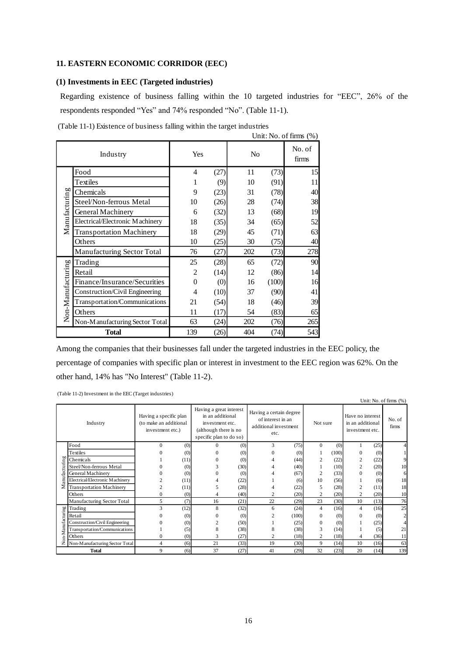## **11. EASTERN ECONOMIC CORRIDOR (EEC)**

## **(1) Investments in EEC (Targeted industries)**

Regarding existence of business falling within the 10 targeted industries for "EEC", 26% of the respondents responded "Yes" and 74% responded "No". (Table 11-1).

|  | (Table 11-1) Existence of business falling within the target industries |  |  |  |
|--|-------------------------------------------------------------------------|--|--|--|
|  |                                                                         |  |  |  |

|                   |                                 |          |      |                |       | Unit: No. of firms $(\%)$ |
|-------------------|---------------------------------|----------|------|----------------|-------|---------------------------|
|                   | Industry                        | Yes      |      | N <sub>0</sub> |       | No. of<br>firms           |
|                   | Food                            | 4        | (27) | 11             | (73)  | 15                        |
|                   | Textiles                        | 1        | (9)  | 10             | (91)  | 11                        |
|                   | Chemicals                       | 9        | (23) | 31             | (78)  | 40                        |
| Manufacturing     | Steel/Non-ferrous Metal         | 10       | (26) | 28             | (74)  | 38                        |
|                   | General Machinery               | 6        | (32) | 13             | (68)  | 19                        |
|                   | Electrical/Electronic Machinery | 18       | (35) | 34             | (65)  | 52                        |
|                   | <b>Transportation Machinery</b> | 18       | (29) | 45             | (71)  | 63                        |
|                   | Others                          | 10       | (25) | 30             | (75)  | 40                        |
|                   | Manufacturing Sector Total      | 76       | (27) | 202            | (73)  | 278                       |
|                   | Trading                         | 25       | (28) | 65             | (72)  | 90                        |
|                   | Retail                          | 2        | (14) | 12             | (86)  | 14                        |
|                   | Finance/Insurance/Securities    | $\theta$ | (0)  | 16             | (100) | 16                        |
|                   | Construction/Civil Engineering  | 4        | (10) | 37             | (90)  | 41                        |
|                   | Transportation/Communications   | 21       | (54) | 18             | (46)  | 39                        |
| Non-Manufacturing | Others                          | 11       | (17) | 54             | (83)  | 65                        |
|                   | Non-Manufacturing Sector Total  | 63       | (24) | 202            | (76)  | 265                       |
|                   | <b>Total</b>                    | 139      | (26) | 404            | (74)  | 543                       |

Among the companies that their businesses fall under the targeted industries in the EEC policy, the percentage of companies with specific plan or interest in investment to the EEC region was 62%. On the other hand, 14% has "No Interest" (Table 11-2).

(Table 11-2) Investment in the EEC (Target industries)

|                  |                                 |                                                                      |      |                                                                                                                    |      |                                                                               |       |                |       |                                                         |      | Unit: No. of firms (%) |
|------------------|---------------------------------|----------------------------------------------------------------------|------|--------------------------------------------------------------------------------------------------------------------|------|-------------------------------------------------------------------------------|-------|----------------|-------|---------------------------------------------------------|------|------------------------|
|                  | Industry                        | Having a specific plan<br>(to make an additional<br>investment etc.) |      | Having a great interest<br>in an additional<br>investment etc.<br>(although there is no<br>specific plan to do so) |      | Having a certain degree<br>of interest in an<br>additional investment<br>etc. |       | Not sure       |       | Have no interest<br>in an additional<br>investment etc. |      | No. of<br>firms        |
|                  | Food                            | $\Omega$                                                             | (0)  | $\Omega$                                                                                                           | (0)  | 3                                                                             | (75)  | $\Omega$       | (0)   |                                                         | (25) |                        |
|                  | Textiles                        |                                                                      | (0)  | 0                                                                                                                  | (0)  |                                                                               | (0)   |                | (100) | $\Omega$                                                | (0)  |                        |
| ы                | Chemicals                       |                                                                      | (11) | 0                                                                                                                  | (0)  |                                                                               | (44)  | $\overline{c}$ | (22)  | $\overline{c}$                                          | (22) |                        |
| cturing          | Steel/Non-ferrous Metal         |                                                                      | (0)  | 3                                                                                                                  | (30) |                                                                               | (40)  |                | (10)  | $\mathfrak{2}$                                          | (20) | 10                     |
|                  | General Machinery               |                                                                      | (0)  | 0                                                                                                                  | (0)  |                                                                               | (67)  | $\overline{c}$ | (33)  | $\Omega$                                                | (0)  | 6                      |
| anufac           | Electrical/Electronic Machinery |                                                                      | (11) |                                                                                                                    | (22) |                                                                               | (6)   | 10             | (56)  |                                                         | (6)  | 18                     |
| Σ                | <b>Transportation Machinery</b> |                                                                      | (11) |                                                                                                                    | (28) |                                                                               | (22)  | 5              | (28)  | $\overline{c}$                                          | (11) | 18                     |
|                  | Others                          | $\mathbf{0}$                                                         | (0)  | 4                                                                                                                  | (40) | $\overline{c}$                                                                | (20)  | $\overline{c}$ | (20)  | $\overline{c}$                                          | (20) | 10                     |
|                  | Manufacturing Sector Total      | 5                                                                    | (7)  | 16                                                                                                                 | (21) | 22                                                                            | (29)  | 23             | (30)  | 10                                                      | (13) | 76                     |
|                  | Trading                         | 3                                                                    | (12) | 8                                                                                                                  | (32) | 6                                                                             | (24)  | 4              | (16)  | 4                                                       | (16) | 25                     |
|                  | Retail                          |                                                                      | (0)  | 0                                                                                                                  | (0)  | 2                                                                             | (100) | $\mathbf{0}$   | (0)   | $\Omega$                                                | (0)  | $\mathfrak{D}$         |
|                  | Construction/Civil Engineering  |                                                                      | (0)  |                                                                                                                    | (50) |                                                                               | (25)  | $\mathbf{0}$   | (0)   |                                                         | (25) |                        |
| on-Manufacturing | Transportation/Communications   |                                                                      | (5)  | 8                                                                                                                  | (38) | 8                                                                             | (38)  | 3              | (14)  |                                                         | (5)  | 21                     |
|                  | Others                          | $\Omega$                                                             | (0)  | 3                                                                                                                  | (27) | $\overline{2}$                                                                | (18)  | $\overline{c}$ | (18)  | 4                                                       | (36) | 11                     |
| z                | Non-Manufacturing Sector Total  | 4                                                                    | (6)  | 21                                                                                                                 | (33) | 19                                                                            | (30)  | 9              | (14)  | 10                                                      | (16) | 63                     |
|                  | <b>Total</b>                    | 9                                                                    | (6)  | 37                                                                                                                 | (27) | 41                                                                            | (29)  | 32             | (23)  | 20                                                      | (14) | 139                    |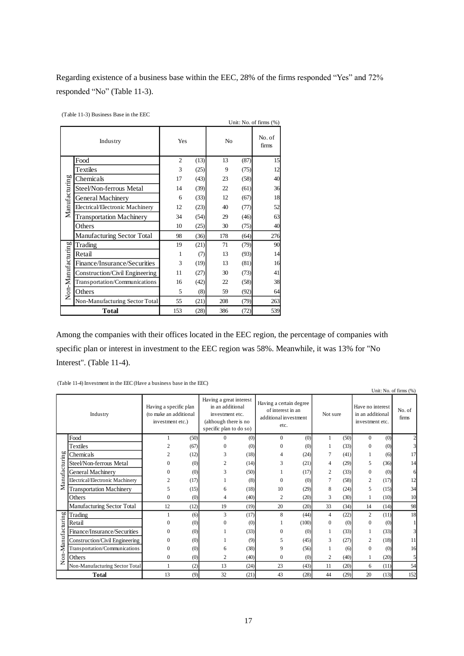Regarding existence of a business base within the EEC, 28% of the firms responded "Yes" and 72% responded "No" (Table 11-3).

(Table 11-3) Business Base in the EEC

|                   |                                 |                |      |     |      | Unit: No. of firms (%) |
|-------------------|---------------------------------|----------------|------|-----|------|------------------------|
|                   | Industry                        | Yes            |      | No  |      | No. of<br>firms        |
|                   | Food                            | $\overline{c}$ | (13) | 13  | (87) | 15                     |
|                   | Textiles                        | 3              | (25) | 9   | (75) | 12                     |
|                   | Chemicals                       | 17             | (43) | 23  | (58) | 40                     |
|                   | Steel/Non-ferrous Metal         | 14             | (39) | 22  | (61) | 36                     |
| Manufacturing     | General Machinery               | 6              | (33) | 12  | (67) | 18                     |
|                   | Electrical/Electronic Machinery | 12             | (23) | 40  | (77) | 52                     |
|                   | <b>Transportation Machinery</b> | 34             | (54) | 29  | (46) | 63                     |
|                   | Others                          | 10             | (25) | 30  | (75) | 40                     |
|                   | Manufacturing Sector Total      | 98             | (36) | 178 | (64) | 276                    |
|                   | Trading                         | 19             | (21) | 71  | (79) | 90                     |
|                   | Retail                          | 1              | (7)  | 13  | (93) | 14                     |
|                   | Finance/Insurance/Securities    | 3              | (19) | 13  | (81) | 16                     |
|                   | Construction/Civil Engineering  | 11             | (27) | 30  | (73) | 41                     |
|                   | Transportation/Communications   | 16             | (42) | 22  | (58) | 38                     |
| Non-Manufacturing | Others                          | 5              | (8)  | 59  | (92) | 64                     |
|                   | Non-Manufacturing Sector Total  | 55             | (21) | 208 | (79) | 263                    |
|                   | <b>Total</b>                    | 153            | (28) | 386 | (72) | 539                    |

Among the companies with their offices located in the EEC region, the percentage of companies with specific plan or interest in investment to the EEC region was 58%. Meanwhile, it was 13% for "No Interest". (Table 11-4).

(Table 11-4) Investment in the EEC (Have a business base in the EEC)

|                  |                                 |                                                                      |      |                                                                                                                    |      |                                                                               |       |                |      |                                                         |      | Unit: No. of firms (%) |
|------------------|---------------------------------|----------------------------------------------------------------------|------|--------------------------------------------------------------------------------------------------------------------|------|-------------------------------------------------------------------------------|-------|----------------|------|---------------------------------------------------------|------|------------------------|
|                  | Industry                        | Having a specific plan<br>(to make an additional<br>investment etc.) |      | Having a great interest<br>in an additional<br>investment etc.<br>(although there is no<br>specific plan to do so) |      | Having a certain degree<br>of interest in an<br>additional investment<br>etc. |       | Not sure       |      | Have no interest<br>in an additional<br>investment etc. |      | No. of<br>firms        |
|                  | Food                            |                                                                      | (50) | $\Omega$                                                                                                           | (0)  | $\theta$                                                                      | (0)   | 1              | (50) | $\Omega$                                                | (0)  |                        |
|                  | Textiles                        |                                                                      | (67) |                                                                                                                    | (0)  | 0                                                                             | (0)   |                | (33) | $\Omega$                                                | (0)  |                        |
|                  | Chemicals                       |                                                                      | (12) | 3                                                                                                                  | (18) | 4                                                                             | (24)  | 7              | (41) |                                                         | (6)  |                        |
|                  | Steel/Non-ferrous Metal         | 0                                                                    | (0)  | 2                                                                                                                  | (14) | 3                                                                             | (21)  | 4              | (29) | 5                                                       | (36) | 14                     |
|                  | General Machinery               | 0                                                                    | (0)  | 3                                                                                                                  | (50) |                                                                               | (17)  | $\overline{c}$ | (33) | $\Omega$                                                | (0)  |                        |
| Manufacturing    | Electrical/Electronic Machinery | 2                                                                    | (17) |                                                                                                                    | (8)  | $\theta$                                                                      | (0)   | 7              | (58) | 2                                                       | (17) | 12                     |
|                  | <b>Transportation Machinery</b> | 5                                                                    | (15) | 6                                                                                                                  | (18) | 10                                                                            | (29)  | 8              | (24) | 5                                                       | (15) | 34                     |
|                  | Others                          | $\Omega$                                                             | (0)  | 4                                                                                                                  | (40) | $\overline{2}$                                                                | (20)  | 3              | (30) | 1                                                       | (10) | 10                     |
|                  | Manufacturing Sector Total      | 12                                                                   | (12) | 19                                                                                                                 | (19) | 20                                                                            | (20)  | 33             | (34) | 14                                                      | (14) | 98                     |
|                  | Trading                         |                                                                      | (6)  | 3                                                                                                                  | (17) | 8                                                                             | (44)  | 4              | (22) | 2                                                       | (11) | 18                     |
|                  | Retail                          |                                                                      | (0)  | $\theta$                                                                                                           | (0)  |                                                                               | (100) | $\mathbf{0}$   | (0)  | $\Omega$                                                | (0)  |                        |
|                  | Finance/Insurance/Securities    | 0                                                                    | (0)  |                                                                                                                    | (33) | 0                                                                             | (0)   |                | (33) | 1                                                       | (33) |                        |
|                  | Construction/Civil Engineering  | 0                                                                    | (0)  |                                                                                                                    | (9)  | 5                                                                             | (45)  | 3              | (27) | 2                                                       | (18) | 11                     |
| on-Manufacturing | Transportation/Communications   | $\theta$                                                             | (0)  | 6                                                                                                                  | (38) | 9                                                                             | (56)  |                | (6)  | $\Omega$                                                | (0)  | 16                     |
|                  | Others                          | $\mathbf{0}$                                                         | (0)  | 2                                                                                                                  | (40) | $\overline{0}$                                                                | (0)   | $\overline{2}$ | (40) | 1                                                       | (20) | 5                      |
| z                | Non-Manufacturing Sector Total  |                                                                      | (2)  | 13                                                                                                                 | (24) | 23                                                                            | (43)  | 11             | (20) | 6                                                       | (11) | 54                     |
|                  | <b>Total</b>                    | 13                                                                   | (9)  | 32                                                                                                                 | (21) | 43                                                                            | (28)  | 44             | (29) | 20                                                      | (13) | 152                    |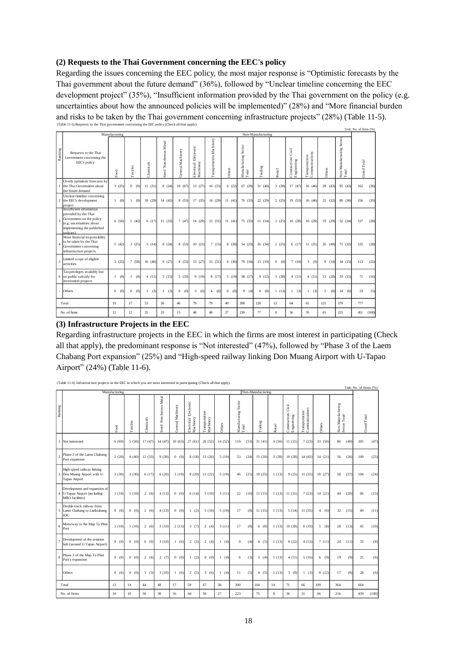## **(2) Requests to the Thai Government concerning the EEC's policy**

Regarding the issues concerning the EEC policy, the most major response is "Optimistic forecasts by the Thai government about the future demand" (36%), followed by "Unclear timeline concerning the EEC development project" (35%), "Insufficient information provided by the Thai government on the policy (e.g. uncertainties about how the announced policies will be implemented)" (28%) and "More financial burden and risks to be taken by the Thai government concerning infrastructure projects" (28%) (Table 11-5). (Table 11-5) Requests to the Thai government concerning the EEC policy (Check all that apply) Unit: No. of firms (%)

|                |                                                                                                                                                       | Manufacturing   |                       |                     |                         |                     |                                    |                          |                     |                               | Non-Manufacturing |                     |                                     |                                                                                        |          |                                 |                    |
|----------------|-------------------------------------------------------------------------------------------------------------------------------------------------------|-----------------|-----------------------|---------------------|-------------------------|---------------------|------------------------------------|--------------------------|---------------------|-------------------------------|-------------------|---------------------|-------------------------------------|----------------------------------------------------------------------------------------|----------|---------------------------------|--------------------|
| Ranking        | Requests to the Thai<br>Government concerning the<br>EEC's policy                                                                                     | Food            | Textiles              | Chemicals           | Steel/Non-ferrous Metal | General Machinery   | Electrical/Electronic<br>Machinery | Transportation Machinery | Others              | Manufacturing Sector<br>Total | Trading           | Retail              | Gvil<br>Construction<br>Engineering | $\begin{array}{ll} \text{T}m \text{sportation} / \\ \text{Communications} \end{array}$ | Others   | Non-Manufactumg Sector<br>Total | <b>Grand Total</b> |
|                | Overly optimistic forecasts by<br>the Thai Government about<br>the future demand                                                                      | 3(25)           | 0(0)                  | 11(31)              | 8(24)                   | 10(67)              | 13 (27)                            | 16(33)                   | 6(22)               | 67(29)                        | 31(40)            | 3(38)               | 17(47)                              | 16(46)                                                                                 | 28 (43)  | 95 (43)                         | 162<br>(36)        |
|                | Unclear timeline concerning<br>2 the EEC's development<br>project                                                                                     | 1(8)            | (8)<br>$\mathbf{1}$   | 10(29)              | 14 (42)                 | 8 (53)              | 17(35)                             | 14 (29)                  | 11(41)              | 76 (33)                       | 22(29)            | 2(25)               | 19(53)                              | 16(46)                                                                                 | 21(32)   | 80 (36)                         | (35)<br>156        |
| 3              | Insufficient information<br>provided by the Thai<br>Government on the policy<br>(e.g. uncertainties about<br>implementing the published<br>nolicies). | 6(50)           | 5(42)                 | 6(17)               | 11(33)                  | 7(47)               | 14 (29)                            | 15(31)                   | 11(41)              | 75 (33)                       | 11(14)            | 2(25)               | 10(28)                              | 10(29)                                                                                 | 19(29)   | 52 (24)                         | (28)<br>127        |
| $\overline{4}$ | More financial responsibility<br>to be taken by the Thai<br>Government concerning<br>infrastructure projects                                          | 5(42)           | 3(25)                 | 5(14)               | 8(24)                   | 8(53)               | 10(21)                             | 7(15)                    | 8(30)               | 54 (23)                       | 26(34)            | 2(25)               | 6(17)                               | 11(31)                                                                                 | 26(40)   | 71 (32)                         | 125<br>(28)        |
| 5              | Limited scope of eligible<br>activities                                                                                                               | 3(25)           | 7 (58)                | 16(46)              | 9(27)                   | 8 (53)              | 13 (27)                            | 15(31)                   | 8 (30)              | 79 (34)                       | 15(19)            | (0)<br>$\mathbf{0}$ | 7(19)                               | 3<br>(9)                                                                               | 9(14)    | 34 (15)                         | (25)<br>113        |
|                | Tax privileges availably but<br>6 no public subsidy for<br>investment projects                                                                        | 1(8)            | (8)<br>$\mathbf{1}$   | 4(11)               | 5(15)                   | 5(33)               | 9(19)                              | 8 (17)                   | 5(19)               | 38 (17)                       | 9(12)             | 3(38)               | 4(11)                               | 4(11)                                                                                  | 13(20)   | 33(15)                          | 71<br>(16)         |
|                | Others                                                                                                                                                | $\Omega$<br>(0) | $\overline{0}$<br>(0) | (3)<br>$\mathbf{1}$ | (3)<br>$\mathbf{1}$     | $\mathbf{0}$<br>(0) | 3<br>(6)                           | (8)<br>$\overline{4}$    | $\mathbf{0}$<br>(0) | 9<br>(4)                      | (8)<br>6          | 1(13)               | (3)<br>$\mathbf{1}$                 | (3)<br>$\mathbf{1}$                                                                    | 5<br>(8) | 14<br>(6)                       | 23<br>(5)          |
|                | Total                                                                                                                                                 | 19              | 17                    | 53                  | 56                      | 46                  | 79                                 | 79                       | 49                  | 398                           | $120 -$           | 13                  | 64                                  | 61                                                                                     | 121      | 379                             | 777                |
|                | No. of firms                                                                                                                                          | 12.             | 12.                   | 35                  | 33                      | 15                  | 48                                 | 48                       | 27                  | 230                           | 77                | 8                   | 36                                  | 35                                                                                     | 65       | 221                             | (100)<br>451       |

#### **(3) Infrastructure Projects in the EEC**

Regarding infrastructure projects in the EEC in which the firms are most interest in participating (Check all that apply), the predominant response is "Not interested" (47%), followed by "Phase 3 of the Laem Chabang Port expansion" (25%) and "High-speed railway linking Don Muang Airport with U-Tapao Airport" (24%) (Table 11-6).

|                | (1 able 11-6) intrastructure projects in the EEC in which you are most interested in participating (Check all that apply) | Manufacturing |          |           |                         |                   |                                    |                             |         |                               |      | Non-Manufacturing        |        |                                                                                      |                                   |         |                                   |      | Unit: No. of firms (%) |       |
|----------------|---------------------------------------------------------------------------------------------------------------------------|---------------|----------|-----------|-------------------------|-------------------|------------------------------------|-----------------------------|---------|-------------------------------|------|--------------------------|--------|--------------------------------------------------------------------------------------|-----------------------------------|---------|-----------------------------------|------|------------------------|-------|
| Ranking        |                                                                                                                           | Food          | Textiles | Chemicals | Steel/Non-ferrous Metal | General Machinery | Electrical/Electronic<br>Machinery | Transportation<br>Machinery | Others  | Manufacturing Sector<br>Total |      | $\operatorname{Trading}$ | Retail | Ğ<br>$\begin{array}{ll} \mbox{Construction}^\prime\\ \mbox{Engineering} \end{array}$ | Transportation/<br>Communications | Others  | Non-Manufacturing<br>Sector Total |      | Grand Total            |       |
|                | 1 Not interested                                                                                                          | 6(60)         | 5(50)    | 17(47)    | 14 (47)                 | 10(63)            | 27 (61)                            | 26(52)                      | 14 (52) | 119                           | (53) | 31(41)                   | 4(50)  | 11(31)                                                                               | 7(23)                             | 33 (50) | 86                                | (40) | 205                    | (47)  |
| $\mathfrak{I}$ | Phase 3 of the Laem Chabang<br>Port expansion                                                                             | 2(20)         | 4(40)    | 12(33)    | 9(30)                   | 0(0)              | 8(18)                              | 13(26)                      | 5(19)   | 53                            | (24) | 15(20)                   | 3(38)  | 10(28)                                                                               | 14(45)                            | 14(21)  | 56                                | (26) | 109                    | (25)  |
|                | High-speed railway linking<br>3 Don Muang Airport with U-<br>Tapao Airport                                                | 3(30)         | 3(30)    | 6(17)     | 6(20)                   | 3(19)             | 9(20)                              | 11(22)                      | 5(19)   | 46                            | (21) | 19(25)                   | 1(13)  | 9(25)                                                                                | 11(35)                            | 18 (27) | 58                                | (27) | 104                    | (24)  |
|                | Development and expansion of<br>4 U-Tapao Airport (including<br>MRO facilities)                                           | 1(10)         | 1(10)    | 2(6)      | 4(13)                   | 0(0)              | 6(14)                              | 5(10)                       | 3(11)   | 22                            | (10) | 11(15)                   | 1(13)  | 11(31)                                                                               | 7(23)                             | 14(21)  | 44                                | (20) | 66                     | (15)  |
|                | Double track railway from<br>5 Laem Chabang to Ladkrabang<br><b>IDC</b>                                                   | 0(0)          | 0(0)     | 2(6)      | 4(13)                   | 0(0)              | 1(2)                               | 5(10)                       | 5(19)   | 17                            | (8)  | 11(15)                   | 1(13)  | 5(14)                                                                                | 11(35)                            | 4(6)    | 32                                | (15) | 49                     | (11)  |
| 6              | Motorway to the Map Ta Phut<br>Port                                                                                       | 1(10)         | 1(10)    | 2(6)      | 3(10)                   | 2(13)             | 3(7)                               | 2(4)                        | 3(11)   | 17                            | (8)  | 6(8)                     | 1(13)  | 10(28)                                                                               | 6(19)                             | 5(8)    | 28                                | (13) | 45                     | (10)  |
|                | Development of the aviation<br>hub (around U-Tapao Airport)                                                               | 0(0)          | 0(0)     | $(0)$ (0) | 3(10)                   | 1(6)              | 2(5)                               | 2(4)                        | 1(4)    | 9                             | (4)  | 4(5)                     | 1(13)  | 8(22)                                                                                | 4(13)                             | 7(11)   | 24                                | (11) | 33                     | (8)   |
| 8              | Phase 3 of the Map Ta Phut<br>Port's expansion                                                                            | 0(0)          | 0(0)     | 2(6)      | 2(7)                    | 0(0)              | 1(2)                               | 0(0)                        | 1(4)    | 6                             | (3)  | 3(4)                     | 1(13)  | 4(11)                                                                                | 5(16)                             | 6(9)    | 19                                | (9)  | 25                     | (6)   |
|                | Others                                                                                                                    | 0(0)          | 0(0)     | 1(3)      | 3(10)                   | 1(6)              | 2(5)                               | 3(6)                        | 1(4)    | 11                            | (5)  | 4(5)                     | 1(13)  | 3(8)                                                                                 | 1(3)                              | 8 (12)  | 17                                | (8)  | 28                     | (6)   |
|                | Total                                                                                                                     | 13            | 14       | 44        | 48                      | 17                | 59                                 | 67                          | 38      | 300                           |      | 104                      | 14     | 71                                                                                   | 66                                | 109     | 364                               |      | 664                    |       |
|                | No. of firms                                                                                                              | 10            | 10       | 36        | 30                      | 16                | 44                                 | 50                          | 27      | 223                           |      | 75                       | 8      | 36                                                                                   | 31                                | 66      | 216                               |      | 439                    | (100) |

(Table 11-6) Infrastructure projects in the EEC in which you are most interested in participating (Check all that apply)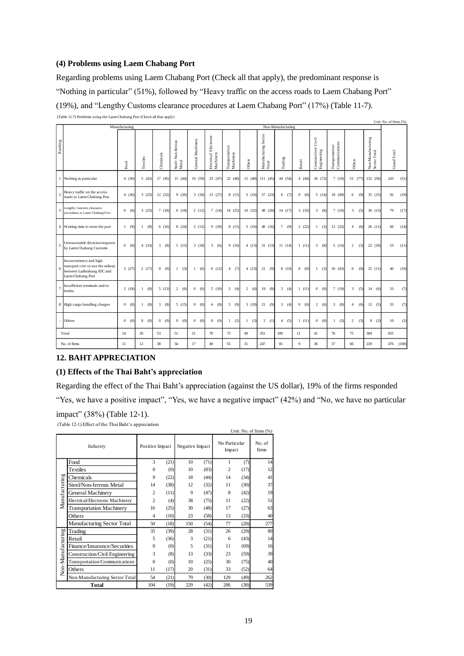#### **(4) Problems using Laem Chabang Port**

Regarding problems using Laem Chabang Port (Check all that apply), the predominant response is "Nothing in particular" (51%), followed by "Heavy traffic on the access roads to Laem Chabang Port" (19%), and "Lengthy Customs clearance procedures at Laem Chabang Port" (17%) (Table 11-7). (Table 11-7) Problems using the Laem Chabang Port (Check all that apply)

|                |                                                                                                                |               |                     |                       |                            |                   |                                    |                             |         |                               |                       |                       |                                                                                     |                                   |                         |                                   | Unit: No. of firms (%) |
|----------------|----------------------------------------------------------------------------------------------------------------|---------------|---------------------|-----------------------|----------------------------|-------------------|------------------------------------|-----------------------------|---------|-------------------------------|-----------------------|-----------------------|-------------------------------------------------------------------------------------|-----------------------------------|-------------------------|-----------------------------------|------------------------|
|                |                                                                                                                | Manufacturing |                     |                       |                            |                   |                                    |                             |         |                               | Non-Manufacturing     |                       |                                                                                     |                                   |                         |                                   |                        |
| Ranking        |                                                                                                                | Food          | Textiles            | Chemicals             | Steel/Non-ferrous<br>Metal | General Machinery | Electrical/Electronic<br>Machinery | Transportation<br>Machinery | Others  | Manufacturing Sector<br>Total | Trading               | Retail                | Civil<br>$\begin{array}{c} \text{Construction} / \\ \text{Engineering} \end{array}$ | Communications<br>Transportation/ | Others                  | Non-Manufacturing<br>Sector Total | <b>Grand Total</b>     |
|                | 1 Nothing in particular                                                                                        | 4(36)         | 5(42)               | 17(45)                | 15(44)                     | 10(59)            | 23 (47)                            | 22(40)                      | 15 (48) | 111(45)                       | 44 (54)               | 4(44)                 | 26(72)                                                                              | 7(19)                             | 51 (77                  | 132 (58)                          | 243<br>(51)            |
| $\overline{c}$ | Heavy traffic on the access<br>roads to Laem Chabang Port                                                      | 4(36)         | 3(25)               | 12(32)                | 9(26)                      | 3(18)             | 13(27)                             | 8(15)                       | 5(16)   | 57 (23)                       | 6<br>(7)              | $\overline{0}$<br>(0) | 5(14)                                                                               | 18 (49)                           | 6<br>(9)                | 35(15)                            | (19)<br>92             |
| $\overline{3}$ | Lengthy Customs clearance<br>procedures at Laem Chabang Port                                                   | 0 (0)         | 3(25)               | 7(18)                 | 6(18)                      | 2(12)             | 7(14)                              | 14(25)                      | 10(32)  | 49 (20)                       | 14(17)                | 3(33)                 | 3(8)                                                                                | 7(19)                             | 3<br>(5)                | 30(13)                            | 79<br>(17)             |
|                | 4 Waiting time to enter the port                                                                               | 1(9)          | (8)<br>$\mathbf{1}$ | 6(16)                 | 8(24)                      | 2(12)             | 9(18)                              | 8(15)                       | 5 (16)  | 40 (16)                       | $\tau$<br>(9)         | 2(22)                 | (3)<br>$\mathbf{1}$                                                                 | 12(32)                            | $\overline{4}$<br>(6)   | 26(11)                            | (14)<br>66             |
| 5              | Unreasonable decision/requests<br>by Laem Chabang Customs                                                      | 0 (0)         | 4(33)               | $\overline{3}$<br>(8) | 5(15)                      | 3(18)             | 3(6)                               | 9(16)                       | 4(13)   | 31(13)                        | 11(14)                | 1(11)                 | 3(8)                                                                                | 5(14)                             | 2<br>(3)                | 22 (10)                           | 53<br>(11)             |
| 6              | Inconvenience and high<br>transport cost to use the railway<br>between Ladkrabang IDC and<br>Laem Chabang Port | 3(27)         | 2(17)               | $\mathbf{0}$<br>(0)   | (3)<br>$\mathbf{1}$        | 1(6)              | 6(12)                              | (7)<br>4                    | 4(13)   | 21<br>(9)                     | 8(10)                 | $\overline{0}$<br>(0) | (3)<br>$\mathbf{1}$                                                                 | 16(43)                            | $\boldsymbol{0}$<br>(0) | 25(11)                            | (10)<br>46             |
| $\overline{7}$ | Insufficient terminals and/or<br>berths                                                                        | 2(18)         | (8)<br>$\mathbf{1}$ | 5(13)                 | 2(6)                       | 0 (0)             | 5(10)                              | 2(4)                        | 2(6)    | 19<br>(8)                     | $\overline{3}$<br>(4) | 1(11)                 | 0 (0)                                                                               | 7(19)                             | 3<br>(5)                | 14<br>(6)                         | (7)<br>33              |
|                | 8 High cargo handling charges                                                                                  | 0(0)          | (8)<br>-1           | 3<br>(8)              | 5(15)                      | 0(0)              | (8)<br>4                           | 5<br>(9)                    | 3(10)   | 21<br>(9)                     | $\overline{3}$<br>(4) | $\overline{0}$<br>(0) | 2(6)                                                                                | $\overline{3}$<br>(8)             | $\overline{4}$<br>(6)   | 12<br>(5)                         | (7)<br>33              |
|                | Others                                                                                                         | 0 (0)         | $\mathbf{0}$<br>(0) | $\overline{0}$<br>(0) | (0)<br>$\overline{0}$      | 0(0)              | (0)<br>$\mathbf{0}$                | (2)<br>$\mathbf{1}$         | 1(3)    | 2(1)                          | (5)<br>$\overline{4}$ | 1(11)                 | 0 (0)                                                                               | (3)<br>$\mathbf{1}$               | $\overline{2}$<br>(3)   | 8<br>(3)                          | 10<br>(2)              |
|                | Total                                                                                                          | 14            | 20                  | 53                    | 51                         | 21                | 70                                 | 73                          | 49      | 351                           | 100                   | 12                    | 41                                                                                  | 76                                | 75                      | 304                               | 655                    |
|                | No. of firms                                                                                                   | 11            | 12                  | 38                    | 34                         | 17                | 49                                 | 55                          | 31      | 247                           | 81                    | $\mathbf{Q}$          | 36                                                                                  | 37                                | 66                      | 229                               | (100)<br>476           |

## **12. BAHT APPRECIATION**

### **(1) Effects of the Thai Baht's appreciation**

Regarding the effect of the Thai Baht's appreciation (against the US dollar), 19% of the firms responded

"Yes, we have a positive impact", "Yes, we have a negative impact" (42%) and "No, we have no particular

Unit: No. of firms (%)

impact" (38%) (Table 12-1).

(Table 12-1) Effect of the Thai Baht's appreciation

|                   | Industry                        | Positive Impact |      | Negative Impact |      | No Particular<br>Impact |      | No. of<br>firms |
|-------------------|---------------------------------|-----------------|------|-----------------|------|-------------------------|------|-----------------|
|                   | Food                            | 3               | (21) | 10              | (71) | 1                       | (7)  | 14              |
|                   | Textiles                        | $\Omega$        | (0)  | 10              | (83) | $\overline{c}$          | (17) | 12              |
|                   | Chemicals                       | 9               | (22) | 18              | (44) | 14                      | (34) | 41              |
|                   | Steel/Non-ferrous Metal         | 14              | (38) | 12              | (32) | 11                      | (30) | 37              |
| Manufacturing     | General Machinery               | $\overline{c}$  | (11) | 9               | (47) | 8                       | (42) | 19              |
|                   | Electrical/Electronic Machinery | $\overline{c}$  | (4)  | 38              | (75) | 11                      | (22) | 51              |
|                   | <b>Transportation Machinery</b> | 16              | (25) | 30              | (48) | 17                      | (27) | 63              |
|                   | Others                          | 4               | (10) | 23              | (58) | 13                      | (33) | 40              |
|                   | Manufacturing Sector Total      | 50              | (18) | 150             | (54) | 77                      | (28) | 277             |
|                   | Trading                         | 35              | (39) | 28              | (31) | 26                      | (29) | 89              |
| Non-Manufacturing | Retail                          | 5               | (36) | 3               | (21) | 6                       | (43) | 14              |
|                   | Finance/Insurance/Securities    | $\Omega$        | (0)  | 5               | (31) | 11                      | (69) | 16              |
|                   | Construction/Civil Engineering  | 3               | (8)  | 13              | (33) | 23                      | (59) | 39              |
|                   | Transportation/Communications   | $\Omega$        | (0)  | 10              | (25) | 30                      | (75) | 40              |
|                   | Others                          | 11              | (17) | 20              | (31) | 33                      | (52) | 64              |
|                   | Non-Manufacturing Sector Total  | 54              | (21) | 79              | (30) | 129                     | (49) | 262             |
|                   | Total                           | 104             | (19) | 229             | (42) | 206                     | (38) | 539             |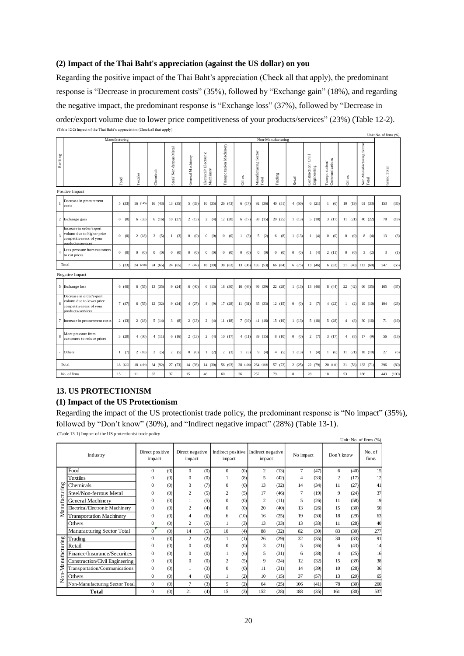## **(2) Impact of the Thai Baht's appreciation (against the US dollar) on you**

Regarding the positive impact of the Thai Baht's appreciation (Check all that apply), the predominant response is "Decrease in procurement costs" (35%), followed by "Exchange gain" (18%), and regarding the negative impact, the predominant response is "Exchange loss" (37%), followed by "Decrease in order/export volume due to lower price competitiveness of your products/services" (23%) (Table 12-2). (Table 12-2) Impact of the Thai Baht's appreciation (Check all that apply) Unit: No. of firms (%)

|                |                                                                                                        | Manufacturing         |            |                       |                         |                       |                                    |                          |                     |                               | Non-Manufacturing |                       |                                       |                                                                                          |                       |                                                    | UBIL: INO. 01 HITIIS (%) |       |
|----------------|--------------------------------------------------------------------------------------------------------|-----------------------|------------|-----------------------|-------------------------|-----------------------|------------------------------------|--------------------------|---------------------|-------------------------------|-------------------|-----------------------|---------------------------------------|------------------------------------------------------------------------------------------|-----------------------|----------------------------------------------------|--------------------------|-------|
| Ranking        |                                                                                                        | Food                  | Textiles   | Chemicals             | Steel/Non-ferrous Metal | General Machinery     | Electrical/Electronic<br>Machinery | Transportation Machinery | Others              | Manufacturing Sector<br>Total | Trading           | Retail                | Civil<br>Construction/<br>Engineering | $\begin{array}{ll} \mathrm{Transportation}^\prime\\ \mathrm{Communications} \end{array}$ | Others                | Non-Manufacturing Sector<br>$\operatorname{Total}$ | Grand Total              |       |
|                | Positive Impact                                                                                        |                       |            |                       |                         |                       |                                    |                          |                     |                               |                   |                       |                                       |                                                                                          |                       |                                                    |                          |       |
| $\mathbf{1}$   | Decrease in procurement<br>costs                                                                       | 5(33)                 | 16(145)    | 16(43)                | 13(35)                  | 5(33)                 | 16(35)                             | 26(43)                   | 6(17)               | 92 (36)                       | 40 (51)           | 4(50)                 | 6(21)                                 | (6)<br>$\mathbf{1}$                                                                      | 10(19)                | 61(33)                                             | 153                      | (35)  |
|                | 2 Exchange gain                                                                                        | 0(0)                  | 6(55)      | 6(16)                 | 10(27)                  | 2(13)                 | 2(4)                               | 12(20)                   | 6(17)               | 38 (15)                       | 20(25)            | 1(13)                 | 5(18)                                 | 3(17)                                                                                    | 11(21)                | 40 (22)                                            | 78                       | (18)  |
| $\overline{3}$ | Increase in order/export<br>volume due to higher price<br>competitiveness of your<br>products/services | $\Omega$<br>(0)       | 2(18)      | 2(5)                  | (3)<br>$\mathbf{1}$     | $\overline{0}$<br>(0) | $\overline{0}$<br>(0)              | $\mathbf{0}$<br>(0)      | (3)<br>$\mathbf{1}$ | 5<br>(2)                      | 6<br>(8)          | 1(13)                 | $\mathbf{1}$<br>(4)                   | $\overline{0}$<br>(0)                                                                    | $\mathbf{0}$<br>(0)   | 8<br>(4)                                           | 13                       | (3)   |
| $\overline{4}$ | Less pressure from customers<br>to cut prices                                                          | $\overline{0}$<br>(0) | $0 \t (0)$ | $\overline{0}$<br>(0) | $\overline{0}$<br>(0)   | $\overline{0}$<br>(0) | 0(0)                               | $\mathbf{0}$<br>(0)      | $\mathbf{0}$<br>(0) | $\overline{0}$<br>(0)         | 0(0)              | 0(0)                  | (4)<br>$\mathbf{1}$                   | 2(11)                                                                                    | $\overline{0}$<br>(0) | 3 <sup>7</sup><br>(2)                              | 3                        | (1)   |
|                | Total                                                                                                  | 5(33)                 | 24 (218)   | 24 (65)               | 24 (65)                 | 7(47)                 | 18 (39)                            | 38 (63)                  | 13 (36)             | 135 (53)                      | 66 (84)           | 6(75)                 | 13 (46)                               | 6(33)                                                                                    | 21(40)                | 112 (60)                                           | 247                      | (56)  |
|                | Negative Impact                                                                                        |                       |            |                       |                         |                       |                                    |                          |                     |                               |                   |                       |                                       |                                                                                          |                       |                                                    |                          |       |
|                | 5 Exchange loss                                                                                        | 6(40)                 | 6(55)      | 13(35)                | 9(24)                   | 6(40)                 | 6(13)                              | 18 (30)                  | 16 (44)             | 99 (39)                       | 22 (28)           | 1(13)                 | 13 (46)                               | 8(44)                                                                                    | 22 (42)               | 66 (35)                                            | 165                      | (37)  |
| 6              | Decrease in order/export<br>volume due to lower price<br>competitiveness of your<br>products/services  | 7(47)                 | 6(55)      | 12(32)                | 9(24)                   | 4(27)                 | 4(9)                               | 17(28)                   | 11(31)              | 85 (33)                       | 12(15)            | 0(0)                  | 2(7)                                  | 4(22)                                                                                    | (2)<br>$\mathbf{1}$   | 19 (10)                                            | 104                      | (23)  |
|                | 7 Increase in procurement costs                                                                        | 2(13)                 | 2(18)      | 5(14)                 | 3 <sup>7</sup><br>(8)   | 2(13)                 | 2(4)                               | 11(18)                   | 7(19)               | 41 (16)                       | 15(19)            | 1(13)                 | 5(18)                                 | 5(28)                                                                                    | (8)<br>$\overline{4}$ | 30(16)                                             | 71                       | (16)  |
| 8              | More pressure from<br>customers to reduce prices                                                       | 3(20)                 | 4(36)      | 4(11)                 | 6(16)                   | 2(13)                 | 2(4)                               | 10(17)                   | 4(11)               | 39(15)                        | 8(10)             | (0)<br>$\overline{0}$ | 2(7)                                  | 3(17)                                                                                    | $\overline{4}$<br>(8) | (9)<br>17                                          | 56                       | (13)  |
|                | Others                                                                                                 | 1(7)                  | 2(18)      | 2(5)                  | 2(5)                    | $\mathbf{0}$<br>(0)   | 1(2)                               | 2(3)                     | $\mathbf{1}$<br>(3) | 9<br>(4)                      | 4(5)              | 1(13)                 | 1(4)                                  | 1(6)                                                                                     | 11(21)                | 18 (10)                                            | 27                       | (6)   |
|                | Total                                                                                                  | 18 (120)              | 18 (164)   | 34 (92)               | 27 (73)                 | 14 (93)               | 14 (30)                            | 56 (93)                  | 38 (106)            | 264 (103)                     | 57 (72)           | 2(25)                 | 22 (79)                               | 20(111)                                                                                  | 31 (58)               | 132 (71)                                           | 396                      | (89)  |
|                | No. of firms                                                                                           | 15                    | 11         | 37                    | 37                      | 15                    | 46                                 | 60                       | 36                  | 257                           | 79                | 8                     | 28                                    | 18                                                                                       | 53                    | 186                                                | 443                      | (100) |

#### **13. US PROTECTIONISM**

#### **(1) Impact of the US Protectionism**

Regarding the impact of the US protectionist trade policy, the predominant response is "No impact" (35%), followed by "Don't know" (30%), and "Indirect negative impact" (28%) (Table 13-1).

(Table 13-1) Impact of the US protectionist trade policy

|                                                | Unit: No. of firms (%)          |                           |     |                           |     |                |      |                                               |      |                |      |                |      |                 |
|------------------------------------------------|---------------------------------|---------------------------|-----|---------------------------|-----|----------------|------|-----------------------------------------------|------|----------------|------|----------------|------|-----------------|
|                                                | Industry                        | Direct positive<br>impact |     | Direct negative<br>impact |     | impact         |      | Indirect positive Indirect negative<br>impact |      | No impact      |      | Don't know     |      | No. of<br>firms |
|                                                | Food                            | $\Omega$                  | (0) | $\Omega$                  | (0) | $\Omega$       | (0)  | 2                                             | (13) | $\overline{7}$ | (47) | 6              | (40) | 15              |
|                                                | <b>Textiles</b>                 | $\theta$                  | (0) | $\mathbf{0}$              | (0) |                | (8)  | 5                                             | (42) | 4              | (33) | $\overline{c}$ | (17) | 12              |
|                                                | Chemicals                       | $\theta$                  | (0) | 3                         | (7) | $\Omega$       | (0)  | 13                                            | (32) | 14             | (34) | 11             | (27) | 41              |
| Manufacturing                                  | Steel/Non-ferrous Metal         | $\theta$                  | (0) | $\overline{c}$            | (5) | $\overline{2}$ | (5)  | 17                                            | (46) | 7              | (19) | 9              | (24) | 37              |
|                                                | General Machinery               | $\overline{0}$            | (0) | 1                         | (5) | $\Omega$       | (0)  | $\overline{c}$                                | (11) | 5              | (26) | 11             | (58) | 19              |
|                                                | Electrical/Electronic Machinery | $\overline{0}$            | (0) | $\overline{c}$            | (4) | $\Omega$       | (0)  | 20                                            | (40) | 13             | (26) | 15             | (30) | 50              |
|                                                | <b>Transportation Machinery</b> | $\overline{0}$            | (0) | 4                         | (6) | 6              | (10) | 16                                            | (25) | 19             | (30) | 18             | (29) | 63              |
|                                                | Others                          | $\mathbf{0}$              | (0) | $\overline{2}$            | (5) |                | (3)  | 13                                            | (33) | 13             | (33) | 11             | (28) | 40              |
|                                                | Manufacturing Sector Total      | $\mathbf{0}$              | (0) | 14                        | (5) | 10             | (4)  | 88                                            | (32) | 82             | (30) | 83             | (30) | 277             |
|                                                | Trading                         | $\overline{0}$            | (0) | $\overline{c}$            | (2) |                | (1)  | 26                                            | (29) | 32             | (35) | 30             | (33) | 91              |
| Manufacturing                                  | Retail                          | $\theta$                  | (0) | $\mathbf{0}$              | (0) | $\Omega$       | (0)  | 3                                             | (21) | 5              | (36) | 6              | (43) | 14              |
|                                                | Finance/Insurance/Securities    | $\theta$                  | (0) | $\Omega$                  | (0) |                | (6)  | 5                                             | (31) | 6              | (38) | 4              | (25) | 16              |
|                                                | Construction/Civil Engineering  | $\overline{0}$            | (0) | $\theta$                  | (0) | $\overline{c}$ | (5)  | 9                                             | (24) | 12             | (32) | 15             | (39) | 38              |
|                                                | Transportation/Communications   | $\overline{0}$            | (0) |                           | (3) | $\Omega$       | (0)  | 11                                            | (31) | 14             | (39) | 10             | (28) | 36              |
| $\blacksquare$<br>$\overline{\mathbf{5}}$<br>Ż | Others                          | $\overline{0}$            | (0) | $\overline{4}$            | (6) |                | (2)  | 10                                            | (15) | 37             | (57) | 13             | (20) | 65              |
|                                                | Non-Manufacturing Sector Total  | $\mathbf{0}$              | (0) | 7                         | (3) | 5              | (2)  | 64                                            | (25) | 106            | (41) | 78             | (30) | 260             |
|                                                | <b>Total</b>                    | $\mathbf{0}$              | (0) | 21                        | (4) | 15             | (3)  | 152                                           | (28) | 188            | (35) | 161            | (30) | 537             |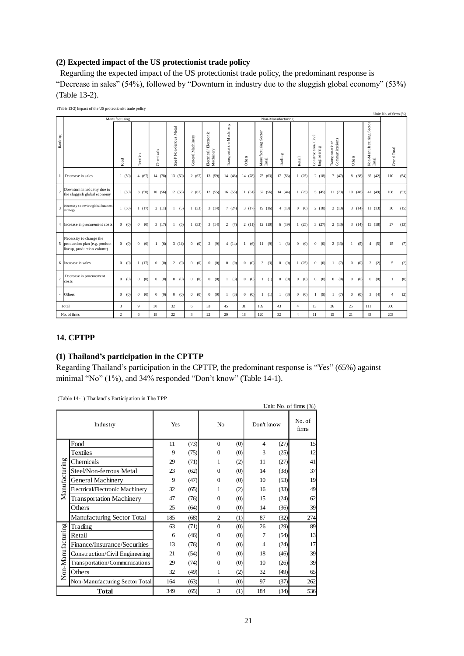## **(2) Expected impact of the US protectionist trade policy**

Regarding the expected impact of the US protectionist trade policy, the predominant response is "Decrease in sales" (54%), followed by "Downturn in industry due to the sluggish global economy" (53%) (Table 13-2).

| (Table 13-2) Impact of the US protectionist trade policy<br>Unit: No. of firms (%) |                                                                                          |                       |                       |                     |                         |                         |                                    |                          |                     |                               |                       |                       |                                       |                                                                                      |                     |                                    |                       |
|------------------------------------------------------------------------------------|------------------------------------------------------------------------------------------|-----------------------|-----------------------|---------------------|-------------------------|-------------------------|------------------------------------|--------------------------|---------------------|-------------------------------|-----------------------|-----------------------|---------------------------------------|--------------------------------------------------------------------------------------|---------------------|------------------------------------|-----------------------|
| Non-Manufacturing<br>Manufacturing                                                 |                                                                                          |                       |                       |                     |                         |                         |                                    |                          |                     |                               |                       |                       |                                       |                                                                                      |                     |                                    |                       |
| Ranking                                                                            |                                                                                          | Food                  | Textiles              | Chemicals           | Steel/Non-ferrous Metal | General Machinery       | Electrical/Electronic<br>Machinery | Transportation Machinery | Others              | Manufacturing Sector<br>Total | Trading               | Retail                | Civil<br>Construction/<br>Engineering | $\begin{array}{c} \text{Transportion}^{\prime}\\ \text{Communication}\\ \end{array}$ | Others              | Non-Man ufacturing Sector<br>Total | Grand Total           |
| $\mathbf{1}$                                                                       | Decrease in sales                                                                        | 1(50)                 | 4(67)                 | 14 (78)             | 13(59)                  | 2(67)                   | 13(59)                             | 14 (48)                  | 14 (78)             | 75 (63)                       | 17(53)                | 1(25)                 | 2(18)                                 | 7(47)                                                                                | 8 (38)              | 35(42)                             | 110<br>(54)           |
| $\sqrt{2}$                                                                         | Downturn in industry due to<br>the sluggish global economy                               | 1(50)                 | 3(50)                 | 10(56)              | 12(55)                  | 2(67)                   | 12(55)                             | 16(55)                   | 11(61)              | 67 (56)                       | 14 (44)               | 1(25)                 | 5(45)                                 | 11(73)                                                                               | 10(48)              | 41 (49)                            | (53)<br>108           |
| 3                                                                                  | Necessity to review global business<br>strategy                                          | 1(50)                 | 1(17)                 | 2(11)               | 1<br>(5)                | 1(33)                   | 3(14)                              | 7(24)                    | 3(17)               | 19(16)                        | 4(13)                 | (0)<br>$\overline{0}$ | 2(18)                                 | 2(13)                                                                                | 3(14)               | 11(13)                             | 30<br>(15)            |
|                                                                                    | 4 Increase in procurement costs                                                          | 0(0)                  | 0 (0)                 | 3(17)               | (5)<br>$\mathbf{1}$     | 1(33)                   | 3(14)                              | 2(7)                     | 2(11)               | 12(10)                        | 6(19)                 | 1(25)                 | 3(27)                                 | 2(13)                                                                                | 3(14)               | 15(18)                             | 27<br>(13)            |
|                                                                                    | Necessity to change the<br>5 production plan (e.g. product<br>lineup, production volume) | $\overline{0}$<br>(0) | 0(0)                  | (6)<br>1            | 3(14)                   | (0)<br>$\overline{0}$   | (9)<br>$\overline{2}$              | 4(14)                    | $\mathbf{1}$<br>(6) | (9)<br>11                     | (3)<br>1              | (0)<br>$\overline{0}$ | $\mathbf{0}$<br>(0)                   | 2(13)                                                                                | (5)<br>$\mathbf{1}$ | (5)<br>$\overline{4}$              | (7)<br>15             |
|                                                                                    | 6 Increase in sales                                                                      | (0)<br>$\overline{0}$ | 1(17)                 | 0 (0)               | $\overline{2}$<br>(9)   | (0)<br>$\mathbf{0}$     | (0)<br>$\mathbf{0}$                | (0)<br>$\mathbf{0}$      | $\mathbf{0}$<br>(0) | $\overline{3}$<br>(3)         | (0)<br>$\mathbf{0}$   | 1(25)                 | (0)<br>$\mathbf{0}$                   | (7)<br>$\mathbf{1}$                                                                  | $\mathbf{0}$<br>(0) | $2^{\circ}$<br>(2)                 | 5<br>(2)              |
| $\overline{7}$                                                                     | Decrease in procurement<br>costs                                                         | $\Omega$<br>(0)       | (0)<br>$\overline{0}$ | (0)<br>$\mathbf{0}$ | $\bf{0}$<br>(0)         | $\overline{0}$<br>(0)   | $\overline{0}$<br>(0)              | (3)<br>$\mathbf{1}$      | $\mathbf{0}$<br>(0) | $\mathbf{1}$<br>(1)           | $\overline{0}$<br>(0) | $\theta$<br>(0)       | $\mathbf{0}$<br>(0)                   | $\overline{0}$<br>(0)                                                                | $\mathbf{0}$<br>(0) | $\overline{0}$<br>(0)              | (0)<br>-1             |
|                                                                                    | Others                                                                                   | (0)<br>$\overline{0}$ | 0 (0)                 | (0)<br>$\mathbf{0}$ | (0)<br>$\mathbf{0}$     | (0)<br>$\mathbf{0}$     | (0)<br>$\overline{0}$              | (3)<br>$\mathbf{1}$      | $\mathbf{0}$<br>(0) | (1)<br>1                      | (3)<br>$\mathbf{1}$   | $\overline{0}$<br>(0) | (9)<br>$\mathbf{1}$                   | (7)<br>$\mathbf{1}$                                                                  | $\mathbf{0}$<br>(0) | $\overline{3}$<br>(4)              | (2)<br>$\overline{4}$ |
| Total                                                                              |                                                                                          | $\overline{3}$        | $\mathbf{Q}$          | 30                  | 32                      | 6                       | 33                                 | 45                       | 31                  | 189                           | 43                    | $\overline{4}$        | 13                                    | 26                                                                                   | 25                  | 111                                | 300                   |
|                                                                                    | No. of firms                                                                             | $\overline{2}$        | 6                     | 18                  | 22.                     | $\overline{\mathbf{3}}$ | 22                                 | 29                       | 18                  | 120                           | 32                    | $\overline{4}$        | 11                                    | 15                                                                                   | 21                  | 83                                 | 203                   |

## **14. CPTPP**

## **(1) Thailand's participation in the CPTTP**

Regarding Thailand's participation in the CPTTP, the predominant response is "Yes" (65%) against minimal "No" (1%), and 34% responded "Don't know" (Table 14-1).

(Table 14-1) Thailand's Participation in The TPP

| Unit: No. of firms (%) |                                 |     |      |                |     |            |                 |     |  |  |  |  |  |
|------------------------|---------------------------------|-----|------|----------------|-----|------------|-----------------|-----|--|--|--|--|--|
|                        | Industry                        | Yes |      | No             |     | Don't know | No. of<br>firms |     |  |  |  |  |  |
|                        | Food                            | 11  | (73) | $\Omega$       | (0) | 4          | (27)            | 15  |  |  |  |  |  |
|                        | Textiles                        | 9   | (75) | $\Omega$       | (0) | 3          | (25)            | 12  |  |  |  |  |  |
|                        | Chemicals                       | 29  | (71) | 1              | (2) | 11         | (27)            | 41  |  |  |  |  |  |
|                        | Steel/Non-ferrous Metal         | 23  | (62) | $\theta$       | (0) | 14         | (38)            | 37  |  |  |  |  |  |
| Manufacturing          | <b>General Machinery</b>        | 9   | (47) | $\mathbf{0}$   | (0) | 10         | (53)            | 19  |  |  |  |  |  |
|                        | Electrical/Electronic Machinery | 32  | (65) | 1              | (2) | 16         | (33)            | 49  |  |  |  |  |  |
|                        | <b>Transportation Machinery</b> | 47  | (76) | $\overline{0}$ | (0) | 15         | (24)            | 62  |  |  |  |  |  |
|                        | Others                          | 25  | (64) | $\mathbf{0}$   | (0) | 14         | (36)            | 39  |  |  |  |  |  |
|                        | Manufacturing Sector Total      | 185 | (68) | $\overline{2}$ | (1) | 87         | (32)            | 274 |  |  |  |  |  |
|                        | Trading                         | 63  | (71) | $\mathbf{0}$   | (0) | 26         | (29)            | 89  |  |  |  |  |  |
|                        | Retail                          | 6   | (46) | $\mathbf{0}$   | (0) | 7          | (54)            | 13  |  |  |  |  |  |
|                        | Finance/Insurance/Securities    | 13  | (76) | $\Omega$       | (0) | 4          | (24)            | 17  |  |  |  |  |  |
|                        | Construction/Civil Engineering  | 21  | (54) | $\mathbf{0}$   | (0) | 18         | (46)            | 39  |  |  |  |  |  |
|                        | Transportation/Communications   | 29  | (74) | $\overline{0}$ | (0) | 10         | (26)            | 39  |  |  |  |  |  |
| Non-Manufacturing      | Others                          | 32  | (49) | 1              | (2) | 32         | (49)            | 65  |  |  |  |  |  |
|                        | Non-Manufacturing Sector Total  | 164 | (63) | 1              | (0) | 97         | (37)            | 262 |  |  |  |  |  |
|                        | Total                           | 349 | (65) | 3              | (1) | 184        | (34)            | 536 |  |  |  |  |  |